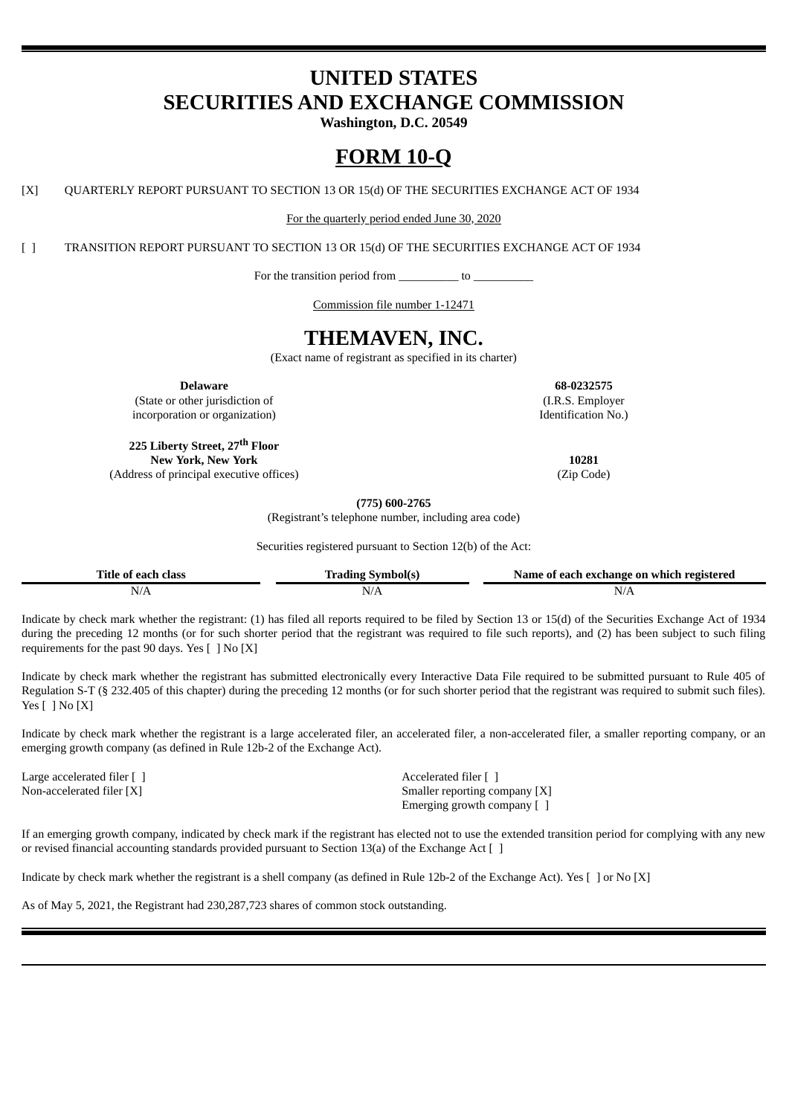# **UNITED STATES SECURITIES AND EXCHANGE COMMISSION**

**Washington, D.C. 20549**

# **FORM 10-Q**

[X] QUARTERLY REPORT PURSUANT TO SECTION 13 OR 15(d) OF THE SECURITIES EXCHANGE ACT OF 1934

For the quarterly period ended June 30, 2020

[ ] TRANSITION REPORT PURSUANT TO SECTION 13 OR 15(d) OF THE SECURITIES EXCHANGE ACT OF 1934

For the transition period from \_\_\_\_\_\_\_\_\_\_\_\_ to \_\_

Commission file number 1-12471

# **THEMAVEN, INC.**

(Exact name of registrant as specified in its charter)

(State or other jurisdiction of incorporation or organization)

**225 Liberty Street, 27 th Floor**

**New York, New York 10281** (Address of principal executive offices) (Zip Code)

**Delaware 68-0232575** (I.R.S. Employer Identification No.)

**(775) 600-2765**

(Registrant's telephone number, including area code)

Securities registered pursuant to Section 12(b) of the Act:

| Title of :<br>class<br>each<br>. | Frading<br>Svn.<br>mholís                | Name of each exchange on which registered |
|----------------------------------|------------------------------------------|-------------------------------------------|
| N/A                              | w<br>the contract of the contract of the | N/A                                       |

Indicate by check mark whether the registrant: (1) has filed all reports required to be filed by Section 13 or 15(d) of the Securities Exchange Act of 1934 during the preceding 12 months (or for such shorter period that the registrant was required to file such reports), and (2) has been subject to such filing requirements for the past 90 days. Yes [ ] No [X]

Indicate by check mark whether the registrant has submitted electronically every Interactive Data File required to be submitted pursuant to Rule 405 of Regulation S-T (§ 232.405 of this chapter) during the preceding 12 months (or for such shorter period that the registrant was required to submit such files). Yes [ ] No [X]

Indicate by check mark whether the registrant is a large accelerated filer, an accelerated filer, a non-accelerated filer, a smaller reporting company, or an emerging growth company (as defined in Rule 12b-2 of the Exchange Act).

Large accelerated filer [ ] and a set of the set of the set of the set of the set of the set of the set of the set of the set of the set of the set of the set of the set of the set of the set of the set of the set of the s

Non-accelerated filer [X] Smaller reporting company [X] Emerging growth company [ ]

If an emerging growth company, indicated by check mark if the registrant has elected not to use the extended transition period for complying with any new or revised financial accounting standards provided pursuant to Section 13(a) of the Exchange Act [ ]

Indicate by check mark whether the registrant is a shell company (as defined in Rule 12b-2 of the Exchange Act). Yes [ ] or No [X]

As of May 5, 2021, the Registrant had 230,287,723 shares of common stock outstanding.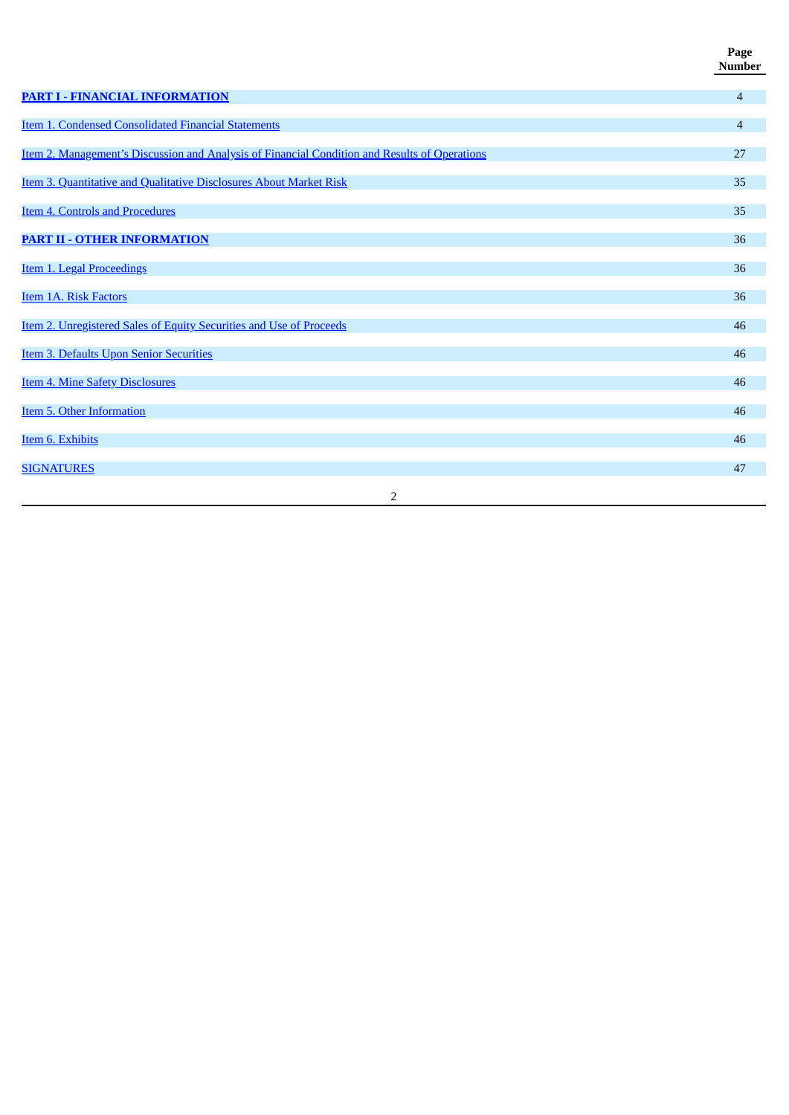**Page Number**

| <b>PART I - FINANCIAL INFORMATION</b>                                                         | $\overline{4}$ |
|-----------------------------------------------------------------------------------------------|----------------|
| <b>Item 1. Condensed Consolidated Financial Statements</b>                                    | $\overline{4}$ |
| Item 2. Management's Discussion and Analysis of Financial Condition and Results of Operations | 27             |
| <b>Item 3. Quantitative and Qualitative Disclosures About Market Risk</b>                     | 35             |
| <b>Item 4. Controls and Procedures</b>                                                        | 35             |
| <b>PART II - OTHER INFORMATION</b>                                                            | 36             |
| Item 1. Legal Proceedings                                                                     | 36             |
| <b>Item 1A. Risk Factors</b>                                                                  | 36             |
| Item 2. Unregistered Sales of Equity Securities and Use of Proceeds                           | 46             |
| Item 3. Defaults Upon Senior Securities                                                       | 46             |
| <b>Item 4. Mine Safety Disclosures</b>                                                        | 46             |
| Item 5. Other Information                                                                     | 46             |
| Item 6. Exhibits                                                                              | 46             |
| <b>SIGNATURES</b>                                                                             | 47             |
| 2                                                                                             |                |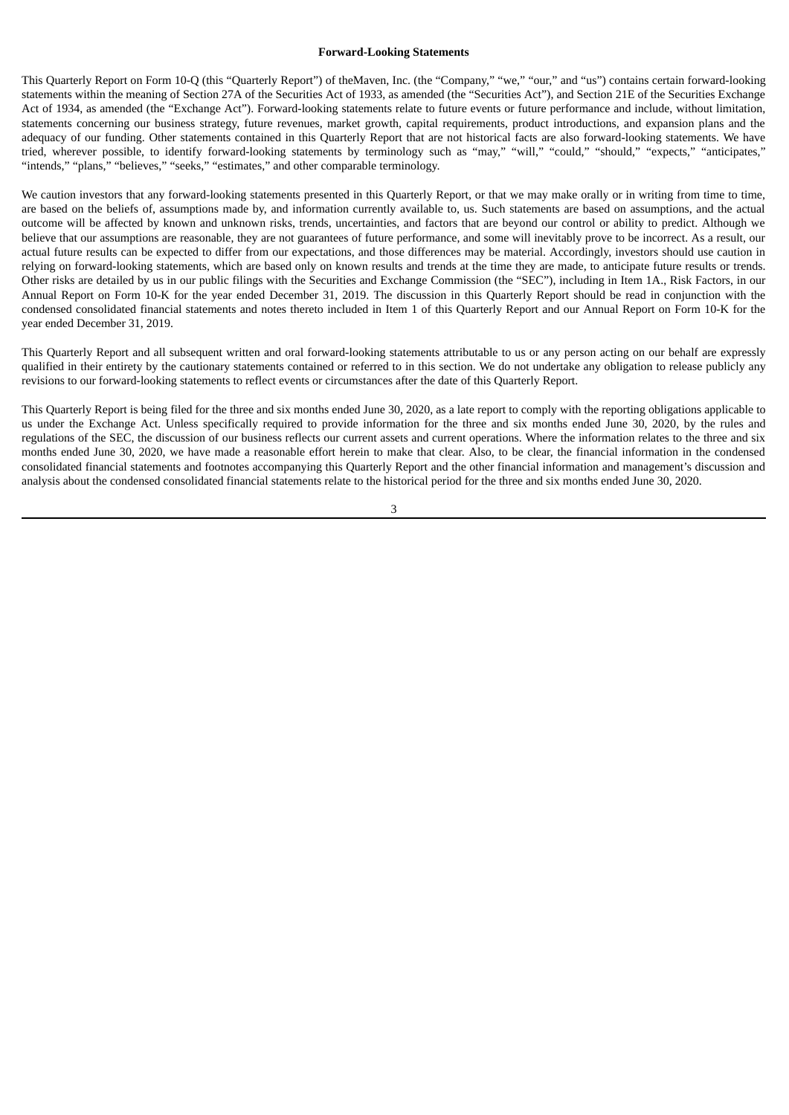#### **Forward-Looking Statements**

This Quarterly Report on Form 10-Q (this "Quarterly Report") of theMaven, Inc. (the "Company," "we," "our," and "us") contains certain forward-looking statements within the meaning of Section 27A of the Securities Act of 1933, as amended (the "Securities Act"), and Section 21E of the Securities Exchange Act of 1934, as amended (the "Exchange Act"). Forward-looking statements relate to future events or future performance and include, without limitation, statements concerning our business strategy, future revenues, market growth, capital requirements, product introductions, and expansion plans and the adequacy of our funding. Other statements contained in this Quarterly Report that are not historical facts are also forward-looking statements. We have tried, wherever possible, to identify forward-looking statements by terminology such as "may," "will," "could," "should," "expects," "anticipates," "intends," "plans," "believes," "seeks," "estimates," and other comparable terminology.

We caution investors that any forward-looking statements presented in this Quarterly Report, or that we may make orally or in writing from time to time, are based on the beliefs of, assumptions made by, and information currently available to, us. Such statements are based on assumptions, and the actual outcome will be affected by known and unknown risks, trends, uncertainties, and factors that are beyond our control or ability to predict. Although we believe that our assumptions are reasonable, they are not guarantees of future performance, and some will inevitably prove to be incorrect. As a result, our actual future results can be expected to differ from our expectations, and those differences may be material. Accordingly, investors should use caution in relying on forward-looking statements, which are based only on known results and trends at the time they are made, to anticipate future results or trends. Other risks are detailed by us in our public filings with the Securities and Exchange Commission (the "SEC"), including in Item 1A., Risk Factors, in our Annual Report on Form 10-K for the year ended December 31, 2019. The discussion in this Quarterly Report should be read in conjunction with the condensed consolidated financial statements and notes thereto included in Item 1 of this Quarterly Report and our Annual Report on Form 10-K for the year ended December 31, 2019.

This Quarterly Report and all subsequent written and oral forward-looking statements attributable to us or any person acting on our behalf are expressly qualified in their entirety by the cautionary statements contained or referred to in this section. We do not undertake any obligation to release publicly any revisions to our forward-looking statements to reflect events or circumstances after the date of this Quarterly Report.

This Quarterly Report is being filed for the three and six months ended June 30, 2020, as a late report to comply with the reporting obligations applicable to us under the Exchange Act. Unless specifically required to provide information for the three and six months ended June 30, 2020, by the rules and regulations of the SEC, the discussion of our business reflects our current assets and current operations. Where the information relates to the three and six months ended June 30, 2020, we have made a reasonable effort herein to make that clear. Also, to be clear, the financial information in the condensed consolidated financial statements and footnotes accompanying this Quarterly Report and the other financial information and management's discussion and analysis about the condensed consolidated financial statements relate to the historical period for the three and six months ended June 30, 2020.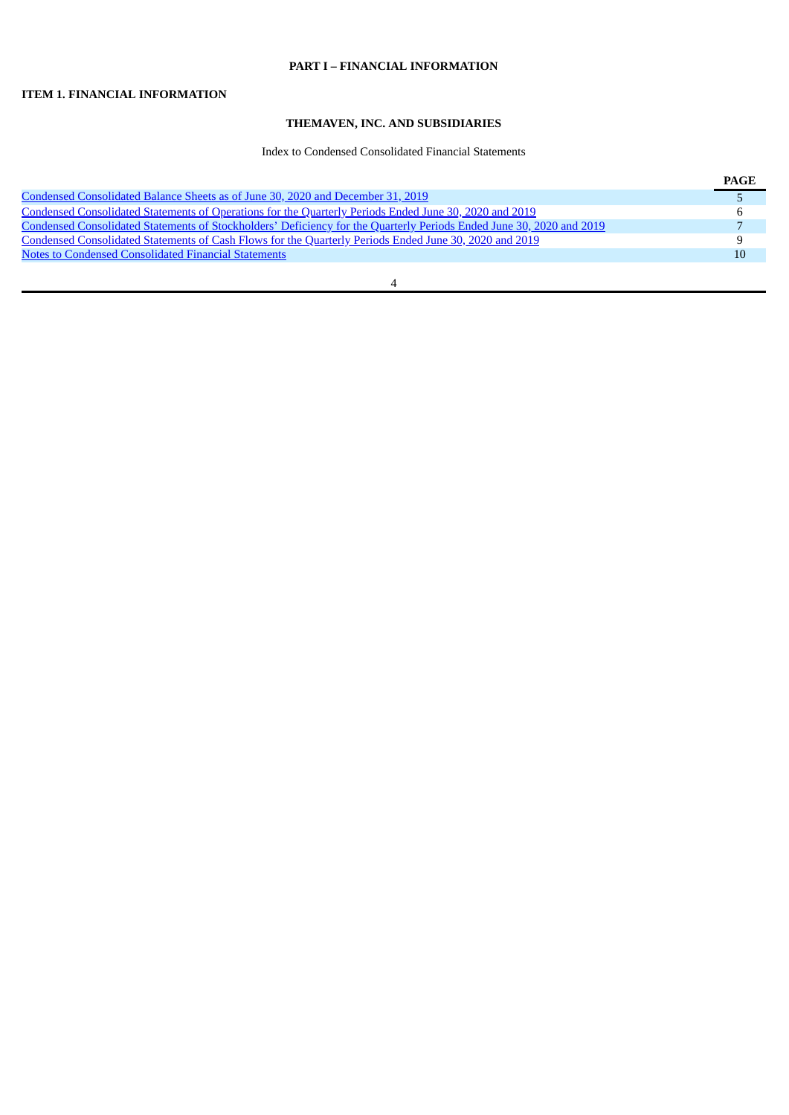# **PART I – FINANCIAL INFORMATION**

# <span id="page-3-1"></span><span id="page-3-0"></span>**ITEM 1. FINANCIAL INFORMATION**

# **THEMAVEN, INC. AND SUBSIDIARIES**

# Index to Condensed Consolidated Financial Statements

|                                                                                                                      | PAGE |
|----------------------------------------------------------------------------------------------------------------------|------|
| Condensed Consolidated Balance Sheets as of June 30, 2020 and December 31, 2019                                      |      |
| Condensed Consolidated Statements of Operations for the Quarterly Periods Ended June 30, 2020 and 2019               | b    |
| Condensed Consolidated Statements of Stockholders' Deficiency for the Quarterly Periods Ended June 30, 2020 and 2019 |      |
| Condensed Consolidated Statements of Cash Flows for the Quarterly Periods Ended June 30, 2020 and 2019               | q    |
| <b>Notes to Condensed Consolidated Financial Statements</b>                                                          | 10   |

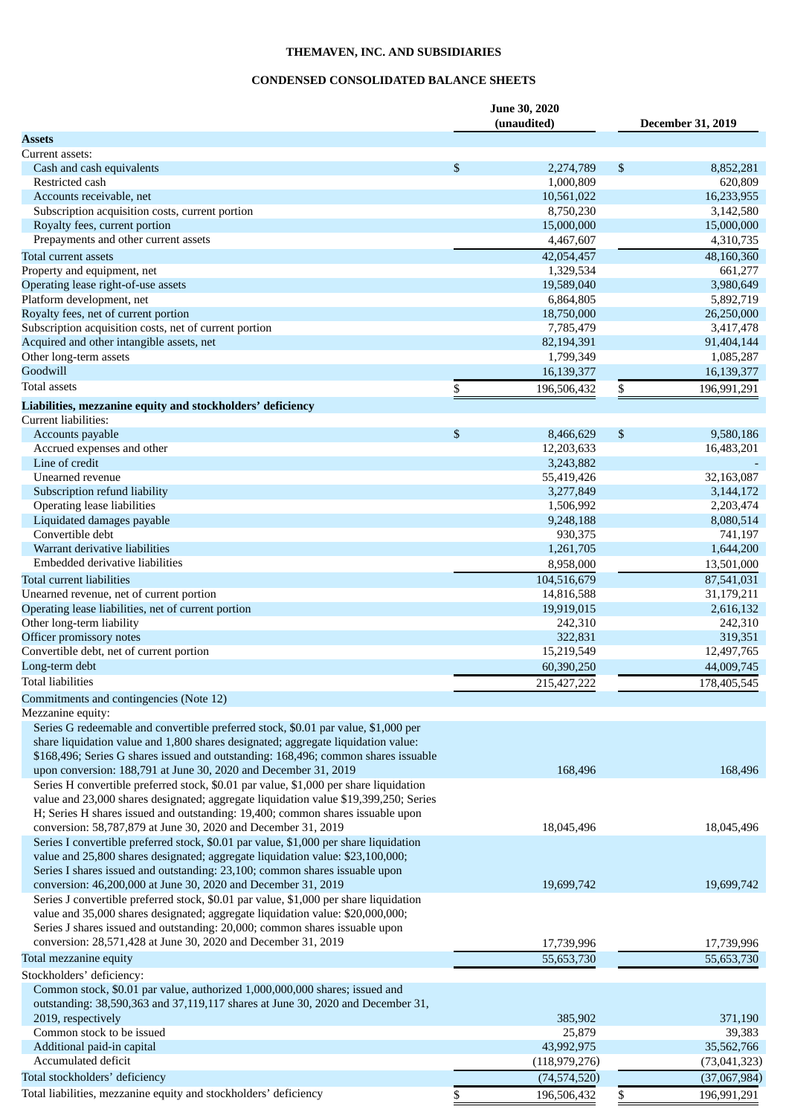# **CONDENSED CONSOLIDATED BALANCE SHEETS**

<span id="page-4-0"></span>

|                                                                                                                                                                         | June 30, 2020<br>(unaudited) | December 31, 2019 |  |  |  |
|-------------------------------------------------------------------------------------------------------------------------------------------------------------------------|------------------------------|-------------------|--|--|--|
| <b>Assets</b>                                                                                                                                                           |                              |                   |  |  |  |
| Current assets:                                                                                                                                                         |                              |                   |  |  |  |
| Cash and cash equivalents                                                                                                                                               | \$<br>2,274,789              | \$<br>8,852,281   |  |  |  |
| Restricted cash                                                                                                                                                         | 1,000,809                    | 620,809           |  |  |  |
| Accounts receivable, net                                                                                                                                                | 10,561,022                   | 16,233,955        |  |  |  |
| Subscription acquisition costs, current portion                                                                                                                         | 8,750,230                    | 3,142,580         |  |  |  |
| Royalty fees, current portion                                                                                                                                           | 15,000,000                   | 15,000,000        |  |  |  |
| Prepayments and other current assets                                                                                                                                    | 4,467,607                    | 4,310,735         |  |  |  |
| Total current assets                                                                                                                                                    | 42,054,457                   | 48,160,360        |  |  |  |
| Property and equipment, net                                                                                                                                             | 1,329,534                    | 661,277           |  |  |  |
| Operating lease right-of-use assets                                                                                                                                     | 19,589,040                   | 3,980,649         |  |  |  |
| Platform development, net                                                                                                                                               | 6,864,805                    | 5,892,719         |  |  |  |
| Royalty fees, net of current portion                                                                                                                                    | 18,750,000                   | 26,250,000        |  |  |  |
| Subscription acquisition costs, net of current portion                                                                                                                  | 7,785,479                    | 3,417,478         |  |  |  |
| Acquired and other intangible assets, net                                                                                                                               | 82,194,391                   | 91,404,144        |  |  |  |
| Other long-term assets<br>Goodwill                                                                                                                                      | 1,799,349                    | 1,085,287         |  |  |  |
|                                                                                                                                                                         | 16,139,377                   | 16,139,377        |  |  |  |
| <b>Total assets</b>                                                                                                                                                     | \$<br>196,506,432            | \$<br>196,991,291 |  |  |  |
| Liabilities, mezzanine equity and stockholders' deficiency                                                                                                              |                              |                   |  |  |  |
| Current liabilities:                                                                                                                                                    |                              |                   |  |  |  |
| Accounts payable                                                                                                                                                        | \$<br>8,466,629              | \$<br>9,580,186   |  |  |  |
| Accrued expenses and other                                                                                                                                              | 12,203,633                   | 16,483,201        |  |  |  |
| Line of credit                                                                                                                                                          | 3,243,882                    |                   |  |  |  |
| Unearned revenue                                                                                                                                                        | 55,419,426                   | 32,163,087        |  |  |  |
| Subscription refund liability                                                                                                                                           | 3,277,849                    | 3,144,172         |  |  |  |
| Operating lease liabilities                                                                                                                                             | 1,506,992                    | 2,203,474         |  |  |  |
| Liquidated damages payable                                                                                                                                              | 9,248,188                    | 8,080,514         |  |  |  |
| Convertible debt                                                                                                                                                        | 930,375                      | 741,197           |  |  |  |
| Warrant derivative liabilities                                                                                                                                          | 1,261,705                    | 1,644,200         |  |  |  |
| Embedded derivative liabilities                                                                                                                                         | 8,958,000                    | 13,501,000        |  |  |  |
| <b>Total current liabilities</b>                                                                                                                                        | 104,516,679                  | 87,541,031        |  |  |  |
| Unearned revenue, net of current portion                                                                                                                                | 14,816,588                   | 31,179,211        |  |  |  |
| Operating lease liabilities, net of current portion                                                                                                                     | 19,919,015                   | 2,616,132         |  |  |  |
| Other long-term liability                                                                                                                                               | 242,310                      | 242,310           |  |  |  |
| Officer promissory notes<br>Convertible debt, net of current portion                                                                                                    | 322,831                      | 319,351           |  |  |  |
| Long-term debt                                                                                                                                                          | 15,219,549                   | 12,497,765        |  |  |  |
|                                                                                                                                                                         | 60,390,250                   | 44,009,745        |  |  |  |
| <b>Total liabilities</b>                                                                                                                                                | 215,427,222                  | 178,405,545       |  |  |  |
| Commitments and contingencies (Note 12)                                                                                                                                 |                              |                   |  |  |  |
| Mezzanine equity:                                                                                                                                                       |                              |                   |  |  |  |
| Series G redeemable and convertible preferred stock, \$0.01 par value, \$1,000 per                                                                                      |                              |                   |  |  |  |
| share liquidation value and 1,800 shares designated; aggregate liquidation value:<br>\$168,496; Series G shares issued and outstanding: 168,496; common shares issuable |                              |                   |  |  |  |
| upon conversion: 188,791 at June 30, 2020 and December 31, 2019                                                                                                         | 168,496                      | 168,496           |  |  |  |
| Series H convertible preferred stock, \$0.01 par value, \$1,000 per share liquidation                                                                                   |                              |                   |  |  |  |
| value and 23,000 shares designated; aggregate liquidation value \$19,399,250; Series                                                                                    |                              |                   |  |  |  |
| H; Series H shares issued and outstanding: 19,400; common shares issuable upon                                                                                          |                              |                   |  |  |  |
| conversion: 58,787,879 at June 30, 2020 and December 31, 2019                                                                                                           | 18,045,496                   | 18,045,496        |  |  |  |
| Series I convertible preferred stock, \$0.01 par value, \$1,000 per share liquidation                                                                                   |                              |                   |  |  |  |
| value and 25,800 shares designated; aggregate liquidation value: \$23,100,000;                                                                                          |                              |                   |  |  |  |
| Series I shares issued and outstanding: 23,100; common shares issuable upon                                                                                             |                              |                   |  |  |  |
| conversion: 46,200,000 at June 30, 2020 and December 31, 2019                                                                                                           | 19,699,742                   | 19,699,742        |  |  |  |
| Series J convertible preferred stock, \$0.01 par value, \$1,000 per share liquidation                                                                                   |                              |                   |  |  |  |
| value and 35,000 shares designated; aggregate liquidation value: \$20,000,000;                                                                                          |                              |                   |  |  |  |
| Series J shares issued and outstanding: 20,000; common shares issuable upon                                                                                             |                              |                   |  |  |  |
| conversion: 28,571,428 at June 30, 2020 and December 31, 2019                                                                                                           | 17,739,996                   | 17,739,996        |  |  |  |
| Total mezzanine equity                                                                                                                                                  | 55,653,730                   | 55,653,730        |  |  |  |
| Stockholders' deficiency:                                                                                                                                               |                              |                   |  |  |  |
| Common stock, \$0.01 par value, authorized 1,000,000,000 shares; issued and                                                                                             |                              |                   |  |  |  |
| outstanding: 38,590,363 and 37,119,117 shares at June 30, 2020 and December 31,                                                                                         |                              |                   |  |  |  |
| 2019, respectively                                                                                                                                                      | 385,902                      | 371,190           |  |  |  |
| Common stock to be issued                                                                                                                                               | 25,879                       | 39,383            |  |  |  |
| Additional paid-in capital                                                                                                                                              | 43,992,975                   | 35,562,766        |  |  |  |
| Accumulated deficit                                                                                                                                                     | (118, 979, 276)              | (73, 041, 323)    |  |  |  |
| Total stockholders' deficiency                                                                                                                                          | (74, 574, 520)               | (37,067,984)      |  |  |  |
| Total liabilities, mezzanine equity and stockholders' deficiency                                                                                                        | \$<br>196,506,432            | 196,991,291<br>\$ |  |  |  |
|                                                                                                                                                                         |                              |                   |  |  |  |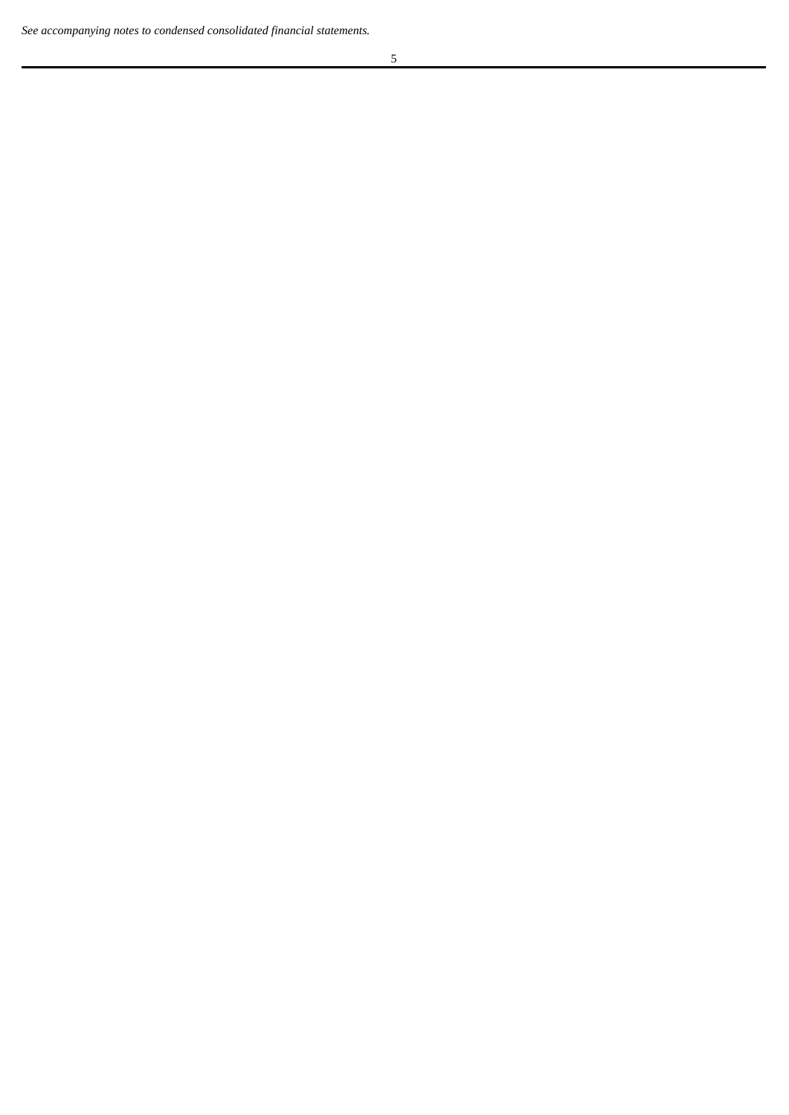*See accompanying notes to condensed consolidated financial statements.*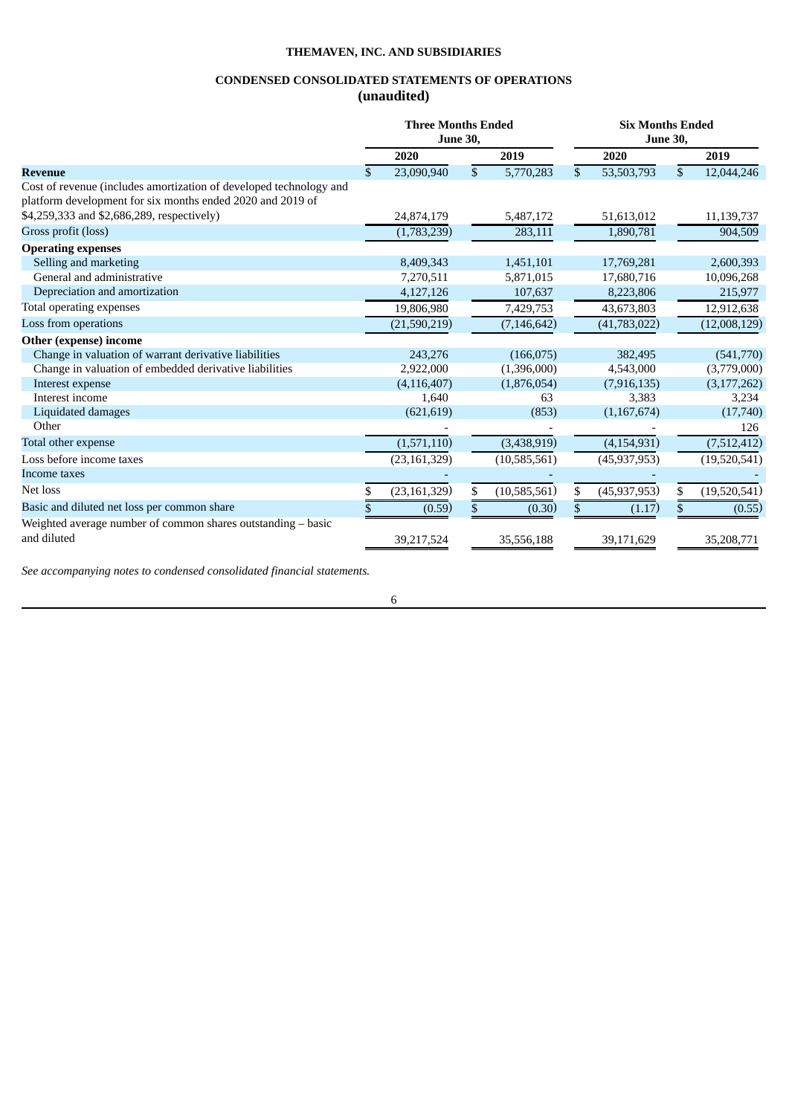# **CONDENSED CONSOLIDATED STATEMENTS OF OPERATIONS (unaudited)**

<span id="page-6-0"></span>

|                                                                                                                                  | <b>Three Months Ended</b><br><b>June 30,</b> |                |    |                |    | <b>Six Months Ended</b><br><b>June 30,</b> |    |               |  |
|----------------------------------------------------------------------------------------------------------------------------------|----------------------------------------------|----------------|----|----------------|----|--------------------------------------------|----|---------------|--|
|                                                                                                                                  |                                              | 2020           |    | 2019           |    | 2020                                       |    | 2019          |  |
| <b>Revenue</b>                                                                                                                   |                                              | 23,090,940     | \$ | 5,770,283      | \$ | 53,503,793                                 | \$ | 12,044,246    |  |
| Cost of revenue (includes amortization of developed technology and<br>platform development for six months ended 2020 and 2019 of |                                              |                |    |                |    |                                            |    |               |  |
| \$4,259,333 and \$2,686,289, respectively)                                                                                       |                                              | 24,874,179     |    | 5,487,172      |    | 51,613,012                                 |    | 11,139,737    |  |
| Gross profit (loss)                                                                                                              |                                              | (1,783,239)    |    | 283,111        |    | 1,890,781                                  |    | 904,509       |  |
| <b>Operating expenses</b>                                                                                                        |                                              |                |    |                |    |                                            |    |               |  |
| Selling and marketing                                                                                                            |                                              | 8,409,343      |    | 1,451,101      |    | 17,769,281                                 |    | 2,600,393     |  |
| General and administrative                                                                                                       |                                              | 7,270,511      |    | 5,871,015      |    | 17,680,716                                 |    | 10,096,268    |  |
| Depreciation and amortization                                                                                                    |                                              | 4,127,126      |    | 107,637        |    | 8,223,806                                  |    | 215,977       |  |
| Total operating expenses                                                                                                         |                                              | 19,806,980     |    | 7,429,753      |    | 43,673,803                                 |    | 12,912,638    |  |
| Loss from operations                                                                                                             |                                              | (21,590,219)   |    | (7, 146, 642)  |    | (41,783,022)                               |    | (12,008,129)  |  |
| Other (expense) income                                                                                                           |                                              |                |    |                |    |                                            |    |               |  |
| Change in valuation of warrant derivative liabilities                                                                            |                                              | 243,276        |    | (166, 075)     |    | 382,495                                    |    | (541,770)     |  |
| Change in valuation of embedded derivative liabilities                                                                           |                                              | 2,922,000      |    | (1,396,000)    |    | 4,543,000                                  |    | (3,779,000)   |  |
| Interest expense                                                                                                                 |                                              | (4, 116, 407)  |    | (1,876,054)    |    | (7,916,135)                                |    | (3, 177, 262) |  |
| Interest income                                                                                                                  |                                              | 1,640          |    | 63             |    | 3,383                                      |    | 3,234         |  |
| Liquidated damages                                                                                                               |                                              | (621, 619)     |    | (853)          |    | (1, 167, 674)                              |    | (17,740)      |  |
| Other                                                                                                                            |                                              |                |    |                |    |                                            |    | 126           |  |
| Total other expense                                                                                                              |                                              | (1,571,110)    |    | (3,438,919)    |    | (4, 154, 931)                              |    | (7,512,412)   |  |
| Loss before income taxes                                                                                                         |                                              | (23, 161, 329) |    | (10, 585, 561) |    | (45, 937, 953)                             |    | (19,520,541)  |  |
| Income taxes                                                                                                                     |                                              |                |    |                |    |                                            |    |               |  |
| Net loss                                                                                                                         |                                              | (23, 161, 329) | \$ | (10, 585, 561) | \$ | (45, 937, 953)                             | \$ | (19,520,541)  |  |
| Basic and diluted net loss per common share                                                                                      |                                              | (0.59)         |    | (0.30)         | \$ | (1.17)                                     |    | (0.55)        |  |
| Weighted average number of common shares outstanding - basic<br>and diluted                                                      |                                              | 39,217,524     |    | 35,556,188     |    | 39,171,629                                 |    | 35,208,771    |  |

*See accompanying notes to condensed consolidated financial statements.*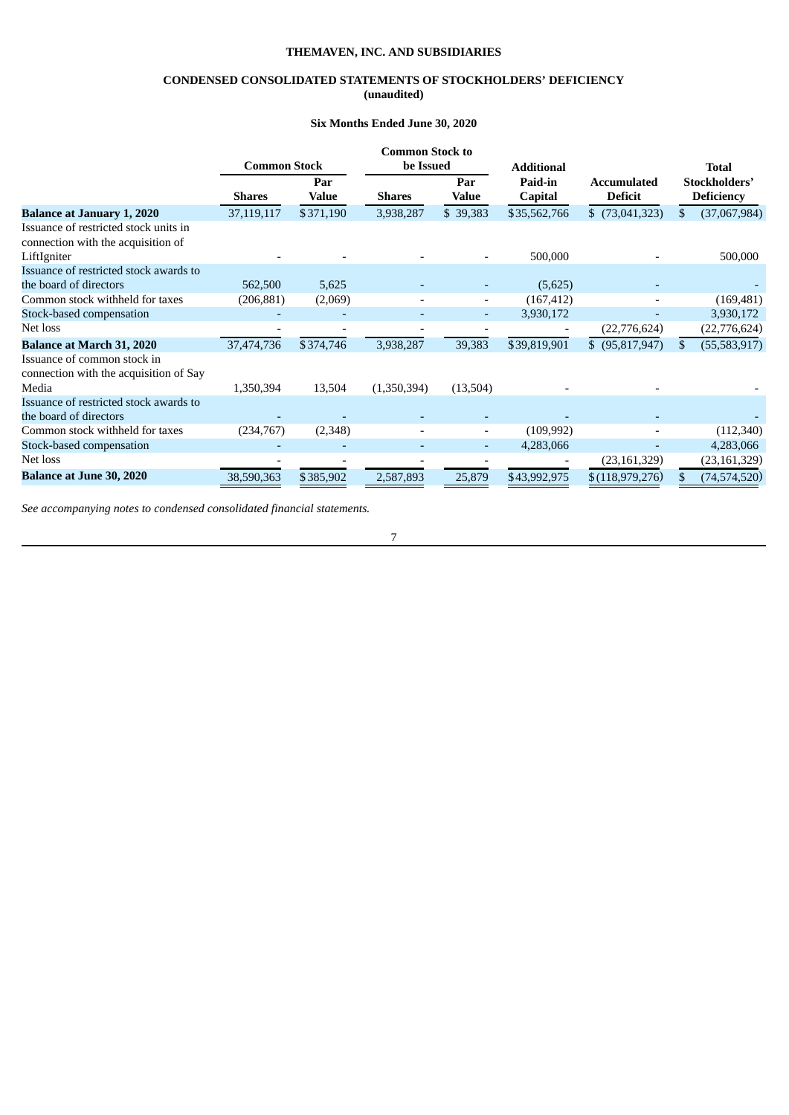# **CONDENSED CONSOLIDATED STATEMENTS OF STOCKHOLDERS' DEFICIENCY (unaudited)**

# **Six Months Ended June 30, 2020**

<span id="page-7-0"></span>

|                                                                             |                     |              | <b>Common Stock to</b>   |                          |                   |                   |    |                   |
|-----------------------------------------------------------------------------|---------------------|--------------|--------------------------|--------------------------|-------------------|-------------------|----|-------------------|
|                                                                             | <b>Common Stock</b> |              | be Issued                |                          | <b>Additional</b> |                   |    | Total             |
|                                                                             |                     | Par          |                          | Par                      | Paid-in           | Accumulated       |    | Stockholders'     |
|                                                                             | <b>Shares</b>       | <b>Value</b> | <b>Shares</b>            | Value                    | Capital           | <b>Deficit</b>    |    | <b>Deficiency</b> |
| <b>Balance at January 1, 2020</b>                                           | 37,119,117          | \$371,190    | 3,938,287                | \$39,383                 | \$35,562,766      | $$$ (73,041,323)  | \$ | (37,067,984)      |
| Issuance of restricted stock units in<br>connection with the acquisition of |                     |              |                          |                          |                   |                   |    |                   |
| LiftIgniter                                                                 |                     |              |                          |                          | 500,000           |                   |    | 500,000           |
| Issuance of restricted stock awards to                                      |                     |              |                          |                          |                   |                   |    |                   |
| the board of directors                                                      | 562,500             | 5,625        |                          |                          | (5,625)           |                   |    |                   |
| Common stock withheld for taxes                                             | (206, 881)          | (2,069)      |                          |                          | (167, 412)        |                   |    | (169, 481)        |
| Stock-based compensation                                                    |                     |              |                          |                          | 3,930,172         |                   |    | 3,930,172         |
| Net loss                                                                    |                     |              |                          |                          |                   | (22,776,624)      |    | (22, 776, 624)    |
| <b>Balance at March 31, 2020</b>                                            | 37,474,736          | \$374,746    | 3,938,287                | 39,383                   | \$39,819,901      | $$$ (95,817,947)  | \$ | (55,583,917)      |
| Issuance of common stock in<br>connection with the acquisition of Say       |                     |              |                          |                          |                   |                   |    |                   |
| Media                                                                       | 1,350,394           | 13,504       | (1,350,394)              | (13,504)                 |                   |                   |    |                   |
| Issuance of restricted stock awards to<br>the board of directors            |                     |              |                          |                          |                   |                   |    |                   |
| Common stock withheld for taxes                                             | (234,767)           | (2,348)      | $\overline{\phantom{0}}$ | $\overline{\phantom{a}}$ | (109, 992)        |                   |    | (112, 340)        |
| Stock-based compensation                                                    |                     |              |                          | $\overline{\phantom{a}}$ | 4,283,066         | ٠                 |    | 4,283,066         |
| Net loss                                                                    |                     |              |                          |                          |                   | (23, 161, 329)    |    | (23, 161, 329)    |
| <b>Balance at June 30, 2020</b>                                             | 38,590,363          | \$385,902    | 2,587,893                | 25,879                   | \$43,992,975      | \$(118, 979, 276) | S. | (74, 574, 520)    |

*See accompanying notes to condensed consolidated financial statements.*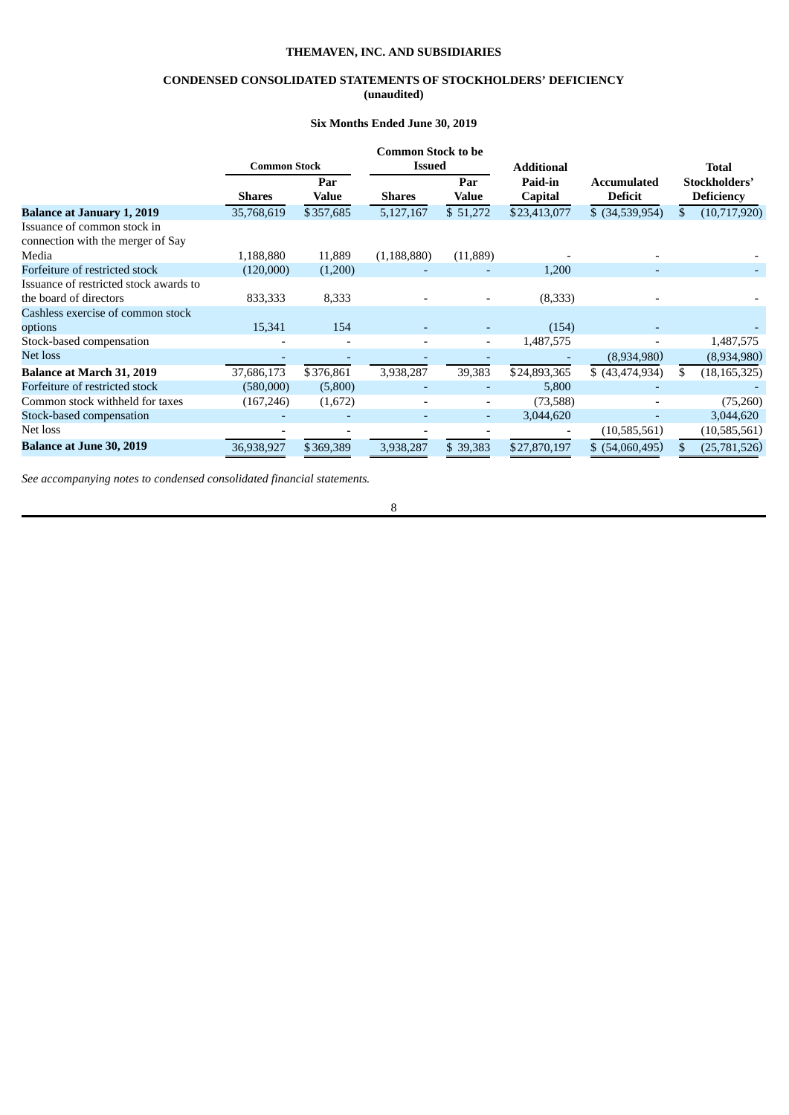# **CONDENSED CONSOLIDATED STATEMENTS OF STOCKHOLDERS' DEFICIENCY (unaudited)**

# **Six Months Ended June 30, 2019**

|                                                                  |                     |              | <b>Common Stock to be</b> |                     |                           |                                      |    |                                    |
|------------------------------------------------------------------|---------------------|--------------|---------------------------|---------------------|---------------------------|--------------------------------------|----|------------------------------------|
|                                                                  | <b>Common Stock</b> |              | <b>Issued</b>             |                     | <b>Additional</b>         |                                      |    | <b>Total</b>                       |
|                                                                  | <b>Shares</b>       | Par<br>Value | <b>Shares</b>             | Par<br><b>Value</b> | Paid-in<br><b>Capital</b> | <b>Accumulated</b><br><b>Deficit</b> |    | Stockholders'<br><b>Deficiency</b> |
| <b>Balance at January 1, 2019</b>                                | 35,768,619          | \$357,685    | 5,127,167                 | \$51,272            | \$23,413,077              | $$$ (34,539,954)                     | \$ | (10,717,920)                       |
| Issuance of common stock in<br>connection with the merger of Say |                     |              |                           |                     |                           |                                      |    |                                    |
| Media                                                            | 1,188,880           | 11,889       | (1, 188, 880)             | (11,889)            |                           |                                      |    |                                    |
| Forfeiture of restricted stock                                   | (120,000)           | (1,200)      |                           |                     | 1,200                     |                                      |    |                                    |
| Issuance of restricted stock awards to                           |                     |              |                           |                     |                           |                                      |    |                                    |
| the board of directors                                           | 833,333             | 8,333        |                           |                     | (8,333)                   |                                      |    |                                    |
| Cashless exercise of common stock                                |                     |              |                           |                     |                           |                                      |    |                                    |
| options                                                          | 15,341              | 154          |                           |                     | (154)                     |                                      |    |                                    |
| Stock-based compensation                                         |                     |              |                           |                     | 1,487,575                 |                                      |    | 1,487,575                          |
| Net loss                                                         |                     |              |                           |                     |                           | (8,934,980)                          |    | (8,934,980)                        |
| <b>Balance at March 31, 2019</b>                                 | 37,686,173          | \$376,861    | 3,938,287                 | 39,383              | \$24,893,365              | $$$ (43,474,934)                     | S  | (18, 165, 325)                     |
| Forfeiture of restricted stock                                   | (580,000)           | (5,800)      |                           |                     | 5,800                     |                                      |    |                                    |
| Common stock withheld for taxes                                  | (167, 246)          | (1,672)      |                           |                     | (73,588)                  |                                      |    | (75,260)                           |
| Stock-based compensation                                         |                     |              |                           |                     | 3,044,620                 |                                      |    | 3,044,620                          |
| Net loss                                                         |                     |              |                           |                     |                           | (10, 585, 561)                       |    | (10, 585, 561)                     |
| <b>Balance at June 30, 2019</b>                                  | 36,938,927          | \$369,389    | 3,938,287                 | \$39,383            | \$27,870,197              | (54,060,495)<br>\$.                  | \$ | (25,781,526)                       |

*See accompanying notes to condensed consolidated financial statements.*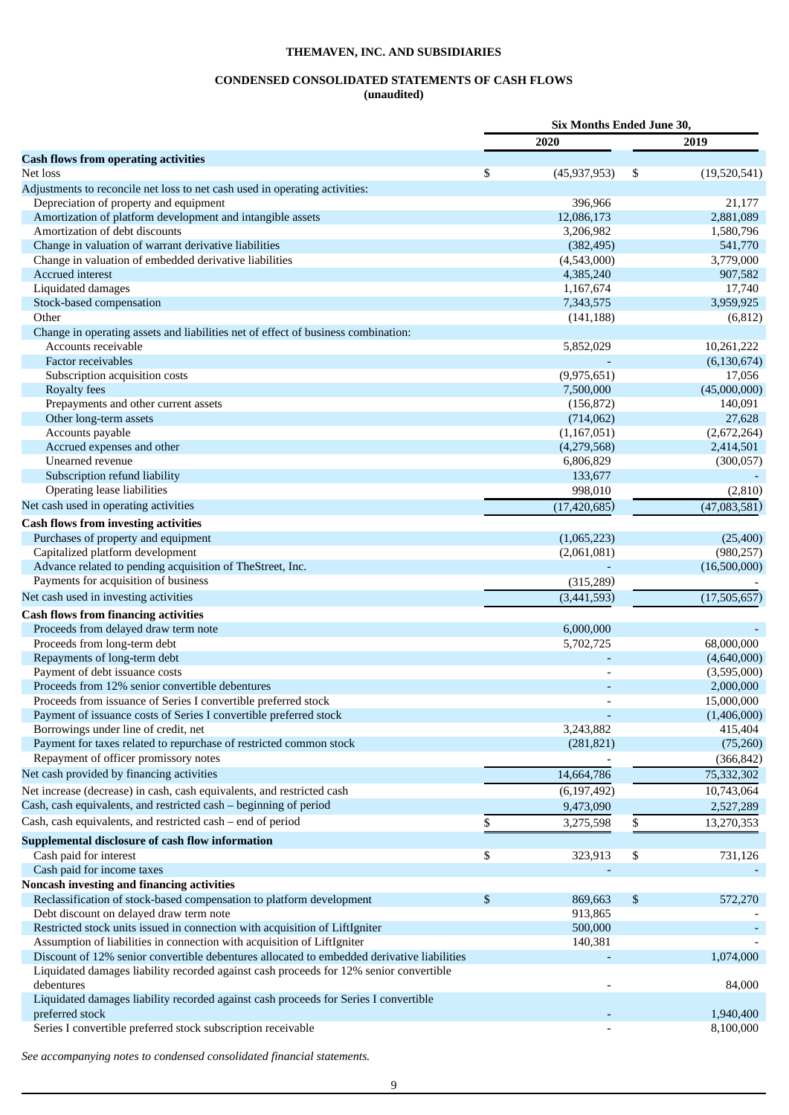# **CONDENSED CONSOLIDATED STATEMENTS OF CASH FLOWS (unaudited)**

<span id="page-9-0"></span>

|                                                                                            | <b>Six Months Ended June 30,</b> |                    |
|--------------------------------------------------------------------------------------------|----------------------------------|--------------------|
|                                                                                            | 2020                             | 2019               |
| <b>Cash flows from operating activities</b>                                                |                                  |                    |
| Net loss                                                                                   | \$<br>(45, 937, 953)             | \$<br>(19,520,541) |
| Adjustments to reconcile net loss to net cash used in operating activities:                |                                  |                    |
| Depreciation of property and equipment                                                     | 396,966                          | 21,177             |
| Amortization of platform development and intangible assets                                 | 12,086,173                       | 2,881,089          |
| Amortization of debt discounts                                                             | 3,206,982                        | 1,580,796          |
| Change in valuation of warrant derivative liabilities                                      | (382, 495)                       | 541,770            |
| Change in valuation of embedded derivative liabilities                                     | (4,543,000)                      | 3,779,000          |
| Accrued interest                                                                           | 4,385,240                        | 907,582            |
| Liquidated damages                                                                         | 1,167,674                        | 17,740             |
| Stock-based compensation<br>Other                                                          | 7,343,575                        | 3,959,925          |
|                                                                                            | (141, 188)                       | (6, 812)           |
| Change in operating assets and liabilities net of effect of business combination:          |                                  |                    |
| Accounts receivable                                                                        | 5,852,029                        | 10,261,222         |
| <b>Factor receivables</b>                                                                  |                                  | (6, 130, 674)      |
| Subscription acquisition costs                                                             | (9,975,651)                      | 17,056             |
| Royalty fees                                                                               | 7,500,000                        | (45,000,000)       |
| Prepayments and other current assets                                                       | (156, 872)                       | 140,091            |
| Other long-term assets                                                                     | (714,062)                        | 27,628             |
| Accounts payable                                                                           | (1,167,051)                      | (2,672,264)        |
| Accrued expenses and other                                                                 | (4,279,568)                      | 2,414,501          |
| Unearned revenue                                                                           | 6,806,829                        | (300, 057)         |
| Subscription refund liability                                                              | 133,677                          |                    |
| Operating lease liabilities                                                                | 998,010                          | (2,810)            |
| Net cash used in operating activities                                                      | (17, 420, 685)                   | (47,083,581)       |
| <b>Cash flows from investing activities</b>                                                |                                  |                    |
| Purchases of property and equipment                                                        | (1,065,223)                      | (25, 400)          |
| Capitalized platform development                                                           | (2,061,081)                      | (980, 257)         |
| Advance related to pending acquisition of TheStreet, Inc.                                  |                                  | (16,500,000)       |
| Payments for acquisition of business                                                       | (315, 289)                       |                    |
|                                                                                            |                                  |                    |
| Net cash used in investing activities                                                      | (3,441,593)                      | (17,505,657)       |
| <b>Cash flows from financing activities</b>                                                |                                  |                    |
| Proceeds from delayed draw term note                                                       | 6,000,000                        |                    |
| Proceeds from long-term debt                                                               | 5,702,725                        | 68,000,000         |
| Repayments of long-term debt                                                               |                                  | (4,640,000)        |
| Payment of debt issuance costs                                                             |                                  | (3,595,000)        |
| Proceeds from 12% senior convertible debentures                                            |                                  | 2,000,000          |
| Proceeds from issuance of Series I convertible preferred stock                             |                                  | 15,000,000         |
| Payment of issuance costs of Series I convertible preferred stock                          |                                  | (1,406,000)        |
| Borrowings under line of credit, net                                                       | 3,243,882                        | 415,404            |
| Payment for taxes related to repurchase of restricted common stock                         | (281, 821)                       | (75,260)           |
| Repayment of officer promissory notes                                                      |                                  | (366, 842)         |
| Net cash provided by financing activities                                                  | 14,664,786                       | 75,332,302         |
| Net increase (decrease) in cash, cash equivalents, and restricted cash                     | (6, 197, 492)                    | 10,743,064         |
| Cash, cash equivalents, and restricted cash - beginning of period                          | 9,473,090                        | 2,527,289          |
| Cash, cash equivalents, and restricted cash - end of period                                | \$<br>3,275,598                  | \$<br>13,270,353   |
|                                                                                            |                                  |                    |
| Supplemental disclosure of cash flow information                                           |                                  |                    |
| Cash paid for interest                                                                     | \$<br>323,913                    | \$<br>731,126      |
| Cash paid for income taxes                                                                 |                                  |                    |
| Noncash investing and financing activities                                                 |                                  |                    |
| Reclassification of stock-based compensation to platform development                       | \$<br>869,663                    | \$<br>572,270      |
| Debt discount on delayed draw term note                                                    | 913,865                          |                    |
| Restricted stock units issued in connection with acquisition of LiftIgniter                | 500,000                          |                    |
| Assumption of liabilities in connection with acquisition of LiftIgniter                    | 140,381                          |                    |
| Discount of 12% senior convertible debentures allocated to embedded derivative liabilities |                                  | 1,074,000          |
| Liquidated damages liability recorded against cash proceeds for 12% senior convertible     |                                  |                    |
| debentures                                                                                 |                                  | 84,000             |
| Liquidated damages liability recorded against cash proceeds for Series I convertible       |                                  |                    |
| preferred stock                                                                            |                                  | 1,940,400          |
| Series I convertible preferred stock subscription receivable                               |                                  | 8,100,000          |

*See accompanying notes to condensed consolidated financial statements.*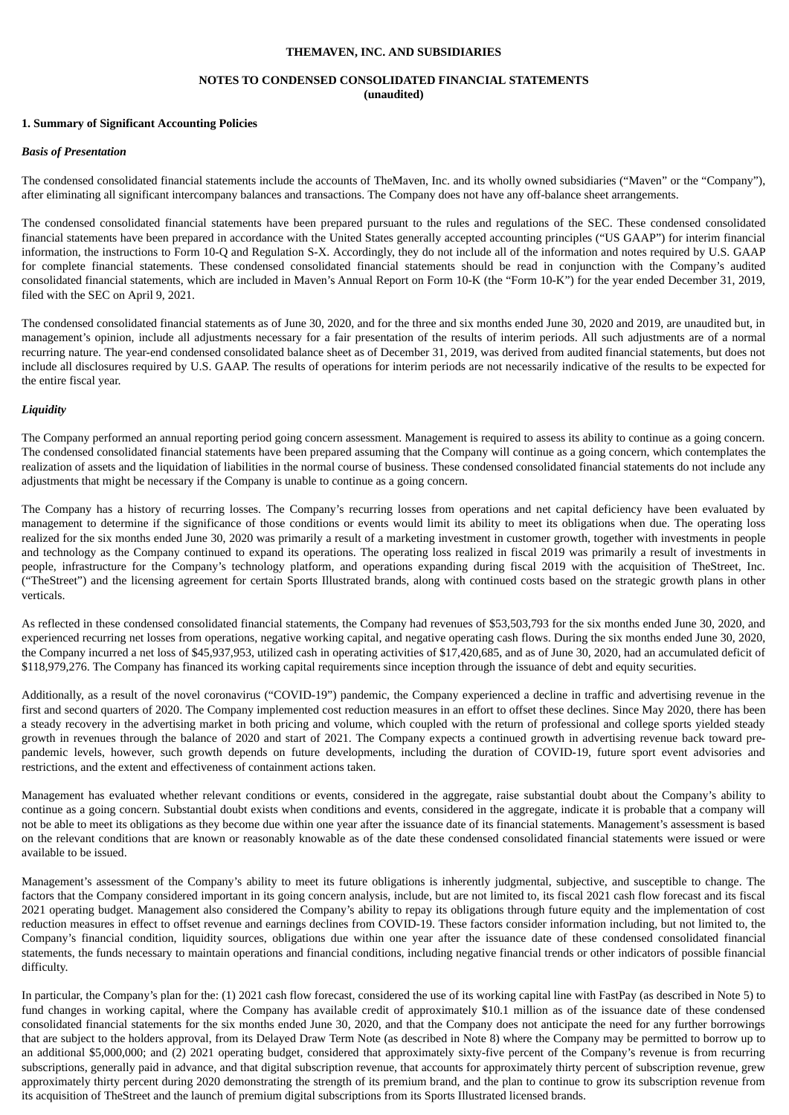## **NOTES TO CONDENSED CONSOLIDATED FINANCIAL STATEMENTS (unaudited)**

#### <span id="page-10-0"></span>**1. Summary of Significant Accounting Policies**

#### *Basis of Presentation*

The condensed consolidated financial statements include the accounts of TheMaven, Inc. and its wholly owned subsidiaries ("Maven" or the "Company"), after eliminating all significant intercompany balances and transactions. The Company does not have any off-balance sheet arrangements.

The condensed consolidated financial statements have been prepared pursuant to the rules and regulations of the SEC. These condensed consolidated financial statements have been prepared in accordance with the United States generally accepted accounting principles ("US GAAP") for interim financial information, the instructions to Form 10-Q and Regulation S-X. Accordingly, they do not include all of the information and notes required by U.S. GAAP for complete financial statements. These condensed consolidated financial statements should be read in conjunction with the Company's audited consolidated financial statements, which are included in Maven's Annual Report on Form 10-K (the "Form 10-K") for the year ended December 31, 2019, filed with the SEC on April 9, 2021.

The condensed consolidated financial statements as of June 30, 2020, and for the three and six months ended June 30, 2020 and 2019, are unaudited but, in management's opinion, include all adjustments necessary for a fair presentation of the results of interim periods. All such adjustments are of a normal recurring nature. The year-end condensed consolidated balance sheet as of December 31, 2019, was derived from audited financial statements, but does not include all disclosures required by U.S. GAAP. The results of operations for interim periods are not necessarily indicative of the results to be expected for the entire fiscal year.

#### *Liquidity*

The Company performed an annual reporting period going concern assessment. Management is required to assess its ability to continue as a going concern. The condensed consolidated financial statements have been prepared assuming that the Company will continue as a going concern, which contemplates the realization of assets and the liquidation of liabilities in the normal course of business. These condensed consolidated financial statements do not include any adjustments that might be necessary if the Company is unable to continue as a going concern.

The Company has a history of recurring losses. The Company's recurring losses from operations and net capital deficiency have been evaluated by management to determine if the significance of those conditions or events would limit its ability to meet its obligations when due. The operating loss realized for the six months ended June 30, 2020 was primarily a result of a marketing investment in customer growth, together with investments in people and technology as the Company continued to expand its operations. The operating loss realized in fiscal 2019 was primarily a result of investments in people, infrastructure for the Company's technology platform, and operations expanding during fiscal 2019 with the acquisition of TheStreet, Inc. ("TheStreet") and the licensing agreement for certain Sports Illustrated brands, along with continued costs based on the strategic growth plans in other verticals.

As reflected in these condensed consolidated financial statements, the Company had revenues of \$53,503,793 for the six months ended June 30, 2020, and experienced recurring net losses from operations, negative working capital, and negative operating cash flows. During the six months ended June 30, 2020, the Company incurred a net loss of \$45,937,953, utilized cash in operating activities of \$17,420,685, and as of June 30, 2020, had an accumulated deficit of \$118,979,276. The Company has financed its working capital requirements since inception through the issuance of debt and equity securities.

Additionally, as a result of the novel coronavirus ("COVID-19") pandemic, the Company experienced a decline in traffic and advertising revenue in the first and second quarters of 2020. The Company implemented cost reduction measures in an effort to offset these declines. Since May 2020, there has been a steady recovery in the advertising market in both pricing and volume, which coupled with the return of professional and college sports yielded steady growth in revenues through the balance of 2020 and start of 2021. The Company expects a continued growth in advertising revenue back toward prepandemic levels, however, such growth depends on future developments, including the duration of COVID-19, future sport event advisories and restrictions, and the extent and effectiveness of containment actions taken.

Management has evaluated whether relevant conditions or events, considered in the aggregate, raise substantial doubt about the Company's ability to continue as a going concern. Substantial doubt exists when conditions and events, considered in the aggregate, indicate it is probable that a company will not be able to meet its obligations as they become due within one year after the issuance date of its financial statements. Management's assessment is based on the relevant conditions that are known or reasonably knowable as of the date these condensed consolidated financial statements were issued or were available to be issued.

Management's assessment of the Company's ability to meet its future obligations is inherently judgmental, subjective, and susceptible to change. The factors that the Company considered important in its going concern analysis, include, but are not limited to, its fiscal 2021 cash flow forecast and its fiscal 2021 operating budget. Management also considered the Company's ability to repay its obligations through future equity and the implementation of cost reduction measures in effect to offset revenue and earnings declines from COVID-19. These factors consider information including, but not limited to, the Company's financial condition, liquidity sources, obligations due within one year after the issuance date of these condensed consolidated financial statements, the funds necessary to maintain operations and financial conditions, including negative financial trends or other indicators of possible financial difficulty.

In particular, the Company's plan for the: (1) 2021 cash flow forecast, considered the use of its working capital line with FastPay (as described in Note 5) to fund changes in working capital, where the Company has available credit of approximately \$10.1 million as of the issuance date of these condensed consolidated financial statements for the six months ended June 30, 2020, and that the Company does not anticipate the need for any further borrowings that are subject to the holders approval, from its Delayed Draw Term Note (as described in Note 8) where the Company may be permitted to borrow up to an additional \$5,000,000; and (2) 2021 operating budget, considered that approximately sixty-five percent of the Company's revenue is from recurring subscriptions, generally paid in advance, and that digital subscription revenue, that accounts for approximately thirty percent of subscription revenue, grew approximately thirty percent during 2020 demonstrating the strength of its premium brand, and the plan to continue to grow its subscription revenue from its acquisition of TheStreet and the launch of premium digital subscriptions from its Sports Illustrated licensed brands.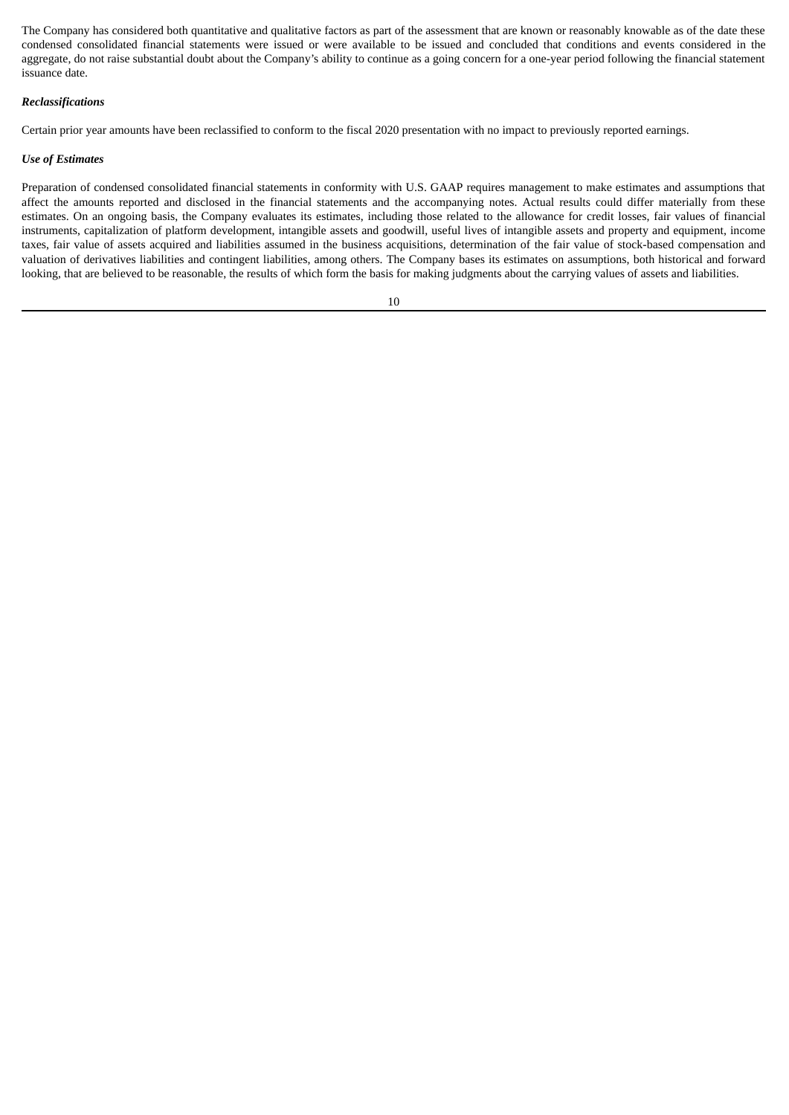The Company has considered both quantitative and qualitative factors as part of the assessment that are known or reasonably knowable as of the date these condensed consolidated financial statements were issued or were available to be issued and concluded that conditions and events considered in the aggregate, do not raise substantial doubt about the Company's ability to continue as a going concern for a one-year period following the financial statement issuance date.

# *Reclassifications*

Certain prior year amounts have been reclassified to conform to the fiscal 2020 presentation with no impact to previously reported earnings.

# *Use of Estimates*

Preparation of condensed consolidated financial statements in conformity with U.S. GAAP requires management to make estimates and assumptions that affect the amounts reported and disclosed in the financial statements and the accompanying notes. Actual results could differ materially from these estimates. On an ongoing basis, the Company evaluates its estimates, including those related to the allowance for credit losses, fair values of financial instruments, capitalization of platform development, intangible assets and goodwill, useful lives of intangible assets and property and equipment, income taxes, fair value of assets acquired and liabilities assumed in the business acquisitions, determination of the fair value of stock-based compensation and valuation of derivatives liabilities and contingent liabilities, among others. The Company bases its estimates on assumptions, both historical and forward looking, that are believed to be reasonable, the results of which form the basis for making judgments about the carrying values of assets and liabilities.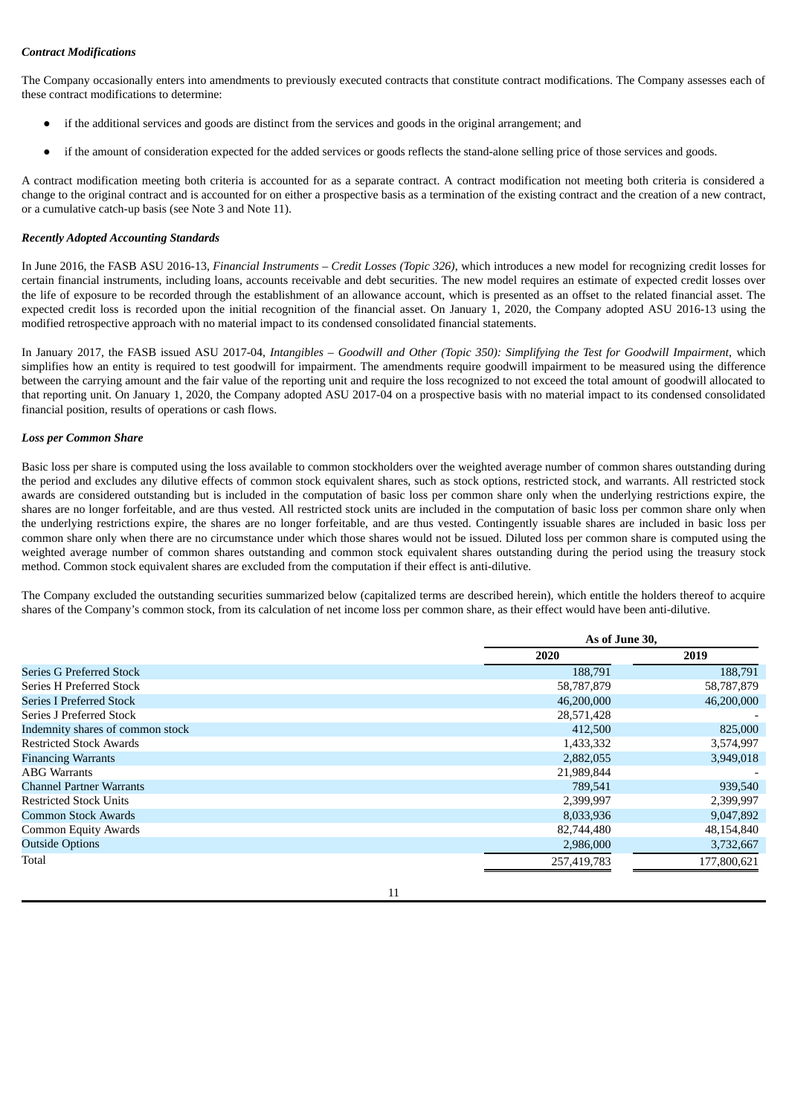### *Contract Modifications*

The Company occasionally enters into amendments to previously executed contracts that constitute contract modifications. The Company assesses each of these contract modifications to determine:

- if the additional services and goods are distinct from the services and goods in the original arrangement; and
- if the amount of consideration expected for the added services or goods reflects the stand-alone selling price of those services and goods.

A contract modification meeting both criteria is accounted for as a separate contract. A contract modification not meeting both criteria is considered a change to the original contract and is accounted for on either a prospective basis as a termination of the existing contract and the creation of a new contract, or a cumulative catch-up basis (see Note 3 and Note 11).

#### *Recently Adopted Accounting Standards*

In June 2016, the FASB ASU 2016-13, *Financial Instruments – Credit Losses (Topic 326)*, which introduces a new model for recognizing credit losses for certain financial instruments, including loans, accounts receivable and debt securities. The new model requires an estimate of expected credit losses over the life of exposure to be recorded through the establishment of an allowance account, which is presented as an offset to the related financial asset. The expected credit loss is recorded upon the initial recognition of the financial asset. On January 1, 2020, the Company adopted ASU 2016-13 using the modified retrospective approach with no material impact to its condensed consolidated financial statements.

In January 2017, the FASB issued ASU 2017-04, Intangibles - Goodwill and Other (Topic 350): Simplifying the Test for Goodwill Impairment, which simplifies how an entity is required to test goodwill for impairment. The amendments require goodwill impairment to be measured using the difference between the carrying amount and the fair value of the reporting unit and require the loss recognized to not exceed the total amount of goodwill allocated to that reporting unit. On January 1, 2020, the Company adopted ASU 2017-04 on a prospective basis with no material impact to its condensed consolidated financial position, results of operations or cash flows.

#### *Loss per Common Share*

Basic loss per share is computed using the loss available to common stockholders over the weighted average number of common shares outstanding during the period and excludes any dilutive effects of common stock equivalent shares, such as stock options, restricted stock, and warrants. All restricted stock awards are considered outstanding but is included in the computation of basic loss per common share only when the underlying restrictions expire, the shares are no longer forfeitable, and are thus vested. All restricted stock units are included in the computation of basic loss per common share only when the underlying restrictions expire, the shares are no longer forfeitable, and are thus vested. Contingently issuable shares are included in basic loss per common share only when there are no circumstance under which those shares would not be issued. Diluted loss per common share is computed using the weighted average number of common shares outstanding and common stock equivalent shares outstanding during the period using the treasury stock method. Common stock equivalent shares are excluded from the computation if their effect is anti-dilutive.

The Company excluded the outstanding securities summarized below (capitalized terms are described herein), which entitle the holders thereof to acquire shares of the Company's common stock, from its calculation of net income loss per common share, as their effect would have been anti-dilutive.

|                                  | As of June 30, |             |  |  |
|----------------------------------|----------------|-------------|--|--|
|                                  | 2020           | 2019        |  |  |
| Series G Preferred Stock         | 188,791        | 188,791     |  |  |
| Series H Preferred Stock         | 58,787,879     | 58,787,879  |  |  |
| <b>Series I Preferred Stock</b>  | 46,200,000     | 46,200,000  |  |  |
| Series J Preferred Stock         | 28,571,428     |             |  |  |
| Indemnity shares of common stock | 412,500        | 825,000     |  |  |
| <b>Restricted Stock Awards</b>   | 1,433,332      | 3,574,997   |  |  |
| <b>Financing Warrants</b>        | 2,882,055      | 3,949,018   |  |  |
| <b>ABG Warrants</b>              | 21,989,844     |             |  |  |
| <b>Channel Partner Warrants</b>  | 789,541        | 939,540     |  |  |
| <b>Restricted Stock Units</b>    | 2,399,997      | 2,399,997   |  |  |
| <b>Common Stock Awards</b>       | 8,033,936      | 9,047,892   |  |  |
| Common Equity Awards             | 82,744,480     | 48,154,840  |  |  |
| <b>Outside Options</b>           | 2,986,000      | 3,732,667   |  |  |
| Total                            | 257,419,783    | 177,800,621 |  |  |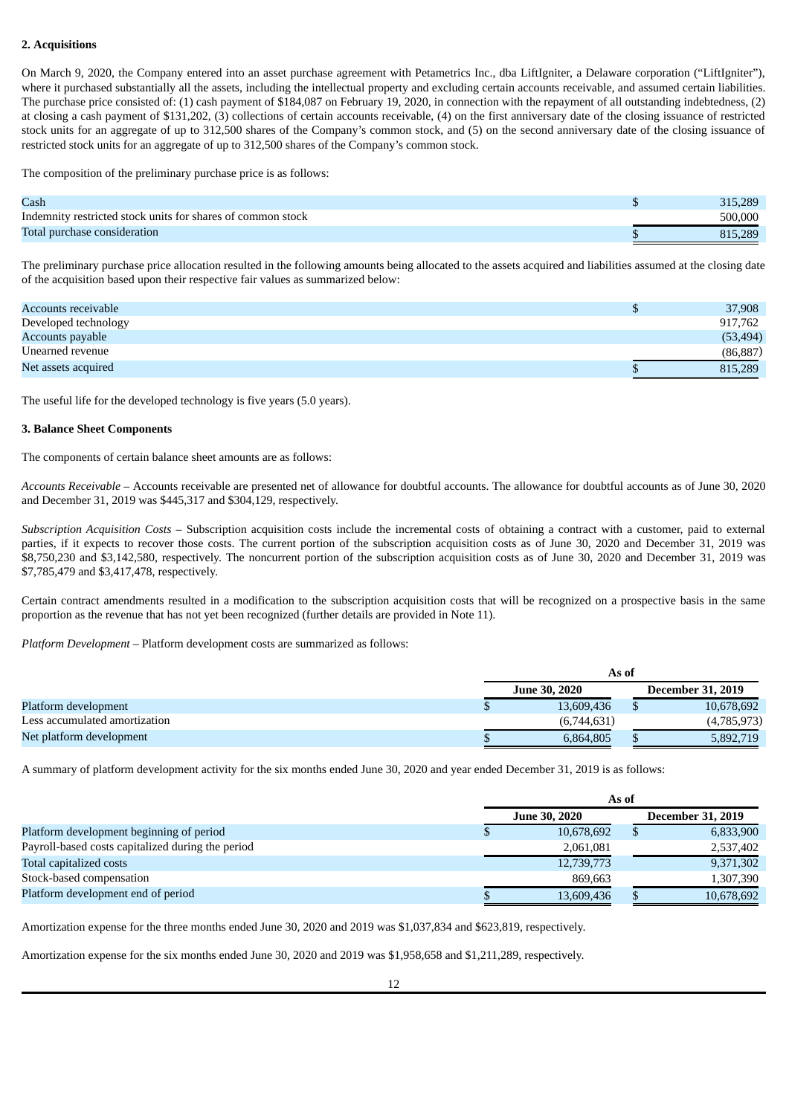# **2. Acquisitions**

On March 9, 2020, the Company entered into an asset purchase agreement with Petametrics Inc., dba LiftIgniter, a Delaware corporation ("LiftIgniter"), where it purchased substantially all the assets, including the intellectual property and excluding certain accounts receivable, and assumed certain liabilities. The purchase price consisted of: (1) cash payment of \$184,087 on February 19, 2020, in connection with the repayment of all outstanding indebtedness, (2) at closing a cash payment of \$131,202, (3) collections of certain accounts receivable, (4) on the first anniversary date of the closing issuance of restricted stock units for an aggregate of up to 312,500 shares of the Company's common stock, and (5) on the second anniversary date of the closing issuance of restricted stock units for an aggregate of up to 312,500 shares of the Company's common stock.

The composition of the preliminary purchase price is as follows:

| Cash                                                        | 315,289 |
|-------------------------------------------------------------|---------|
| Indemnity restricted stock units for shares of common stock | 500.000 |
| Total purchase consideration                                | 815,289 |

The preliminary purchase price allocation resulted in the following amounts being allocated to the assets acquired and liabilities assumed at the closing date of the acquisition based upon their respective fair values as summarized below:

| Accounts receivable  | 37,908    |
|----------------------|-----------|
| Developed technology | 917,762   |
| Accounts payable     | (53, 494) |
| Unearned revenue     | (86, 887) |
| Net assets acquired  | 815,289   |

The useful life for the developed technology is five years (5.0 years).

### **3. Balance Sheet Components**

The components of certain balance sheet amounts are as follows:

*Accounts Receivable* – Accounts receivable are presented net of allowance for doubtful accounts. The allowance for doubtful accounts as of June 30, 2020 and December 31, 2019 was \$445,317 and \$304,129, respectively.

*Subscription Acquisition Costs* – Subscription acquisition costs include the incremental costs of obtaining a contract with a customer, paid to external parties, if it expects to recover those costs. The current portion of the subscription acquisition costs as of June 30, 2020 and December 31, 2019 was \$8,750,230 and \$3,142,580, respectively. The noncurrent portion of the subscription acquisition costs as of June 30, 2020 and December 31, 2019 was \$7,785,479 and \$3,417,478, respectively.

Certain contract amendments resulted in a modification to the subscription acquisition costs that will be recognized on a prospective basis in the same proportion as the revenue that has not yet been recognized (further details are provided in Note 11).

*Platform Development* – Platform development costs are summarized as follows:

|                               |                      | As of       |  |                          |  |
|-------------------------------|----------------------|-------------|--|--------------------------|--|
|                               | <b>June 30, 2020</b> |             |  | <b>December 31, 2019</b> |  |
| Platform development          |                      | 13,609,436  |  | 10,678,692               |  |
| Less accumulated amortization |                      | (6,744,631) |  | (4,785,973)              |  |
| Net platform development      |                      | 6,864,805   |  | 5,892,719                |  |

A summary of platform development activity for the six months ended June 30, 2020 and year ended December 31, 2019 is as follows:

|                                                   | As of |                      |  |                          |  |  |  |
|---------------------------------------------------|-------|----------------------|--|--------------------------|--|--|--|
|                                                   |       | <b>June 30, 2020</b> |  | <b>December 31, 2019</b> |  |  |  |
| Platform development beginning of period          |       | 10,678,692           |  | 6,833,900                |  |  |  |
| Payroll-based costs capitalized during the period |       | 2,061,081            |  | 2,537,402                |  |  |  |
| Total capitalized costs                           |       | 12,739,773           |  | 9,371,302                |  |  |  |
| Stock-based compensation                          |       | 869.663              |  | 1,307,390                |  |  |  |
| Platform development end of period                |       | 13,609,436           |  | 10,678,692               |  |  |  |

Amortization expense for the three months ended June 30, 2020 and 2019 was \$1,037,834 and \$623,819, respectively.

Amortization expense for the six months ended June 30, 2020 and 2019 was \$1,958,658 and \$1,211,289, respectively.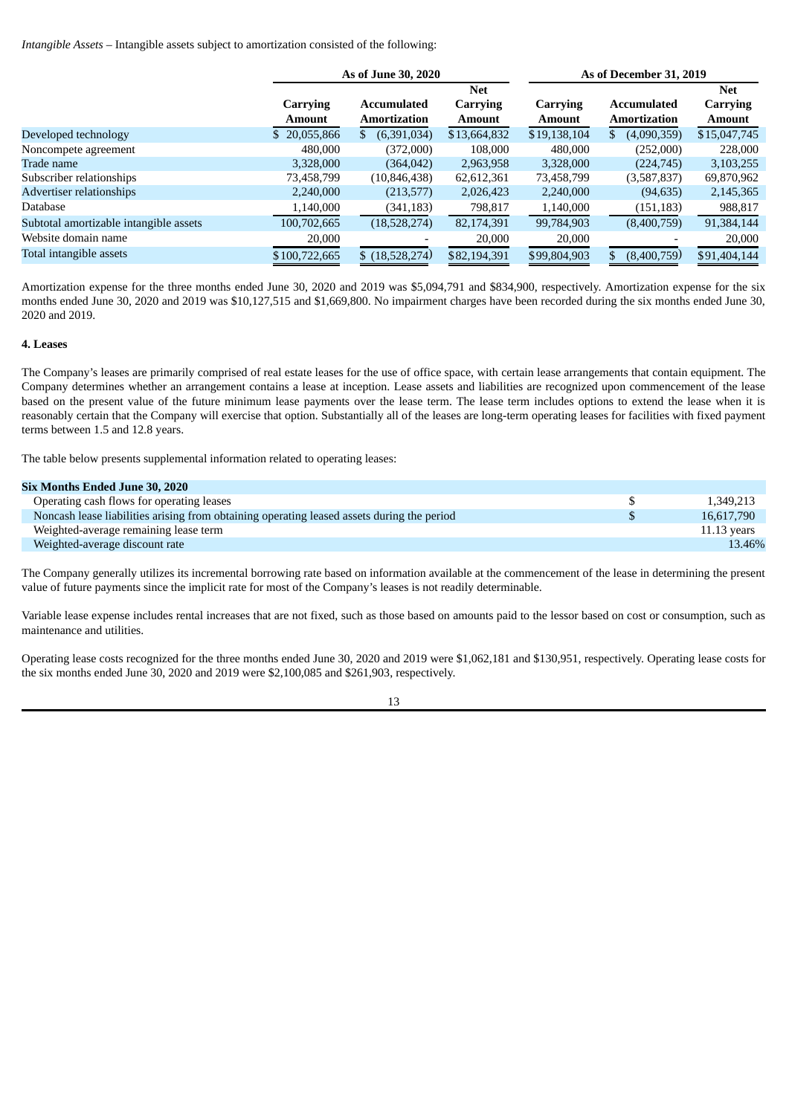*Intangible Assets* – Intangible assets subject to amortization consisted of the following:

|                                        |                           | As of June 30, 2020         |                                         | As of December 31, 2019   |                                    |                                                |  |  |  |
|----------------------------------------|---------------------------|-----------------------------|-----------------------------------------|---------------------------|------------------------------------|------------------------------------------------|--|--|--|
|                                        | Carrying<br><b>Amount</b> | Accumulated<br>Amortization | <b>Net</b><br><b>Carrying</b><br>Amount | Carrying<br><b>Amount</b> | Accumulated<br><b>Amortization</b> | <b>Net</b><br><b>Carrying</b><br><b>Amount</b> |  |  |  |
| Developed technology                   | \$20,055,866              | (6,391,034)<br>S            | \$13,664,832                            | \$19,138,104              | (4,090,359)<br>S.                  | \$15,047,745                                   |  |  |  |
| Noncompete agreement                   | 480,000                   | (372,000)                   | 108,000                                 | 480,000                   | (252,000)                          | 228,000                                        |  |  |  |
| Trade name                             | 3,328,000                 | (364, 042)                  | 2,963,958                               | 3,328,000                 | (224,745)                          | 3,103,255                                      |  |  |  |
| Subscriber relationships               | 73,458,799                | (10, 846, 438)              | 62,612,361                              | 73,458,799                | (3,587,837)                        | 69,870,962                                     |  |  |  |
| Advertiser relationships               | 2,240,000                 | (213,577)                   | 2,026,423                               | 2,240,000                 | (94, 635)                          | 2,145,365                                      |  |  |  |
| Database                               | 1,140,000                 | (341, 183)                  | 798,817                                 | 1,140,000                 | (151, 183)                         | 988,817                                        |  |  |  |
| Subtotal amortizable intangible assets | 100,702,665               | (18,528,274)                | 82,174,391                              | 99,784,903                | (8,400,759)                        | 91,384,144                                     |  |  |  |
| Website domain name                    | 20,000                    |                             | 20,000                                  | 20,000                    |                                    | 20,000                                         |  |  |  |
| Total intangible assets                | \$100,722,665             | \$(18,528,274)              | \$82,194,391                            | \$99,804,903              | (8,400,759)<br><sup>\$</sup>       | \$91,404,144                                   |  |  |  |

Amortization expense for the three months ended June 30, 2020 and 2019 was \$5,094,791 and \$834,900, respectively. Amortization expense for the six months ended June 30, 2020 and 2019 was \$10,127,515 and \$1,669,800. No impairment charges have been recorded during the six months ended June 30, 2020 and 2019.

#### **4. Leases**

The Company's leases are primarily comprised of real estate leases for the use of office space, with certain lease arrangements that contain equipment. The Company determines whether an arrangement contains a lease at inception. Lease assets and liabilities are recognized upon commencement of the lease based on the present value of the future minimum lease payments over the lease term. The lease term includes options to extend the lease when it is reasonably certain that the Company will exercise that option. Substantially all of the leases are long-term operating leases for facilities with fixed payment terms between 1.5 and 12.8 years.

The table below presents supplemental information related to operating leases:

| <b>Six Months Ended June 30, 2020</b>                                                      |               |
|--------------------------------------------------------------------------------------------|---------------|
| Operating cash flows for operating leases                                                  | 1.349.213     |
| Noncash lease liabilities arising from obtaining operating leased assets during the period | 16.617.790    |
| Weighted-average remaining lease term                                                      | $11.13$ years |
| Weighted-average discount rate                                                             | 13.46%        |

The Company generally utilizes its incremental borrowing rate based on information available at the commencement of the lease in determining the present value of future payments since the implicit rate for most of the Company's leases is not readily determinable.

Variable lease expense includes rental increases that are not fixed, such as those based on amounts paid to the lessor based on cost or consumption, such as maintenance and utilities.

Operating lease costs recognized for the three months ended June 30, 2020 and 2019 were \$1,062,181 and \$130,951, respectively. Operating lease costs for the six months ended June 30, 2020 and 2019 were \$2,100,085 and \$261,903, respectively.

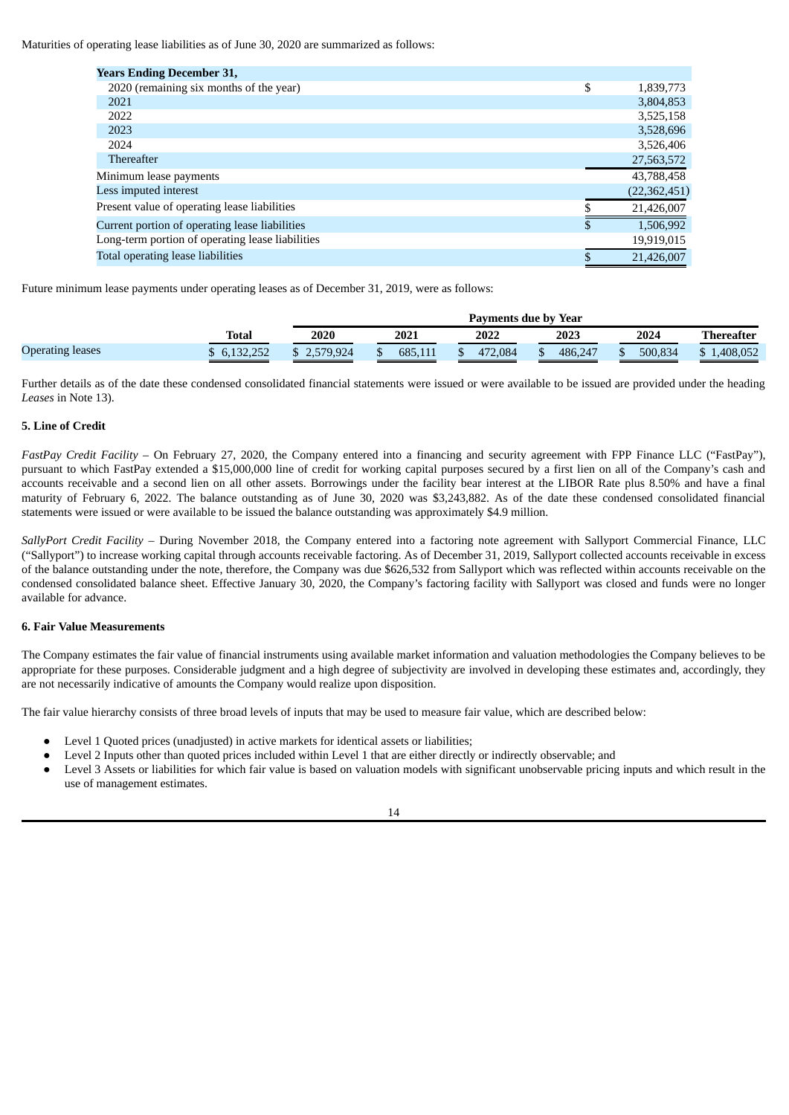Maturities of operating lease liabilities as of June 30, 2020 are summarized as follows:

| <b>Years Ending December 31,</b>                 |                 |
|--------------------------------------------------|-----------------|
| 2020 (remaining six months of the year)          | \$<br>1,839,773 |
| 2021                                             | 3,804,853       |
| 2022                                             | 3,525,158       |
| 2023                                             | 3,528,696       |
| 2024                                             | 3,526,406       |
| <b>Thereafter</b>                                | 27,563,572      |
| Minimum lease payments                           | 43,788,458      |
| Less imputed interest                            | (22, 362, 451)  |
| Present value of operating lease liabilities     | 21,426,007      |
| Current portion of operating lease liabilities   | 1.506.992       |
| Long-term portion of operating lease liabilities | 19,919,015      |
| Total operating lease liabilities                | 21,426,007      |

Future minimum lease payments under operating leases as of December 31, 2019, were as follows:

|                         |                            |                   | <b>Payments due by Year</b> |         |                |         |                 |  |  |  |  |
|-------------------------|----------------------------|-------------------|-----------------------------|---------|----------------|---------|-----------------|--|--|--|--|
|                         | <b>Total</b>               | 2020              | 2021                        | 2022    | 2023           | 2024    | Thereafter      |  |  |  |  |
| <b>Operating leases</b> | C 199<br>$v_1$ lua, $\sim$ | 579,924<br>$-0.7$ | 685,111                     | 472.084 | 486,247<br>داء | 500,834 | 108,052<br>.408 |  |  |  |  |

Further details as of the date these condensed consolidated financial statements were issued or were available to be issued are provided under the heading *Leases* in Note 13).

#### **5. Line of Credit**

*FastPay Credit Facility* – On February 27, 2020, the Company entered into a financing and security agreement with FPP Finance LLC ("FastPay"), pursuant to which FastPay extended a \$15,000,000 line of credit for working capital purposes secured by a first lien on all of the Company's cash and accounts receivable and a second lien on all other assets. Borrowings under the facility bear interest at the LIBOR Rate plus 8.50% and have a final maturity of February 6, 2022. The balance outstanding as of June 30, 2020 was \$3,243,882. As of the date these condensed consolidated financial statements were issued or were available to be issued the balance outstanding was approximately \$4.9 million.

*SallyPort Credit Facility* – During November 2018, the Company entered into a factoring note agreement with Sallyport Commercial Finance, LLC ("Sallyport") to increase working capital through accounts receivable factoring. As of December 31, 2019, Sallyport collected accounts receivable in excess of the balance outstanding under the note, therefore, the Company was due \$626,532 from Sallyport which was reflected within accounts receivable on the condensed consolidated balance sheet. Effective January 30, 2020, the Company's factoring facility with Sallyport was closed and funds were no longer available for advance.

#### **6. Fair Value Measurements**

The Company estimates the fair value of financial instruments using available market information and valuation methodologies the Company believes to be appropriate for these purposes. Considerable judgment and a high degree of subjectivity are involved in developing these estimates and, accordingly, they are not necessarily indicative of amounts the Company would realize upon disposition.

The fair value hierarchy consists of three broad levels of inputs that may be used to measure fair value, which are described below:

- Level 1 Quoted prices (unadjusted) in active markets for identical assets or liabilities;
- Level 2 Inputs other than quoted prices included within Level 1 that are either directly or indirectly observable; and
- Level 3 Assets or liabilities for which fair value is based on valuation models with significant unobservable pricing inputs and which result in the use of management estimates.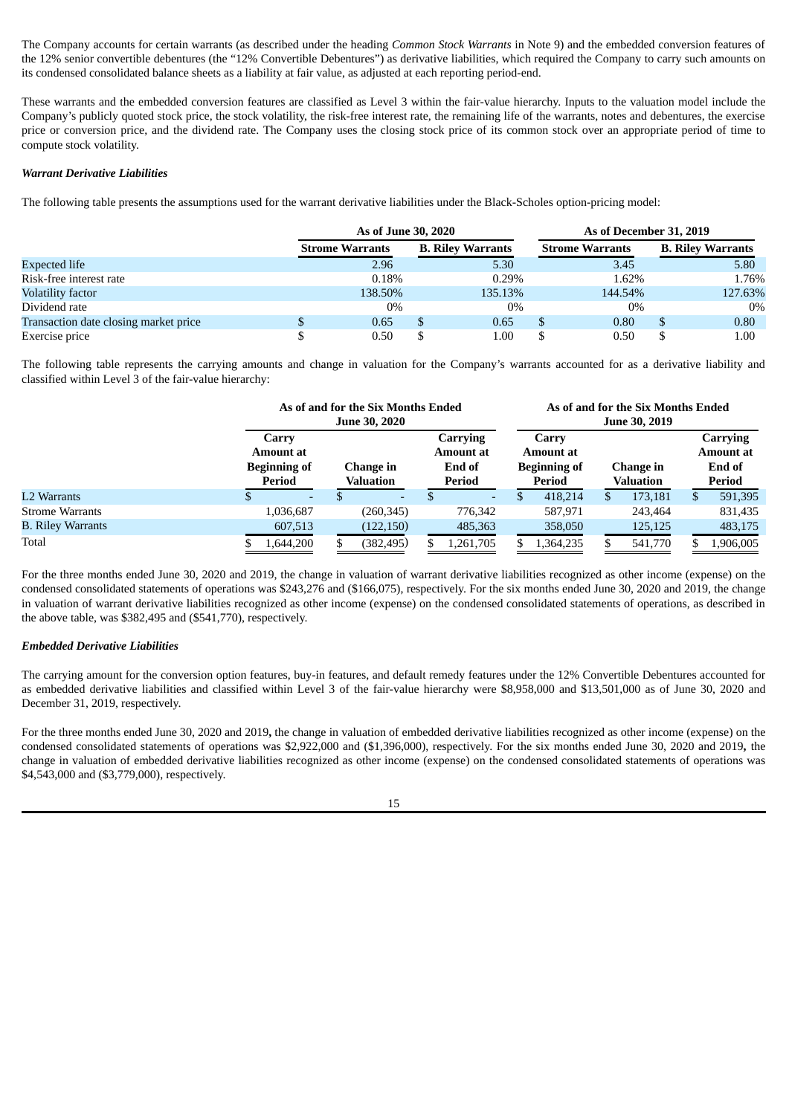The Company accounts for certain warrants (as described under the heading *Common Stock Warrants* in Note 9) and the embedded conversion features of the 12% senior convertible debentures (the "12% Convertible Debentures") as derivative liabilities, which required the Company to carry such amounts on its condensed consolidated balance sheets as a liability at fair value, as adjusted at each reporting period-end.

These warrants and the embedded conversion features are classified as Level 3 within the fair-value hierarchy. Inputs to the valuation model include the Company's publicly quoted stock price, the stock volatility, the risk-free interest rate, the remaining life of the warrants, notes and debentures, the exercise price or conversion price, and the dividend rate. The Company uses the closing stock price of its common stock over an appropriate period of time to compute stock volatility.

### *Warrant Derivative Liabilities*

The following table presents the assumptions used for the warrant derivative liabilities under the Black-Scholes option-pricing model:

|                                       | As of June 30, 2020    |                          |         | As of December 31, 2019 |         |                          |  |
|---------------------------------------|------------------------|--------------------------|---------|-------------------------|---------|--------------------------|--|
|                                       | <b>Strome Warrants</b> | <b>B. Riley Warrants</b> |         | <b>Strome Warrants</b>  |         | <b>B. Riley Warrants</b> |  |
| <b>Expected life</b>                  | 2.96                   |                          | 5.30    |                         | 3.45    | 5.80                     |  |
| Risk-free interest rate               | 0.18%                  |                          | 0.29%   |                         | 1.62%   | 1.76%                    |  |
| <b>Volatility factor</b>              | 138.50%                |                          | 135.13% |                         | 144.54% | 127.63%                  |  |
| Dividend rate                         | $0\%$                  |                          | 0%      |                         | $0\%$   | $0\%$                    |  |
| Transaction date closing market price | 0.65                   | \$                       | 0.65    |                         | 0.80    | 0.80                     |  |
| Exercise price                        | 0.50                   | \$                       | 1.00    |                         | 0.50    | 1.00                     |  |

The following table represents the carrying amounts and change in valuation for the Company's warrants accounted for as a derivative liability and classified within Level 3 of the fair-value hierarchy:

|                          |  | As of and for the Six Months Ended<br><b>June 30, 2020</b> |  |                               |  |                                           |  | As of and for the Six Months Ended                  |  |                               |    |                                                         |  |  |
|--------------------------|--|------------------------------------------------------------|--|-------------------------------|--|-------------------------------------------|--|-----------------------------------------------------|--|-------------------------------|----|---------------------------------------------------------|--|--|
|                          |  |                                                            |  |                               |  |                                           |  | <b>June 30, 2019</b>                                |  |                               |    |                                                         |  |  |
|                          |  | Carry<br>Amount at<br><b>Beginning of</b><br>Period        |  | Change in<br><b>Valuation</b> |  | Carrying<br>Amount at<br>End of<br>Period |  | Carry<br>Amount at<br><b>Beginning of</b><br>Period |  | Change in<br><b>Valuation</b> |    | <b>Carrying</b><br><b>Amount</b> at<br>End of<br>Period |  |  |
| L2 Warrants              |  | $\overline{\phantom{a}}$                                   |  | ٠                             |  | $\overline{\phantom{0}}$                  |  | 418.214                                             |  | 173,181                       | S. | 591,395                                                 |  |  |
| <b>Strome Warrants</b>   |  | 1,036,687                                                  |  | (260, 345)                    |  | 776,342                                   |  | 587,971                                             |  | 243,464                       |    | 831,435                                                 |  |  |
| <b>B. Riley Warrants</b> |  | 607,513                                                    |  | (122, 150)                    |  | 485,363                                   |  | 358,050                                             |  | 125,125                       |    | 483,175                                                 |  |  |
| Total                    |  | 1,644,200                                                  |  | (382,495)                     |  | ,261,705                                  |  | ,364,235                                            |  | 541,770                       |    | 1,906,005                                               |  |  |

For the three months ended June 30, 2020 and 2019, the change in valuation of warrant derivative liabilities recognized as other income (expense) on the condensed consolidated statements of operations was \$243,276 and (\$166,075), respectively. For the six months ended June 30, 2020 and 2019, the change in valuation of warrant derivative liabilities recognized as other income (expense) on the condensed consolidated statements of operations, as described in the above table, was \$382,495 and (\$541,770), respectively.

#### *Embedded Derivative Liabilities*

The carrying amount for the conversion option features, buy-in features, and default remedy features under the 12% Convertible Debentures accounted for as embedded derivative liabilities and classified within Level 3 of the fair-value hierarchy were \$8,958,000 and \$13,501,000 as of June 30, 2020 and December 31, 2019, respectively.

For the three months ended June 30, 2020 and 2019**,** the change in valuation of embedded derivative liabilities recognized as other income (expense) on the condensed consolidated statements of operations was \$2,922,000 and (\$1,396,000), respectively. For the six months ended June 30, 2020 and 2019**,** the change in valuation of embedded derivative liabilities recognized as other income (expense) on the condensed consolidated statements of operations was \$4,543,000 and (\$3,779,000), respectively.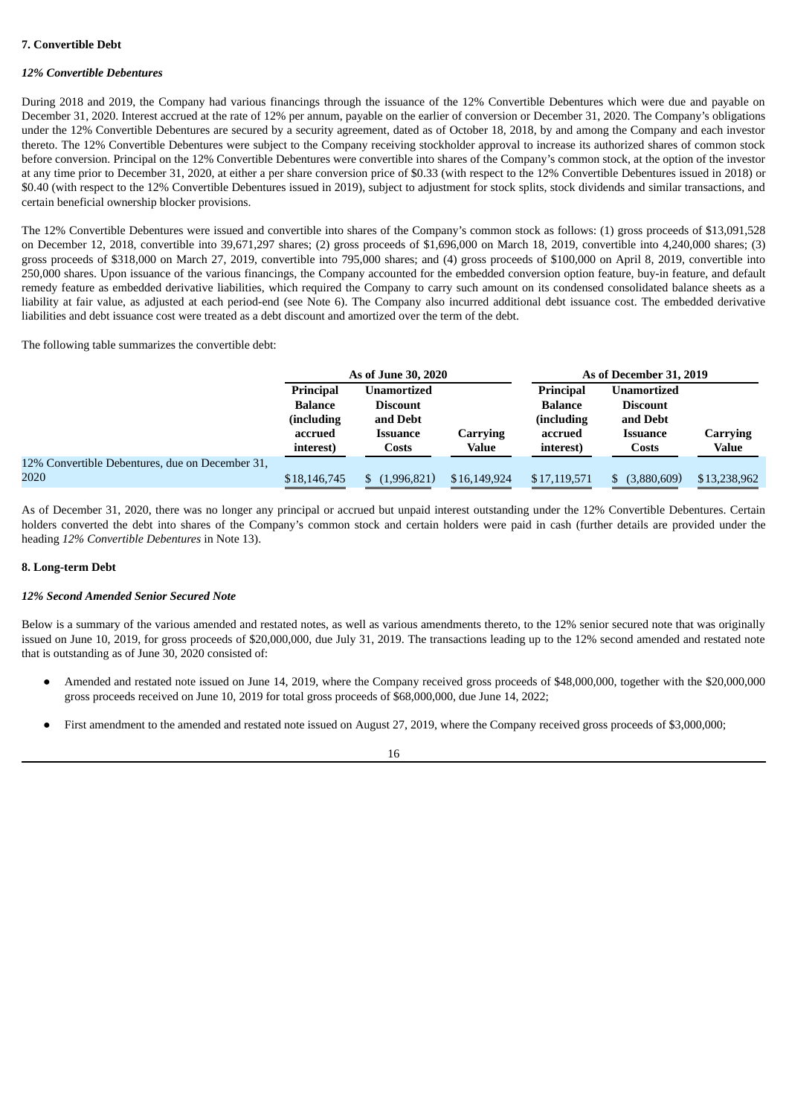## **7. Convertible Debt**

# *12% Convertible Debentures*

During 2018 and 2019, the Company had various financings through the issuance of the 12% Convertible Debentures which were due and payable on December 31, 2020. Interest accrued at the rate of 12% per annum, payable on the earlier of conversion or December 31, 2020. The Company's obligations under the 12% Convertible Debentures are secured by a security agreement, dated as of October 18, 2018, by and among the Company and each investor thereto. The 12% Convertible Debentures were subject to the Company receiving stockholder approval to increase its authorized shares of common stock before conversion. Principal on the 12% Convertible Debentures were convertible into shares of the Company's common stock, at the option of the investor at any time prior to December 31, 2020, at either a per share conversion price of \$0.33 (with respect to the 12% Convertible Debentures issued in 2018) or \$0.40 (with respect to the 12% Convertible Debentures issued in 2019), subject to adjustment for stock splits, stock dividends and similar transactions, and certain beneficial ownership blocker provisions.

The 12% Convertible Debentures were issued and convertible into shares of the Company's common stock as follows: (1) gross proceeds of \$13,091,528 on December 12, 2018, convertible into 39,671,297 shares; (2) gross proceeds of \$1,696,000 on March 18, 2019, convertible into 4,240,000 shares; (3) gross proceeds of \$318,000 on March 27, 2019, convertible into 795,000 shares; and (4) gross proceeds of \$100,000 on April 8, 2019, convertible into 250,000 shares. Upon issuance of the various financings, the Company accounted for the embedded conversion option feature, buy-in feature, and default remedy feature as embedded derivative liabilities, which required the Company to carry such amount on its condensed consolidated balance sheets as a liability at fair value, as adjusted at each period-end (see Note 6). The Company also incurred additional debt issuance cost. The embedded derivative liabilities and debt issuance cost were treated as a debt discount and amortized over the term of the debt.

The following table summarizes the convertible debt:

|                                                 |                    | As of June 30, 2020 |              | As of December 31, 2019 |                 |              |  |  |
|-------------------------------------------------|--------------------|---------------------|--------------|-------------------------|-----------------|--------------|--|--|
|                                                 | <b>Principal</b>   | Unamortized         |              | <b>Principal</b>        | Unamortized     |              |  |  |
|                                                 | <b>Balance</b>     | <b>Discount</b>     |              | <b>Balance</b>          | <b>Discount</b> |              |  |  |
|                                                 | <i>(including)</i> | and Debt            |              | <i>(including)</i>      | and Debt        |              |  |  |
|                                                 | accrued            | <b>Issuance</b>     | Carrving     | accrued                 | Issuance        | Carrying     |  |  |
|                                                 | interest)          | Costs               | Value        | interest)               | Costs           | Value        |  |  |
| 12% Convertible Debentures, due on December 31, |                    |                     |              |                         |                 |              |  |  |
| 2020                                            | \$18,146,745       | (1,996,821)         | \$16,149,924 | \$17,119,571            | $$$ (3,880,609) | \$13,238,962 |  |  |

As of December 31, 2020, there was no longer any principal or accrued but unpaid interest outstanding under the 12% Convertible Debentures. Certain holders converted the debt into shares of the Company's common stock and certain holders were paid in cash (further details are provided under the heading *12% Convertible Debentures* in Note 13).

## **8. Long-term Debt**

## *12% Second Amended Senior Secured Note*

Below is a summary of the various amended and restated notes, as well as various amendments thereto, to the 12% senior secured note that was originally issued on June 10, 2019, for gross proceeds of \$20,000,000, due July 31, 2019. The transactions leading up to the 12% second amended and restated note that is outstanding as of June 30, 2020 consisted of:

- Amended and restated note issued on June 14, 2019, where the Company received gross proceeds of \$48,000,000, together with the \$20,000,000 gross proceeds received on June 10, 2019 for total gross proceeds of \$68,000,000, due June 14, 2022;
- First amendment to the amended and restated note issued on August 27, 2019, where the Company received gross proceeds of \$3,000,000;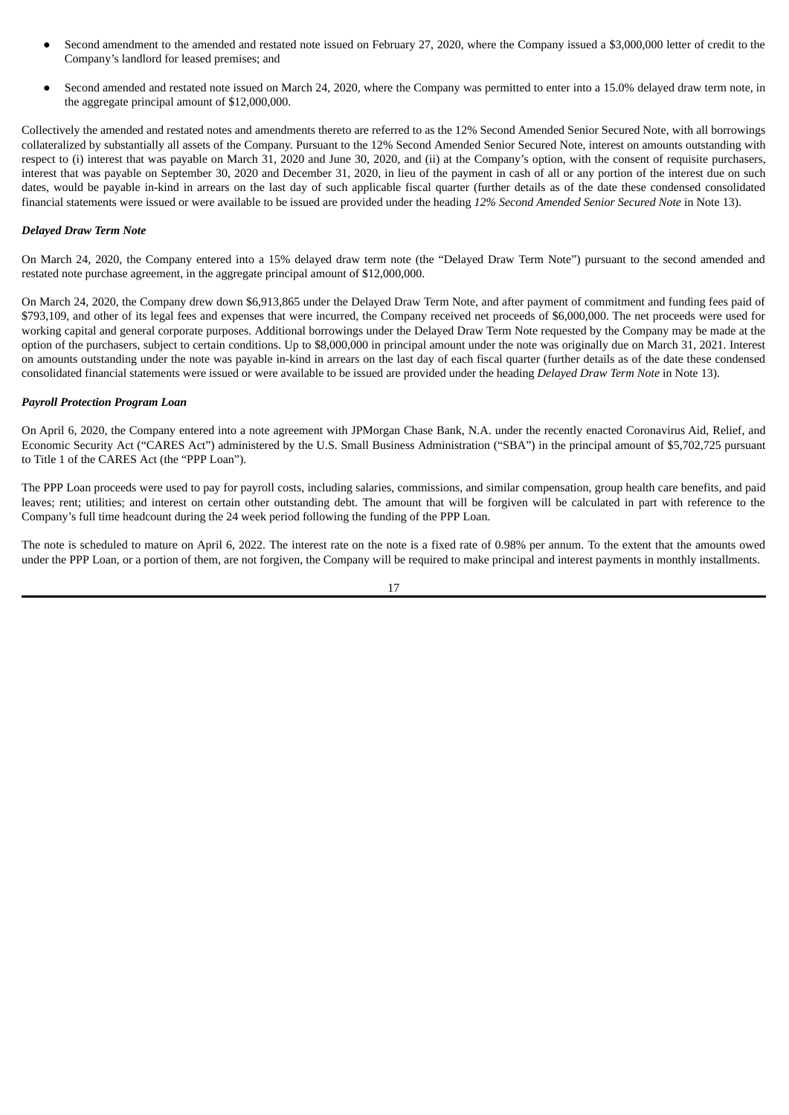- Second amendment to the amended and restated note issued on February 27, 2020, where the Company issued a \$3,000,000 letter of credit to the Company's landlord for leased premises; and
- Second amended and restated note issued on March 24, 2020, where the Company was permitted to enter into a 15.0% delayed draw term note, in the aggregate principal amount of \$12,000,000.

Collectively the amended and restated notes and amendments thereto are referred to as the 12% Second Amended Senior Secured Note, with all borrowings collateralized by substantially all assets of the Company. Pursuant to the 12% Second Amended Senior Secured Note, interest on amounts outstanding with respect to (i) interest that was payable on March 31, 2020 and June 30, 2020, and (ii) at the Company's option, with the consent of requisite purchasers, interest that was payable on September 30, 2020 and December 31, 2020, in lieu of the payment in cash of all or any portion of the interest due on such dates, would be payable in-kind in arrears on the last day of such applicable fiscal quarter (further details as of the date these condensed consolidated financial statements were issued or were available to be issued are provided under the heading *12% Second Amended Senior Secured Note* in Note 13).

#### *Delayed Draw Term Note*

On March 24, 2020, the Company entered into a 15% delayed draw term note (the "Delayed Draw Term Note") pursuant to the second amended and restated note purchase agreement, in the aggregate principal amount of \$12,000,000.

On March 24, 2020, the Company drew down \$6,913,865 under the Delayed Draw Term Note, and after payment of commitment and funding fees paid of \$793,109, and other of its legal fees and expenses that were incurred, the Company received net proceeds of \$6,000,000. The net proceeds were used for working capital and general corporate purposes. Additional borrowings under the Delayed Draw Term Note requested by the Company may be made at the option of the purchasers, subject to certain conditions. Up to \$8,000,000 in principal amount under the note was originally due on March 31, 2021. Interest on amounts outstanding under the note was payable in-kind in arrears on the last day of each fiscal quarter (further details as of the date these condensed consolidated financial statements were issued or were available to be issued are provided under the heading *Delayed Draw Term Note* in Note 13).

#### *Payroll Protection Program Loan*

On April 6, 2020, the Company entered into a note agreement with JPMorgan Chase Bank, N.A. under the recently enacted Coronavirus Aid, Relief, and Economic Security Act ("CARES Act") administered by the U.S. Small Business Administration ("SBA") in the principal amount of \$5,702,725 pursuant to Title 1 of the CARES Act (the "PPP Loan").

The PPP Loan proceeds were used to pay for payroll costs, including salaries, commissions, and similar compensation, group health care benefits, and paid leaves; rent; utilities; and interest on certain other outstanding debt. The amount that will be forgiven will be calculated in part with reference to the Company's full time headcount during the 24 week period following the funding of the PPP Loan.

The note is scheduled to mature on April 6, 2022. The interest rate on the note is a fixed rate of 0.98% per annum. To the extent that the amounts owed under the PPP Loan, or a portion of them, are not forgiven, the Company will be required to make principal and interest payments in monthly installments.

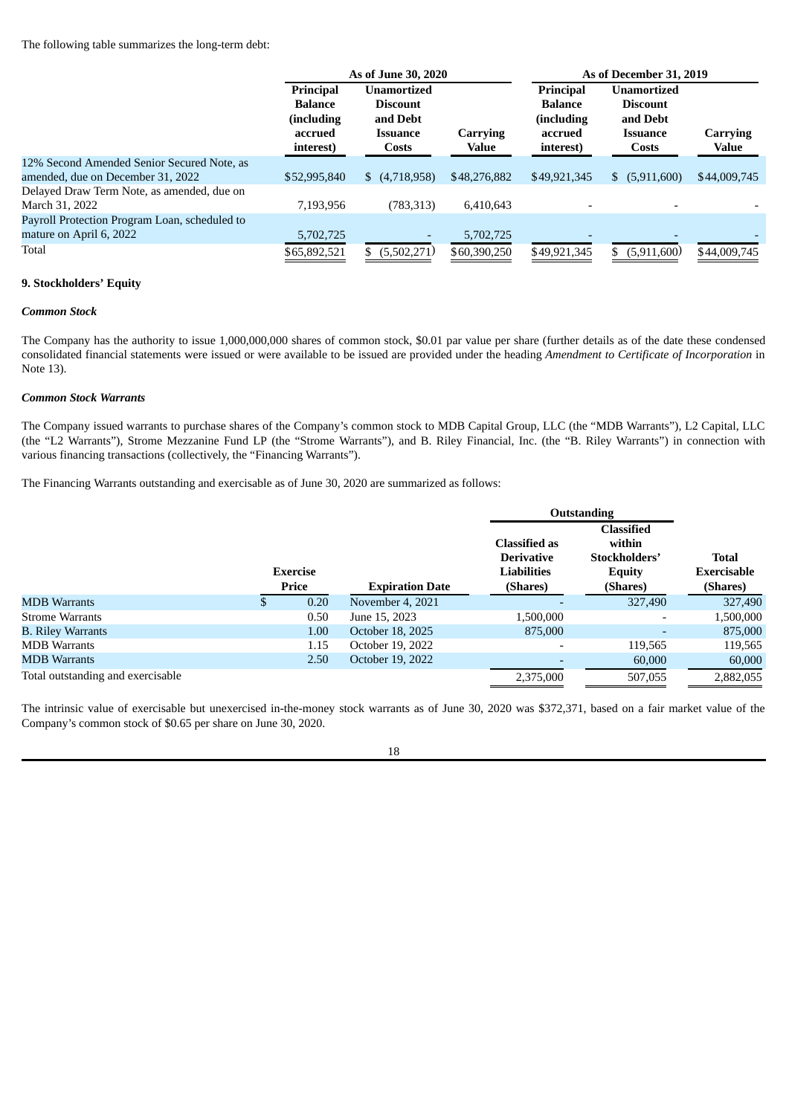The following table summarizes the long-term debt:

|                                                                                 |                                                                           | As of June 30, 2020                                                           |                   | As of December 31, 2019                                                          |                                                                        |                                 |  |  |  |
|---------------------------------------------------------------------------------|---------------------------------------------------------------------------|-------------------------------------------------------------------------------|-------------------|----------------------------------------------------------------------------------|------------------------------------------------------------------------|---------------------------------|--|--|--|
|                                                                                 | <b>Principal</b><br><b>Balance</b><br>(including)<br>accrued<br>interest) | <b>Unamortized</b><br><b>Discount</b><br>and Debt<br><b>Issuance</b><br>Costs | Carrying<br>Value | <b>Principal</b><br><b>Balance</b><br><i>(including)</i><br>accrued<br>interest) | <b>Unamortized</b><br><b>Discount</b><br>and Debt<br>Issuance<br>Costs | <b>Carrying</b><br><b>Value</b> |  |  |  |
| 12% Second Amended Senior Secured Note, as<br>amended, due on December 31, 2022 | \$52,995,840                                                              | (4,718,958)                                                                   | \$48,276,882      | \$49,921,345                                                                     | \$ (5,911,600)                                                         | \$44,009,745                    |  |  |  |
| Delayed Draw Term Note, as amended, due on<br>March 31, 2022                    | 7,193,956                                                                 | (783, 313)                                                                    | 6,410,643         |                                                                                  |                                                                        |                                 |  |  |  |
| Payroll Protection Program Loan, scheduled to<br>mature on April 6, 2022        | 5,702,725                                                                 |                                                                               | 5,702,725         |                                                                                  |                                                                        |                                 |  |  |  |
| Total                                                                           | \$65,892,521                                                              | (5,502,271)                                                                   | \$60,390,250      | \$49,921,345                                                                     | \$ (5,911,600)                                                         | \$44,009,745                    |  |  |  |

# **9. Stockholders' Equity**

# *Common Stock*

The Company has the authority to issue 1,000,000,000 shares of common stock, \$0.01 par value per share (further details as of the date these condensed consolidated financial statements were issued or were available to be issued are provided under the heading *Amendment to Certificate of Incorporation* in Note 13).

# *Common Stock Warrants*

The Company issued warrants to purchase shares of the Company's common stock to MDB Capital Group, LLC (the "MDB Warrants"), L2 Capital, LLC (the "L2 Warrants"), Strome Mezzanine Fund LP (the "Strome Warrants"), and B. Riley Financial, Inc. (the "B. Riley Warrants") in connection with various financing transactions (collectively, the "Financing Warrants").

The Financing Warrants outstanding and exercisable as of June 30, 2020 are summarized as follows:

|                                   |   |                          |                        |                                                                             | <b>Outstanding</b>                                                        |                                  |
|-----------------------------------|---|--------------------------|------------------------|-----------------------------------------------------------------------------|---------------------------------------------------------------------------|----------------------------------|
|                                   |   | <b>Exercise</b><br>Price | <b>Expiration Date</b> | <b>Classified as</b><br><b>Derivative</b><br><b>Liabilities</b><br>(Shares) | <b>Classified</b><br>within<br>Stockholders'<br><b>Equity</b><br>(Shares) | Total<br>Exercisable<br>(Shares) |
| <b>MDB</b> Warrants               | S | 0.20                     | November 4, 2021       | $\overline{\phantom{0}}$                                                    | 327,490                                                                   | 327,490                          |
| <b>Strome Warrants</b>            |   | 0.50                     | June 15, 2023          | 1,500,000                                                                   | $\overline{\phantom{a}}$                                                  | 1,500,000                        |
| <b>B. Riley Warrants</b>          |   | 1.00                     | October 18, 2025       | 875,000                                                                     | $\overline{\phantom{0}}$                                                  | 875,000                          |
| <b>MDB</b> Warrants               |   | 1.15                     | October 19, 2022       | $\overline{\phantom{0}}$                                                    | 119,565                                                                   | 119,565                          |
| <b>MDB</b> Warrants               |   | 2.50                     | October 19, 2022       | $\overline{\phantom{a}}$                                                    | 60,000                                                                    | 60,000                           |
| Total outstanding and exercisable |   |                          |                        | 2,375,000                                                                   | 507,055                                                                   | 2,882,055                        |

The intrinsic value of exercisable but unexercised in-the-money stock warrants as of June 30, 2020 was \$372,371, based on a fair market value of the Company's common stock of \$0.65 per share on June 30, 2020.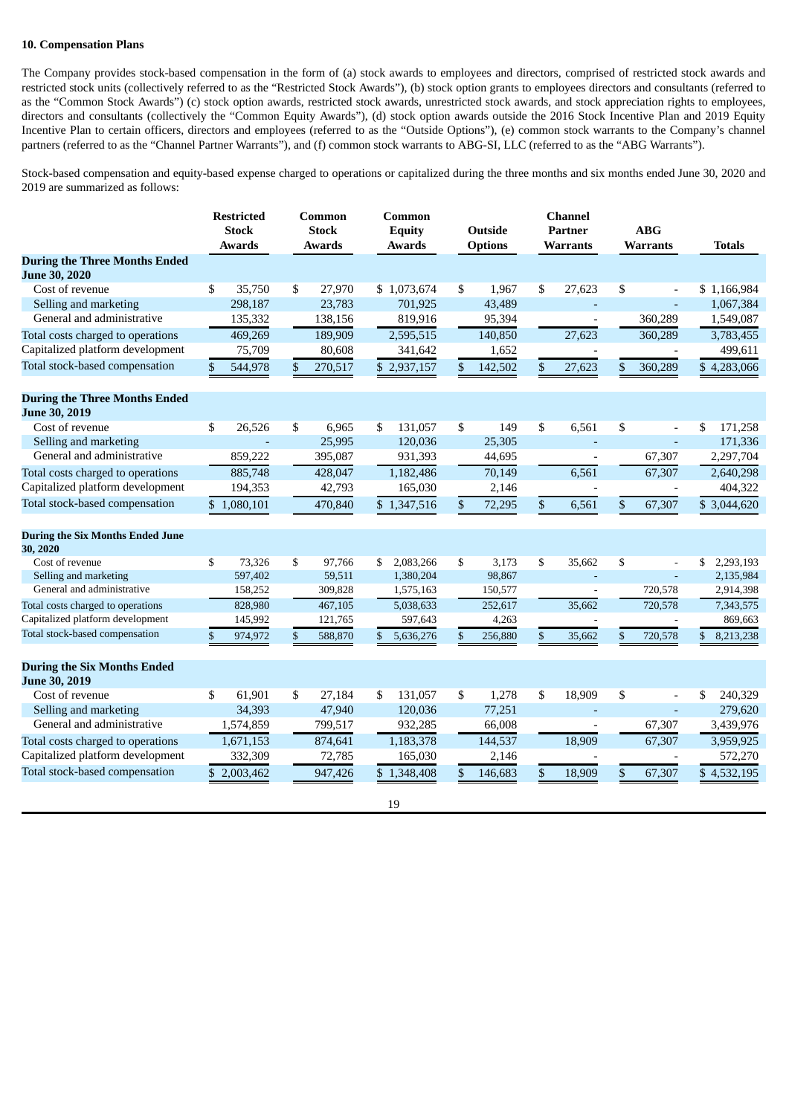# **10. Compensation Plans**

The Company provides stock-based compensation in the form of (a) stock awards to employees and directors, comprised of restricted stock awards and restricted stock units (collectively referred to as the "Restricted Stock Awards"), (b) stock option grants to employees directors and consultants (referred to as the "Common Stock Awards") (c) stock option awards, restricted stock awards, unrestricted stock awards, and stock appreciation rights to employees, directors and consultants (collectively the "Common Equity Awards"), (d) stock option awards outside the 2016 Stock Incentive Plan and 2019 Equity Incentive Plan to certain officers, directors and employees (referred to as the "Outside Options"), (e) common stock warrants to the Company's channel partners (referred to as the "Channel Partner Warrants"), and (f) common stock warrants to ABG-SI, LLC (referred to as the "ABG Warrants").

Stock-based compensation and equity-based expense charged to operations or capitalized during the three months and six months ended June 30, 2020 and 2019 are summarized as follows:

|                                                            | <b>Restricted</b><br><b>Stock</b><br>Awards |              | Common<br><b>Stock</b><br>Awards | Common<br><b>Equity</b><br>Awards | <b>Outside</b><br><b>Options</b> |              | <b>Channel</b><br><b>Partner</b><br><b>Warrants</b> |              | <b>ABG</b><br><b>Warrants</b> | Totals          |
|------------------------------------------------------------|---------------------------------------------|--------------|----------------------------------|-----------------------------------|----------------------------------|--------------|-----------------------------------------------------|--------------|-------------------------------|-----------------|
| <b>During the Three Months Ended</b>                       |                                             |              |                                  |                                   |                                  |              |                                                     |              |                               |                 |
| <b>June 30, 2020</b>                                       |                                             |              |                                  |                                   |                                  |              |                                                     |              |                               |                 |
| Cost of revenue                                            | \$<br>35,750                                | \$           | 27,970                           | \$1,073,674                       | \$<br>1,967                      | \$           | 27,623                                              | \$           |                               | \$1,166,984     |
| Selling and marketing                                      | 298,187                                     |              | 23,783                           | 701,925                           | 43,489                           |              | $\overline{a}$                                      |              |                               | 1,067,384       |
| General and administrative                                 | 135,332                                     |              | 138,156                          | 819,916                           | 95,394                           |              |                                                     |              | 360,289                       | 1,549,087       |
| Total costs charged to operations                          | 469,269                                     |              | 189,909                          | 2,595,515                         | 140,850                          |              | 27,623                                              |              | 360,289                       | 3,783,455       |
| Capitalized platform development                           | 75,709                                      |              | 80,608                           | 341,642                           | 1,652                            |              |                                                     |              |                               | 499,611         |
| Total stock-based compensation                             | \$<br>544,978                               | \$           | 270,517                          | \$2,937,157                       | \$<br>142,502                    | \$           | 27,623                                              | \$           | 360,289                       | \$4,283,066     |
| <b>During the Three Months Ended</b>                       |                                             |              |                                  |                                   |                                  |              |                                                     |              |                               |                 |
| <b>June 30, 2019</b>                                       |                                             |              |                                  |                                   |                                  |              |                                                     |              |                               |                 |
| Cost of revenue                                            | \$<br>26,526                                | \$           | 6,965                            | \$<br>131,057                     | \$<br>149                        | \$           | 6,561                                               | \$           |                               | \$<br>171,258   |
| Selling and marketing                                      |                                             |              | 25,995                           | 120,036                           | 25,305                           |              |                                                     |              |                               | 171,336         |
| General and administrative                                 | 859,222                                     |              | 395,087                          | 931,393                           | 44,695                           |              |                                                     |              | 67,307                        | 2,297,704       |
| Total costs charged to operations                          | 885,748                                     |              | 428,047                          | 1,182,486                         | 70,149                           |              | 6,561                                               |              | 67,307                        | 2,640,298       |
| Capitalized platform development                           | 194,353                                     |              | 42,793                           | 165,030                           | 2,146                            |              |                                                     |              |                               | 404,322         |
| Total stock-based compensation                             | \$1,080,101                                 |              | 470,840                          | \$1,347,516                       | \$<br>72,295                     | \$           | 6,561                                               | \$           | 67,307                        | \$3,044,620     |
| <b>During the Six Months Ended June</b><br>30, 2020        |                                             |              |                                  |                                   |                                  |              |                                                     |              |                               |                 |
| Cost of revenue                                            | \$<br>73,326                                | \$           | 97,766                           | \$<br>2,083,266                   | \$<br>3,173                      | \$           | 35,662                                              | \$           | $\overline{a}$                | \$<br>2,293,193 |
| Selling and marketing                                      | 597,402                                     |              | 59,511                           | 1,380,204                         | 98,867                           |              |                                                     |              | L.                            | 2,135,984       |
| General and administrative                                 | 158,252                                     |              | 309,828                          | 1,575,163                         | 150,577                          |              | $\overline{a}$                                      |              | 720,578                       | 2,914,398       |
| Total costs charged to operations                          | 828,980                                     |              | 467,105                          | 5,038,633                         | 252,617                          |              | 35,662                                              |              | 720,578                       | 7,343,575       |
| Capitalized platform development                           | 145,992                                     |              | 121,765                          | 597,643                           | 4,263                            |              |                                                     |              |                               | 869,663         |
| Total stock-based compensation                             | \$<br>974,972                               | $\mathbb{S}$ | 588,870                          | \$<br>5,636,276                   | \$<br>256,880                    | $\mathbb{S}$ | 35,662                                              | $\mathbb{S}$ | 720,578                       | \$<br>8,213,238 |
| <b>During the Six Months Ended</b><br><b>June 30, 2019</b> |                                             |              |                                  |                                   |                                  |              |                                                     |              |                               |                 |
| Cost of revenue                                            | \$<br>61,901                                | \$           | 27,184                           | \$<br>131,057                     | \$<br>1,278                      | \$           | 18,909                                              | \$           |                               | \$<br>240,329   |
| Selling and marketing                                      | 34,393                                      |              | 47,940                           | 120,036                           | 77,251                           |              | ÷,                                                  |              |                               | 279,620         |
| General and administrative                                 | 1,574,859                                   |              | 799,517                          | 932,285                           | 66,008                           |              |                                                     |              | 67,307                        | 3,439,976       |
| Total costs charged to operations                          | 1,671,153                                   |              | 874,641                          | 1,183,378                         | 144,537                          |              | 18,909                                              |              | 67,307                        | 3,959,925       |
| Capitalized platform development                           | 332,309                                     |              | 72,785                           | 165,030                           | 2,146                            |              |                                                     |              |                               | 572,270         |
| Total stock-based compensation                             | \$2,003,462                                 |              | 947,426                          | \$1,348,408                       | \$<br>146,683                    | \$           | 18,909                                              | \$           | 67,307                        | \$4,532,195     |
|                                                            |                                             |              |                                  | 19                                |                                  |              |                                                     |              |                               |                 |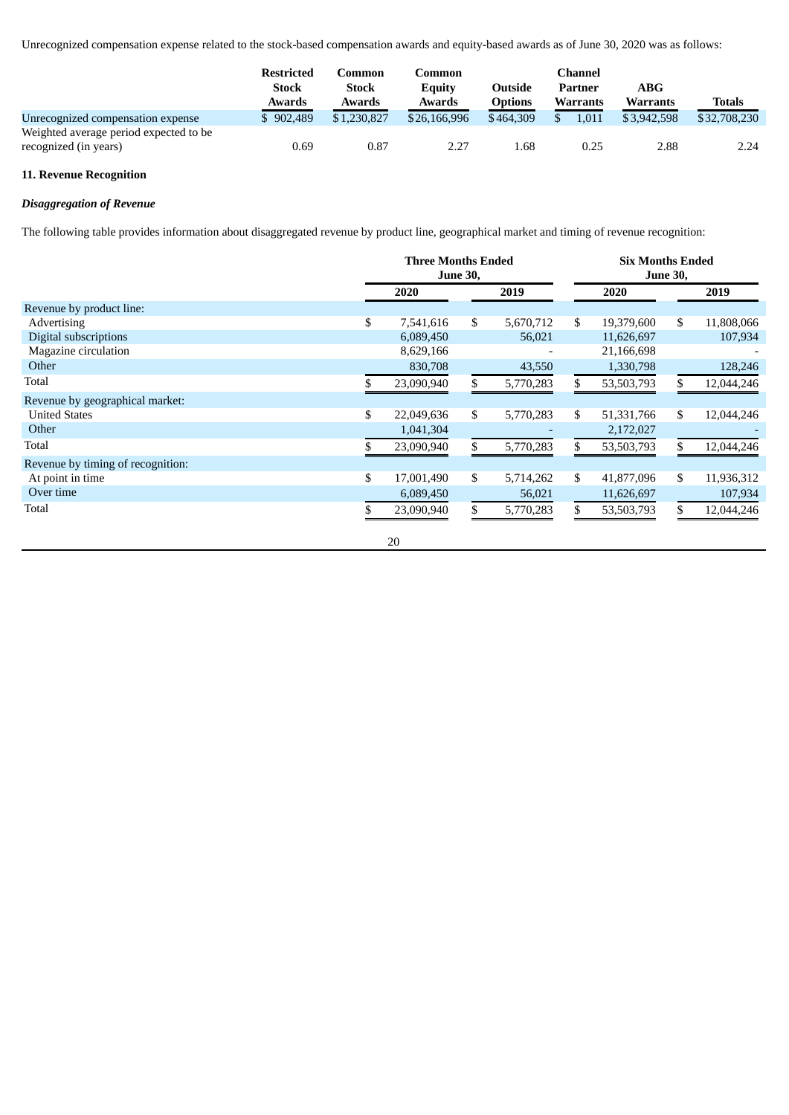Unrecognized compensation expense related to the stock-based compensation awards and equity-based awards as of June 30, 2020 was as follows:

|                                                                 | <b>Restricted</b><br><b>Stock</b><br>Awards | lommon.<br><b>Stock</b><br>Awards | Common<br>Equity<br>Awards | Outside<br><b>Options</b> | Channel<br>Partner<br><b>Warrants</b> | ABG<br><b>Warrants</b> | Totals       |
|-----------------------------------------------------------------|---------------------------------------------|-----------------------------------|----------------------------|---------------------------|---------------------------------------|------------------------|--------------|
| Unrecognized compensation expense                               | 902,489                                     | \$1,230,827                       | \$26,166,996               | \$464,309                 | 1.011                                 | \$3,942,598            | \$32,708,230 |
| Weighted average period expected to be<br>recognized (in years) | 0.69                                        | 0.87                              | 2.27                       | L.68                      | 0.25                                  | 2.88                   | 2.24         |

# **11. Revenue Recognition**

# *Disaggregation of Revenue*

The following table provides information about disaggregated revenue by product line, geographical market and timing of revenue recognition:

|                                   | <b>Three Months Ended</b><br><b>June 30,</b> |              |     |           |    | <b>Six Months Ended</b><br><b>June 30,</b> |    |            |  |
|-----------------------------------|----------------------------------------------|--------------|-----|-----------|----|--------------------------------------------|----|------------|--|
|                                   |                                              | 2019<br>2020 |     |           |    | 2020                                       |    | 2019       |  |
| Revenue by product line:          |                                              |              |     |           |    |                                            |    |            |  |
| Advertising                       | \$                                           | 7,541,616    | \$  | 5,670,712 | \$ | 19,379,600                                 | \$ | 11,808,066 |  |
| Digital subscriptions             |                                              | 6,089,450    |     | 56,021    |    | 11,626,697                                 |    | 107,934    |  |
| Magazine circulation              |                                              | 8,629,166    |     |           |    | 21,166,698                                 |    |            |  |
| Other                             |                                              | 830,708      |     | 43,550    |    | 1,330,798                                  |    | 128,246    |  |
| Total                             |                                              | 23,090,940   | \$  | 5,770,283 | \$ | 53,503,793                                 | \$ | 12,044,246 |  |
| Revenue by geographical market:   |                                              |              |     |           |    |                                            |    |            |  |
| <b>United States</b>              | \$                                           | 22,049,636   | \$  | 5,770,283 | \$ | 51,331,766                                 | \$ | 12,044,246 |  |
| Other                             |                                              | 1,041,304    |     |           |    | 2,172,027                                  |    |            |  |
| Total                             |                                              | 23,090,940   | \$. | 5,770,283 | \$ | 53,503,793                                 | \$ | 12,044,246 |  |
| Revenue by timing of recognition: |                                              |              |     |           |    |                                            |    |            |  |
| At point in time                  | \$                                           | 17,001,490   | \$  | 5,714,262 | \$ | 41,877,096                                 | \$ | 11,936,312 |  |
| Over time                         |                                              | 6,089,450    |     | 56,021    |    | 11,626,697                                 |    | 107,934    |  |
| Total                             |                                              | 23,090,940   | \$. | 5,770,283 | \$ | 53,503,793                                 | \$ | 12,044,246 |  |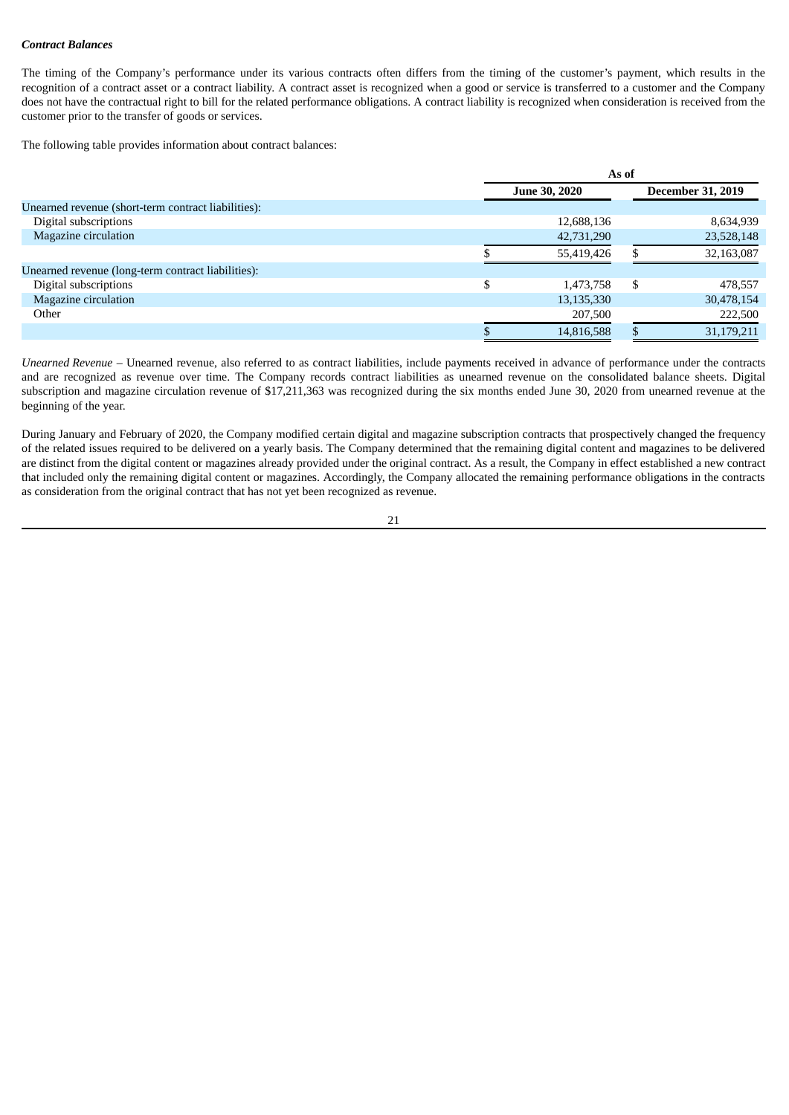### *Contract Balances*

The timing of the Company's performance under its various contracts often differs from the timing of the customer's payment, which results in the recognition of a contract asset or a contract liability. A contract asset is recognized when a good or service is transferred to a customer and the Company does not have the contractual right to bill for the related performance obligations. A contract liability is recognized when consideration is received from the customer prior to the transfer of goods or services.

The following table provides information about contract balances:

|                                                     | As of                |     |                          |  |  |  |
|-----------------------------------------------------|----------------------|-----|--------------------------|--|--|--|
|                                                     | <b>June 30, 2020</b> |     | <b>December 31, 2019</b> |  |  |  |
| Unearned revenue (short-term contract liabilities): |                      |     |                          |  |  |  |
| Digital subscriptions                               | 12,688,136           |     | 8,634,939                |  |  |  |
| Magazine circulation                                | 42,731,290           |     | 23,528,148               |  |  |  |
|                                                     | 55,419,426           |     | 32,163,087               |  |  |  |
| Unearned revenue (long-term contract liabilities):  |                      |     |                          |  |  |  |
| Digital subscriptions                               | 1,473,758            | \$. | 478,557                  |  |  |  |
| Magazine circulation                                | 13,135,330           |     | 30,478,154               |  |  |  |
| Other                                               | 207,500              |     | 222,500                  |  |  |  |
|                                                     | 14,816,588           |     | 31,179,211               |  |  |  |

*Unearned Revenue* – Unearned revenue, also referred to as contract liabilities, include payments received in advance of performance under the contracts and are recognized as revenue over time. The Company records contract liabilities as unearned revenue on the consolidated balance sheets. Digital subscription and magazine circulation revenue of \$17,211,363 was recognized during the six months ended June 30, 2020 from unearned revenue at the beginning of the year.

During January and February of 2020, the Company modified certain digital and magazine subscription contracts that prospectively changed the frequency of the related issues required to be delivered on a yearly basis. The Company determined that the remaining digital content and magazines to be delivered are distinct from the digital content or magazines already provided under the original contract. As a result, the Company in effect established a new contract that included only the remaining digital content or magazines. Accordingly, the Company allocated the remaining performance obligations in the contracts as consideration from the original contract that has not yet been recognized as revenue.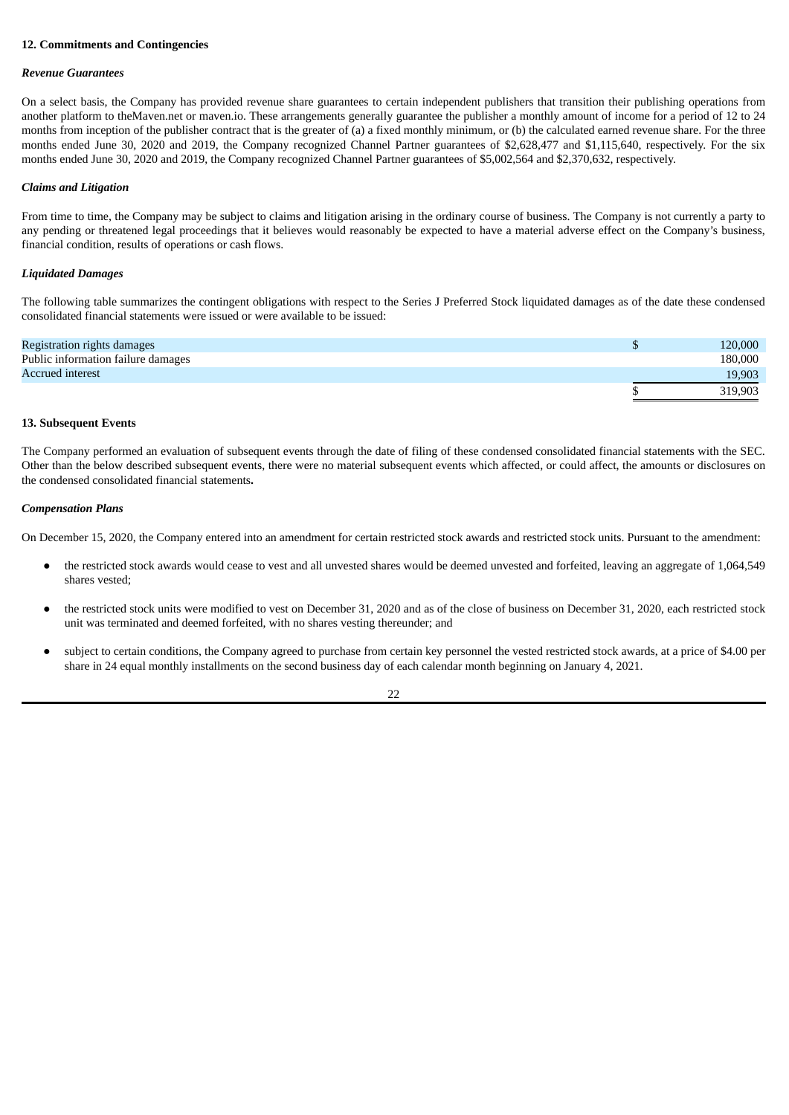#### **12. Commitments and Contingencies**

#### *Revenue Guarantees*

On a select basis, the Company has provided revenue share guarantees to certain independent publishers that transition their publishing operations from another platform to theMaven.net or maven.io. These arrangements generally guarantee the publisher a monthly amount of income for a period of 12 to 24 months from inception of the publisher contract that is the greater of (a) a fixed monthly minimum, or (b) the calculated earned revenue share. For the three months ended June 30, 2020 and 2019, the Company recognized Channel Partner guarantees of \$2,628,477 and \$1,115,640, respectively. For the six months ended June 30, 2020 and 2019, the Company recognized Channel Partner guarantees of \$5,002,564 and \$2,370,632, respectively.

#### *Claims and Litigation*

From time to time, the Company may be subject to claims and litigation arising in the ordinary course of business. The Company is not currently a party to any pending or threatened legal proceedings that it believes would reasonably be expected to have a material adverse effect on the Company's business, financial condition, results of operations or cash flows.

#### *Liquidated Damages*

The following table summarizes the contingent obligations with respect to the Series J Preferred Stock liquidated damages as of the date these condensed consolidated financial statements were issued or were available to be issued:

| Registration rights damages        | 120,000 |
|------------------------------------|---------|
| Public information failure damages | 180,000 |
| <b>Accrued interest</b>            | 19,903  |
|                                    | 319,903 |

#### **13. Subsequent Events**

The Company performed an evaluation of subsequent events through the date of filing of these condensed consolidated financial statements with the SEC. Other than the below described subsequent events, there were no material subsequent events which affected, or could affect, the amounts or disclosures on the condensed consolidated financial statements**.**

#### *Compensation Plans*

On December 15, 2020, the Company entered into an amendment for certain restricted stock awards and restricted stock units. Pursuant to the amendment:

- the restricted stock awards would cease to vest and all unvested shares would be deemed unvested and forfeited, leaving an aggregate of 1,064,549 shares vested;
- the restricted stock units were modified to vest on December 31, 2020 and as of the close of business on December 31, 2020, each restricted stock unit was terminated and deemed forfeited, with no shares vesting thereunder; and
- subject to certain conditions, the Company agreed to purchase from certain key personnel the vested restricted stock awards, at a price of \$4.00 per share in 24 equal monthly installments on the second business day of each calendar month beginning on January 4, 2021.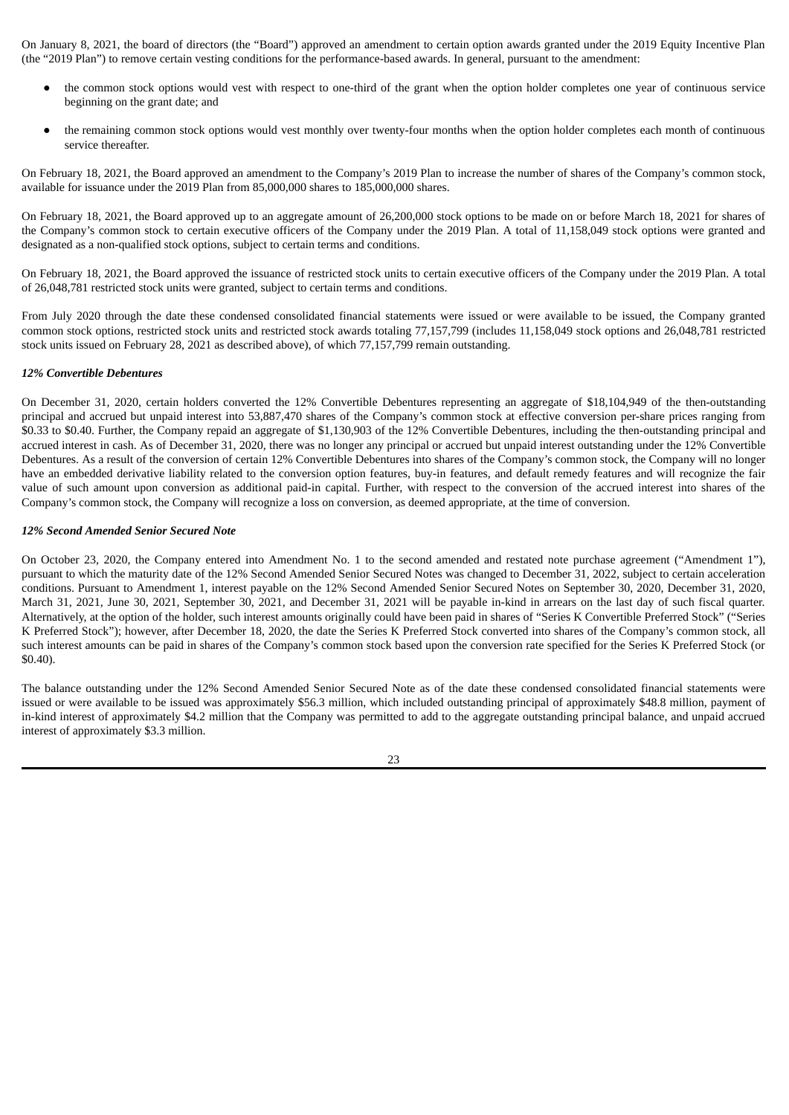On January 8, 2021, the board of directors (the "Board") approved an amendment to certain option awards granted under the 2019 Equity Incentive Plan (the "2019 Plan") to remove certain vesting conditions for the performance-based awards. In general, pursuant to the amendment:

- the common stock options would vest with respect to one-third of the grant when the option holder completes one year of continuous service beginning on the grant date; and
- the remaining common stock options would vest monthly over twenty-four months when the option holder completes each month of continuous service thereafter.

On February 18, 2021, the Board approved an amendment to the Company's 2019 Plan to increase the number of shares of the Company's common stock, available for issuance under the 2019 Plan from 85,000,000 shares to 185,000,000 shares.

On February 18, 2021, the Board approved up to an aggregate amount of 26,200,000 stock options to be made on or before March 18, 2021 for shares of the Company's common stock to certain executive officers of the Company under the 2019 Plan. A total of 11,158,049 stock options were granted and designated as a non-qualified stock options, subject to certain terms and conditions.

On February 18, 2021, the Board approved the issuance of restricted stock units to certain executive officers of the Company under the 2019 Plan. A total of 26,048,781 restricted stock units were granted, subject to certain terms and conditions.

From July 2020 through the date these condensed consolidated financial statements were issued or were available to be issued, the Company granted common stock options, restricted stock units and restricted stock awards totaling 77,157,799 (includes 11,158,049 stock options and 26,048,781 restricted stock units issued on February 28, 2021 as described above), of which 77,157,799 remain outstanding.

## *12% Convertible Debentures*

On December 31, 2020, certain holders converted the 12% Convertible Debentures representing an aggregate of \$18,104,949 of the then-outstanding principal and accrued but unpaid interest into 53,887,470 shares of the Company's common stock at effective conversion per-share prices ranging from \$0.33 to \$0.40. Further, the Company repaid an aggregate of \$1,130,903 of the 12% Convertible Debentures, including the then-outstanding principal and accrued interest in cash. As of December 31, 2020, there was no longer any principal or accrued but unpaid interest outstanding under the 12% Convertible Debentures. As a result of the conversion of certain 12% Convertible Debentures into shares of the Company's common stock, the Company will no longer have an embedded derivative liability related to the conversion option features, buy-in features, and default remedy features and will recognize the fair value of such amount upon conversion as additional paid-in capital. Further, with respect to the conversion of the accrued interest into shares of the Company's common stock, the Company will recognize a loss on conversion, as deemed appropriate, at the time of conversion.

## *12% Second Amended Senior Secured Note*

On October 23, 2020, the Company entered into Amendment No. 1 to the second amended and restated note purchase agreement ("Amendment 1"), pursuant to which the maturity date of the 12% Second Amended Senior Secured Notes was changed to December 31, 2022, subject to certain acceleration conditions. Pursuant to Amendment 1, interest payable on the 12% Second Amended Senior Secured Notes on September 30, 2020, December 31, 2020, March 31, 2021, June 30, 2021, September 30, 2021, and December 31, 2021 will be payable in-kind in arrears on the last day of such fiscal quarter. Alternatively, at the option of the holder, such interest amounts originally could have been paid in shares of "Series K Convertible Preferred Stock" ("Series K Preferred Stock"); however, after December 18, 2020, the date the Series K Preferred Stock converted into shares of the Company's common stock, all such interest amounts can be paid in shares of the Company's common stock based upon the conversion rate specified for the Series K Preferred Stock (or \$0.40).

The balance outstanding under the 12% Second Amended Senior Secured Note as of the date these condensed consolidated financial statements were issued or were available to be issued was approximately \$56.3 million, which included outstanding principal of approximately \$48.8 million, payment of in-kind interest of approximately \$4.2 million that the Company was permitted to add to the aggregate outstanding principal balance, and unpaid accrued interest of approximately \$3.3 million.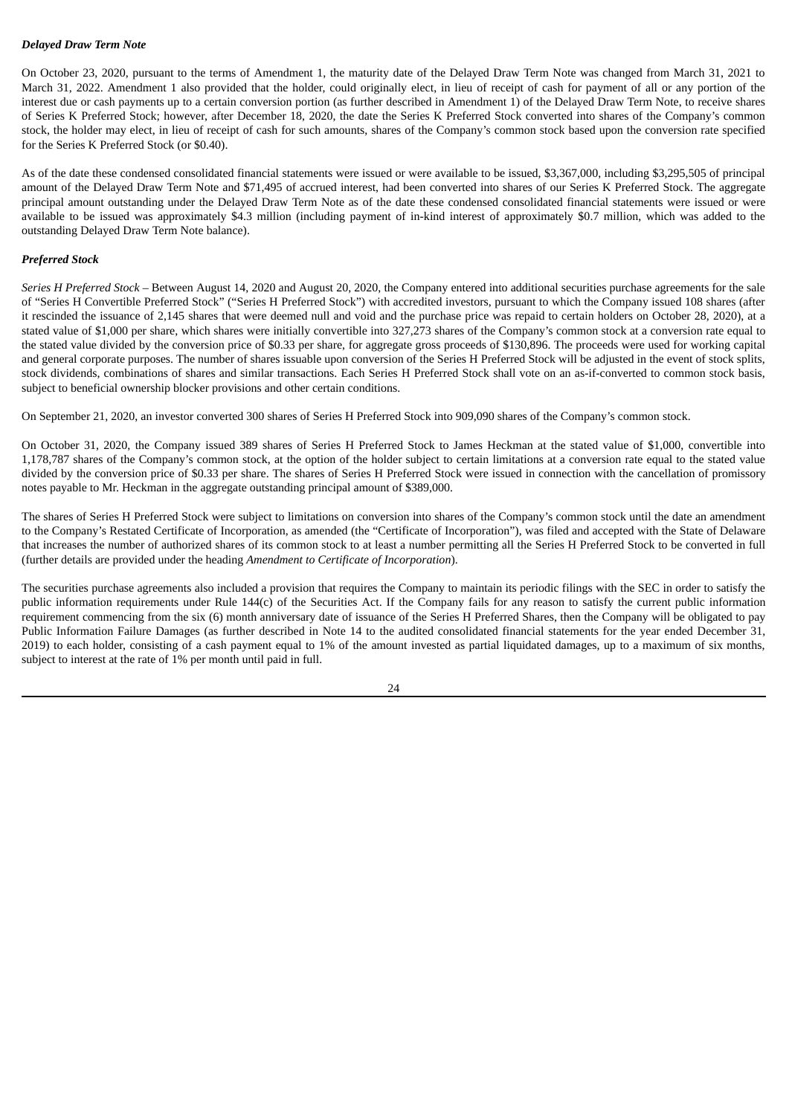## *Delayed Draw Term Note*

On October 23, 2020, pursuant to the terms of Amendment 1, the maturity date of the Delayed Draw Term Note was changed from March 31, 2021 to March 31, 2022. Amendment 1 also provided that the holder, could originally elect, in lieu of receipt of cash for payment of all or any portion of the interest due or cash payments up to a certain conversion portion (as further described in Amendment 1) of the Delayed Draw Term Note, to receive shares of Series K Preferred Stock; however, after December 18, 2020, the date the Series K Preferred Stock converted into shares of the Company's common stock, the holder may elect, in lieu of receipt of cash for such amounts, shares of the Company's common stock based upon the conversion rate specified for the Series K Preferred Stock (or \$0.40).

As of the date these condensed consolidated financial statements were issued or were available to be issued, \$3,367,000, including \$3,295,505 of principal amount of the Delayed Draw Term Note and \$71,495 of accrued interest, had been converted into shares of our Series K Preferred Stock. The aggregate principal amount outstanding under the Delayed Draw Term Note as of the date these condensed consolidated financial statements were issued or were available to be issued was approximately \$4.3 million (including payment of in-kind interest of approximately \$0.7 million, which was added to the outstanding Delayed Draw Term Note balance).

#### *Preferred Stock*

*Series H Preferred Stock –* Between August 14, 2020 and August 20, 2020, the Company entered into additional securities purchase agreements for the sale of "Series H Convertible Preferred Stock" ("Series H Preferred Stock") with accredited investors, pursuant to which the Company issued 108 shares (after it rescinded the issuance of 2,145 shares that were deemed null and void and the purchase price was repaid to certain holders on October 28, 2020), at a stated value of \$1,000 per share, which shares were initially convertible into 327,273 shares of the Company's common stock at a conversion rate equal to the stated value divided by the conversion price of \$0.33 per share, for aggregate gross proceeds of \$130,896. The proceeds were used for working capital and general corporate purposes. The number of shares issuable upon conversion of the Series H Preferred Stock will be adjusted in the event of stock splits, stock dividends, combinations of shares and similar transactions. Each Series H Preferred Stock shall vote on an as-if-converted to common stock basis, subject to beneficial ownership blocker provisions and other certain conditions.

On September 21, 2020, an investor converted 300 shares of Series H Preferred Stock into 909,090 shares of the Company's common stock.

On October 31, 2020, the Company issued 389 shares of Series H Preferred Stock to James Heckman at the stated value of \$1,000, convertible into 1,178,787 shares of the Company's common stock, at the option of the holder subject to certain limitations at a conversion rate equal to the stated value divided by the conversion price of \$0.33 per share. The shares of Series H Preferred Stock were issued in connection with the cancellation of promissory notes payable to Mr. Heckman in the aggregate outstanding principal amount of \$389,000.

The shares of Series H Preferred Stock were subject to limitations on conversion into shares of the Company's common stock until the date an amendment to the Company's Restated Certificate of Incorporation, as amended (the "Certificate of Incorporation"), was filed and accepted with the State of Delaware that increases the number of authorized shares of its common stock to at least a number permitting all the Series H Preferred Stock to be converted in full (further details are provided under the heading *Amendment to Certificate of Incorporation*).

The securities purchase agreements also included a provision that requires the Company to maintain its periodic filings with the SEC in order to satisfy the public information requirements under Rule 144(c) of the Securities Act. If the Company fails for any reason to satisfy the current public information requirement commencing from the six (6) month anniversary date of issuance of the Series H Preferred Shares, then the Company will be obligated to pay Public Information Failure Damages (as further described in Note 14 to the audited consolidated financial statements for the year ended December 31, 2019) to each holder, consisting of a cash payment equal to 1% of the amount invested as partial liquidated damages, up to a maximum of six months, subject to interest at the rate of 1% per month until paid in full.

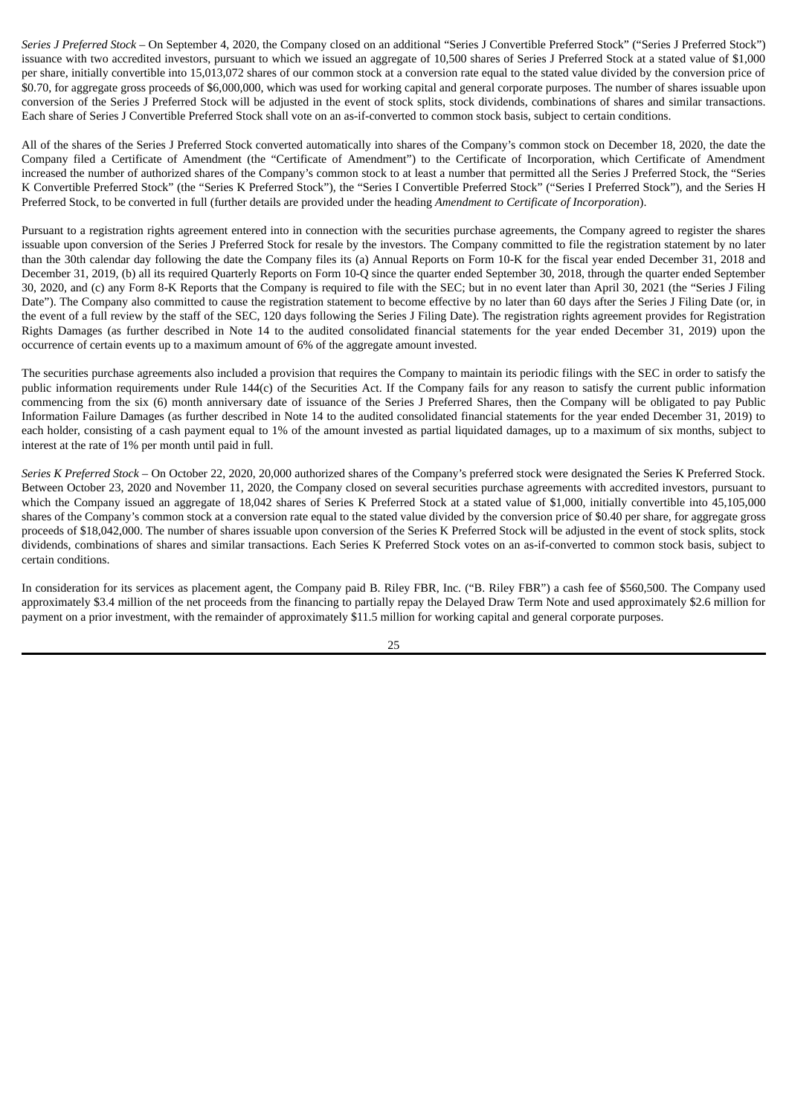*Series J Preferred Stock –* On September 4, 2020, the Company closed on an additional "Series J Convertible Preferred Stock" ("Series J Preferred Stock") issuance with two accredited investors, pursuant to which we issued an aggregate of 10,500 shares of Series J Preferred Stock at a stated value of \$1,000 per share, initially convertible into 15,013,072 shares of our common stock at a conversion rate equal to the stated value divided by the conversion price of \$0.70, for aggregate gross proceeds of \$6,000,000, which was used for working capital and general corporate purposes. The number of shares issuable upon conversion of the Series J Preferred Stock will be adjusted in the event of stock splits, stock dividends, combinations of shares and similar transactions. Each share of Series J Convertible Preferred Stock shall vote on an as-if-converted to common stock basis, subject to certain conditions.

All of the shares of the Series J Preferred Stock converted automatically into shares of the Company's common stock on December 18, 2020, the date the Company filed a Certificate of Amendment (the "Certificate of Amendment") to the Certificate of Incorporation, which Certificate of Amendment increased the number of authorized shares of the Company's common stock to at least a number that permitted all the Series J Preferred Stock, the "Series K Convertible Preferred Stock" (the "Series K Preferred Stock"), the "Series I Convertible Preferred Stock" ("Series I Preferred Stock"), and the Series H Preferred Stock, to be converted in full (further details are provided under the heading *Amendment to Certificate of Incorporation*).

Pursuant to a registration rights agreement entered into in connection with the securities purchase agreements, the Company agreed to register the shares issuable upon conversion of the Series J Preferred Stock for resale by the investors. The Company committed to file the registration statement by no later than the 30th calendar day following the date the Company files its (a) Annual Reports on Form 10-K for the fiscal year ended December 31, 2018 and December 31, 2019, (b) all its required Quarterly Reports on Form 10-Q since the quarter ended September 30, 2018, through the quarter ended September 30, 2020, and (c) any Form 8-K Reports that the Company is required to file with the SEC; but in no event later than April 30, 2021 (the "Series J Filing Date"). The Company also committed to cause the registration statement to become effective by no later than 60 days after the Series J Filing Date (or, in the event of a full review by the staff of the SEC, 120 days following the Series J Filing Date). The registration rights agreement provides for Registration Rights Damages (as further described in Note 14 to the audited consolidated financial statements for the year ended December 31, 2019) upon the occurrence of certain events up to a maximum amount of 6% of the aggregate amount invested.

The securities purchase agreements also included a provision that requires the Company to maintain its periodic filings with the SEC in order to satisfy the public information requirements under Rule 144(c) of the Securities Act. If the Company fails for any reason to satisfy the current public information commencing from the six (6) month anniversary date of issuance of the Series J Preferred Shares, then the Company will be obligated to pay Public Information Failure Damages (as further described in Note 14 to the audited consolidated financial statements for the year ended December 31, 2019) to each holder, consisting of a cash payment equal to 1% of the amount invested as partial liquidated damages, up to a maximum of six months, subject to interest at the rate of 1% per month until paid in full.

*Series K Preferred Stock* – On October 22, 2020, 20,000 authorized shares of the Company's preferred stock were designated the Series K Preferred Stock. Between October 23, 2020 and November 11, 2020, the Company closed on several securities purchase agreements with accredited investors, pursuant to which the Company issued an aggregate of 18,042 shares of Series K Preferred Stock at a stated value of \$1,000, initially convertible into 45,105,000 shares of the Company's common stock at a conversion rate equal to the stated value divided by the conversion price of \$0.40 per share, for aggregate gross proceeds of \$18,042,000. The number of shares issuable upon conversion of the Series K Preferred Stock will be adjusted in the event of stock splits, stock dividends, combinations of shares and similar transactions. Each Series K Preferred Stock votes on an as-if-converted to common stock basis, subject to certain conditions.

In consideration for its services as placement agent, the Company paid B. Riley FBR, Inc. ("B. Riley FBR") a cash fee of \$560,500. The Company used approximately \$3.4 million of the net proceeds from the financing to partially repay the Delayed Draw Term Note and used approximately \$2.6 million for payment on a prior investment, with the remainder of approximately \$11.5 million for working capital and general corporate purposes.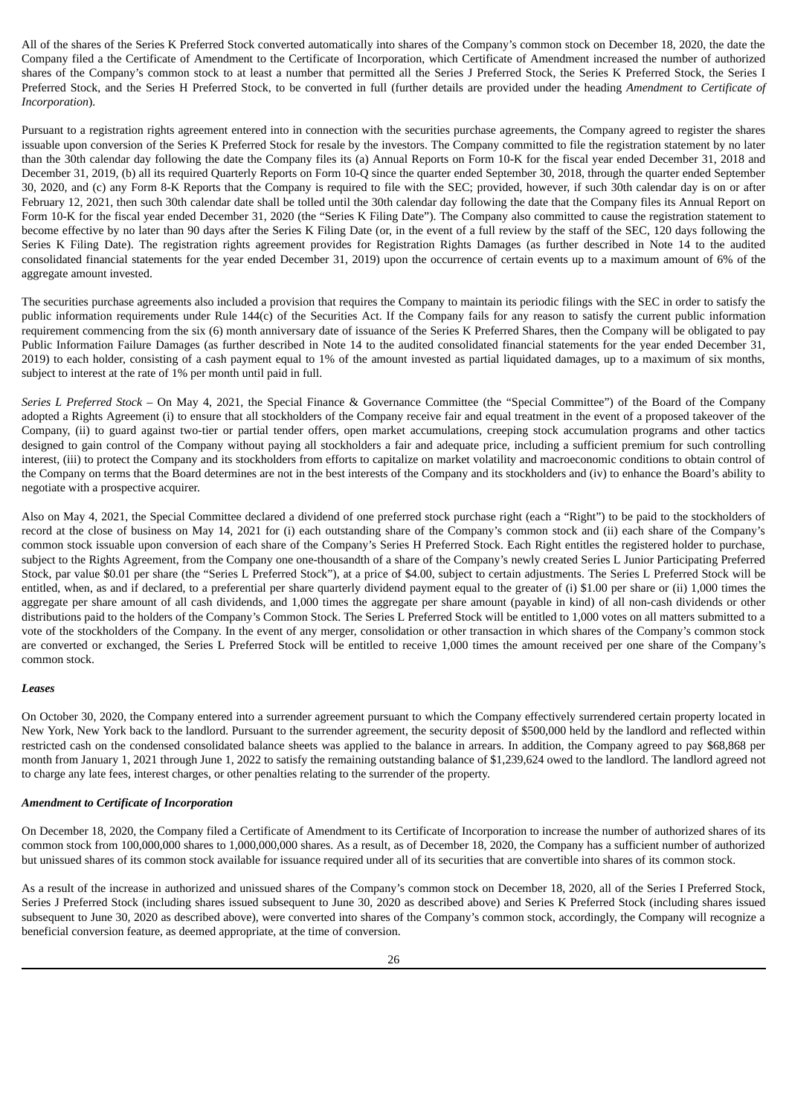All of the shares of the Series K Preferred Stock converted automatically into shares of the Company's common stock on December 18, 2020, the date the Company filed a the Certificate of Amendment to the Certificate of Incorporation, which Certificate of Amendment increased the number of authorized shares of the Company's common stock to at least a number that permitted all the Series J Preferred Stock, the Series K Preferred Stock, the Series I Preferred Stock, and the Series H Preferred Stock, to be converted in full (further details are provided under the heading *Amendment to Certificate of Incorporation*).

Pursuant to a registration rights agreement entered into in connection with the securities purchase agreements, the Company agreed to register the shares issuable upon conversion of the Series K Preferred Stock for resale by the investors. The Company committed to file the registration statement by no later than the 30th calendar day following the date the Company files its (a) Annual Reports on Form 10-K for the fiscal year ended December 31, 2018 and December 31, 2019, (b) all its required Quarterly Reports on Form 10-Q since the quarter ended September 30, 2018, through the quarter ended September 30, 2020, and (c) any Form 8-K Reports that the Company is required to file with the SEC; provided, however, if such 30th calendar day is on or after February 12, 2021, then such 30th calendar date shall be tolled until the 30th calendar day following the date that the Company files its Annual Report on Form 10-K for the fiscal year ended December 31, 2020 (the "Series K Filing Date"). The Company also committed to cause the registration statement to become effective by no later than 90 days after the Series K Filing Date (or, in the event of a full review by the staff of the SEC, 120 days following the Series K Filing Date). The registration rights agreement provides for Registration Rights Damages (as further described in Note 14 to the audited consolidated financial statements for the year ended December 31, 2019) upon the occurrence of certain events up to a maximum amount of 6% of the aggregate amount invested.

The securities purchase agreements also included a provision that requires the Company to maintain its periodic filings with the SEC in order to satisfy the public information requirements under Rule 144(c) of the Securities Act. If the Company fails for any reason to satisfy the current public information requirement commencing from the six (6) month anniversary date of issuance of the Series K Preferred Shares, then the Company will be obligated to pay Public Information Failure Damages (as further described in Note 14 to the audited consolidated financial statements for the year ended December 31, 2019) to each holder, consisting of a cash payment equal to 1% of the amount invested as partial liquidated damages, up to a maximum of six months, subject to interest at the rate of 1% per month until paid in full.

*Series L Preferred Stock* – On May 4, 2021, the Special Finance & Governance Committee (the "Special Committee") of the Board of the Company adopted a Rights Agreement (i) to ensure that all stockholders of the Company receive fair and equal treatment in the event of a proposed takeover of the Company, (ii) to guard against two-tier or partial tender offers, open market accumulations, creeping stock accumulation programs and other tactics designed to gain control of the Company without paying all stockholders a fair and adequate price, including a sufficient premium for such controlling interest, (iii) to protect the Company and its stockholders from efforts to capitalize on market volatility and macroeconomic conditions to obtain control of the Company on terms that the Board determines are not in the best interests of the Company and its stockholders and (iv) to enhance the Board's ability to negotiate with a prospective acquirer.

Also on May 4, 2021, the Special Committee declared a dividend of one preferred stock purchase right (each a "Right") to be paid to the stockholders of record at the close of business on May 14, 2021 for (i) each outstanding share of the Company's common stock and (ii) each share of the Company's common stock issuable upon conversion of each share of the Company's Series H Preferred Stock. Each Right entitles the registered holder to purchase, subject to the Rights Agreement, from the Company one one-thousandth of a share of the Company's newly created Series L Junior Participating Preferred Stock, par value \$0.01 per share (the "Series L Preferred Stock"), at a price of \$4.00, subject to certain adjustments. The Series L Preferred Stock will be entitled, when, as and if declared, to a preferential per share quarterly dividend payment equal to the greater of (i) \$1.00 per share or (ii) 1,000 times the aggregate per share amount of all cash dividends, and 1,000 times the aggregate per share amount (payable in kind) of all non-cash dividends or other distributions paid to the holders of the Company's Common Stock. The Series L Preferred Stock will be entitled to 1,000 votes on all matters submitted to a vote of the stockholders of the Company. In the event of any merger, consolidation or other transaction in which shares of the Company's common stock are converted or exchanged, the Series L Preferred Stock will be entitled to receive 1,000 times the amount received per one share of the Company's common stock.

## *Leases*

On October 30, 2020, the Company entered into a surrender agreement pursuant to which the Company effectively surrendered certain property located in New York, New York back to the landlord. Pursuant to the surrender agreement, the security deposit of \$500,000 held by the landlord and reflected within restricted cash on the condensed consolidated balance sheets was applied to the balance in arrears. In addition, the Company agreed to pay \$68,868 per month from January 1, 2021 through June 1, 2022 to satisfy the remaining outstanding balance of \$1,239,624 owed to the landlord. The landlord agreed not to charge any late fees, interest charges, or other penalties relating to the surrender of the property.

#### *Amendment to Certificate of Incorporation*

On December 18, 2020, the Company filed a Certificate of Amendment to its Certificate of Incorporation to increase the number of authorized shares of its common stock from 100,000,000 shares to 1,000,000,000 shares. As a result, as of December 18, 2020, the Company has a sufficient number of authorized but unissued shares of its common stock available for issuance required under all of its securities that are convertible into shares of its common stock.

As a result of the increase in authorized and unissued shares of the Company's common stock on December 18, 2020, all of the Series I Preferred Stock, Series J Preferred Stock (including shares issued subsequent to June 30, 2020 as described above) and Series K Preferred Stock (including shares issued subsequent to June 30, 2020 as described above), were converted into shares of the Company's common stock, accordingly, the Company will recognize a beneficial conversion feature, as deemed appropriate, at the time of conversion.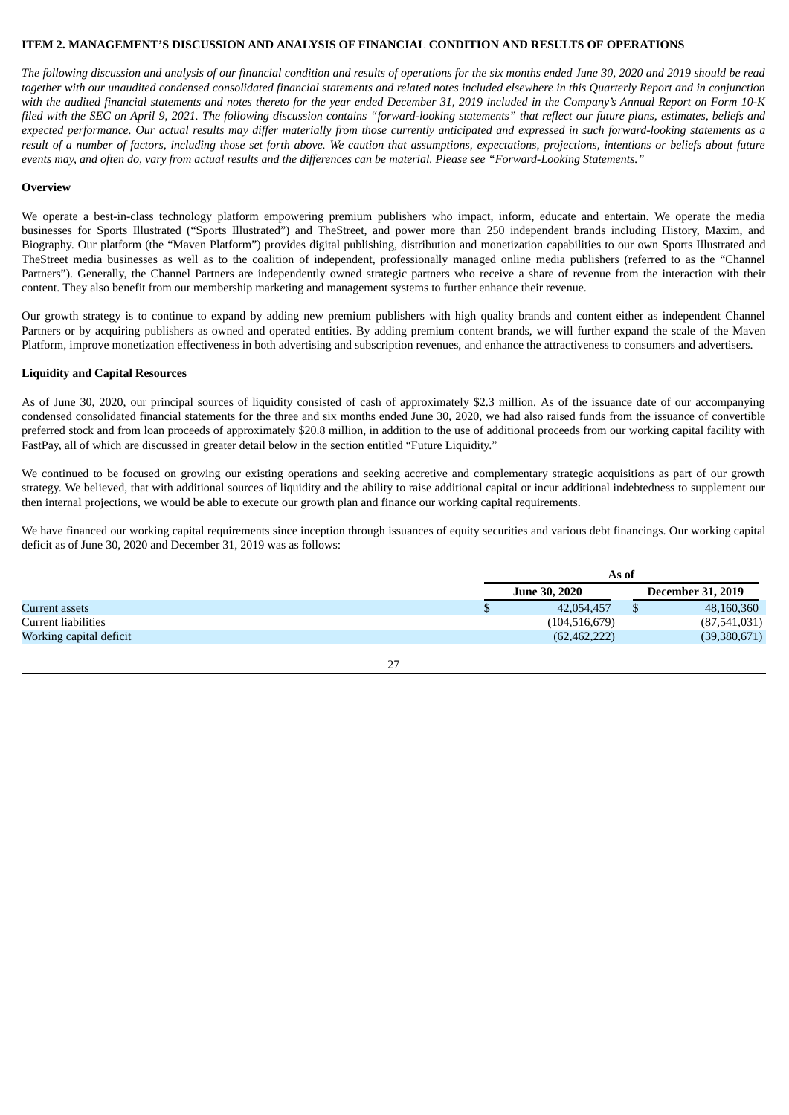#### <span id="page-28-0"></span>**ITEM 2. MANAGEMENT'S DISCUSSION AND ANALYSIS OF FINANCIAL CONDITION AND RESULTS OF OPERATIONS**

The following discussion and analysis of our financial condition and results of operations for the six months ended June 30, 2020 and 2019 should be read together with our unaudited condensed consolidated financial statements and related notes included elsewhere in this Quarterly Report and in conjunction with the audited financial statements and notes thereto for the year ended December 31, 2019 included in the Company's Annual Report on Form 10-K filed with the SEC on April 9, 2021. The following discussion contains "forward-looking statements" that reflect our future plans, estimates, beliefs and expected performance. Our actual results may differ materially from those currently anticipated and expressed in such forward-looking statements as a result of a number of factors, including those set forth above. We caution that assumptions, expectations, projections, intentions or beliefs about future events may, and often do, vary from actual results and the differences can be material. Please see "Forward-Looking Statements."

#### **Overview**

We operate a best-in-class technology platform empowering premium publishers who impact, inform, educate and entertain. We operate the media businesses for Sports Illustrated ("Sports Illustrated") and TheStreet, and power more than 250 independent brands including History, Maxim, and Biography. Our platform (the "Maven Platform") provides digital publishing, distribution and monetization capabilities to our own Sports Illustrated and TheStreet media businesses as well as to the coalition of independent, professionally managed online media publishers (referred to as the "Channel Partners"). Generally, the Channel Partners are independently owned strategic partners who receive a share of revenue from the interaction with their content. They also benefit from our membership marketing and management systems to further enhance their revenue.

Our growth strategy is to continue to expand by adding new premium publishers with high quality brands and content either as independent Channel Partners or by acquiring publishers as owned and operated entities. By adding premium content brands, we will further expand the scale of the Maven Platform, improve monetization effectiveness in both advertising and subscription revenues, and enhance the attractiveness to consumers and advertisers.

#### **Liquidity and Capital Resources**

As of June 30, 2020, our principal sources of liquidity consisted of cash of approximately \$2.3 million. As of the issuance date of our accompanying condensed consolidated financial statements for the three and six months ended June 30, 2020, we had also raised funds from the issuance of convertible preferred stock and from loan proceeds of approximately \$20.8 million, in addition to the use of additional proceeds from our working capital facility with FastPay, all of which are discussed in greater detail below in the section entitled "Future Liquidity."

We continued to be focused on growing our existing operations and seeking accretive and complementary strategic acquisitions as part of our growth strategy. We believed, that with additional sources of liquidity and the ability to raise additional capital or incur additional indebtedness to supplement our then internal projections, we would be able to execute our growth plan and finance our working capital requirements.

We have financed our working capital requirements since inception through issuances of equity securities and various debt financings. Our working capital deficit as of June 30, 2020 and December 31, 2019 was as follows:

|                         | As of                |  |                          |  |  |
|-------------------------|----------------------|--|--------------------------|--|--|
|                         | <b>June 30, 2020</b> |  | <b>December 31, 2019</b> |  |  |
| Current assets          | 42,054,457           |  | 48,160,360               |  |  |
| Current liabilities     | (104, 516, 679)      |  | (87,541,031)             |  |  |
| Working capital deficit | (62, 462, 222)       |  | (39,380,671)             |  |  |
|                         |                      |  |                          |  |  |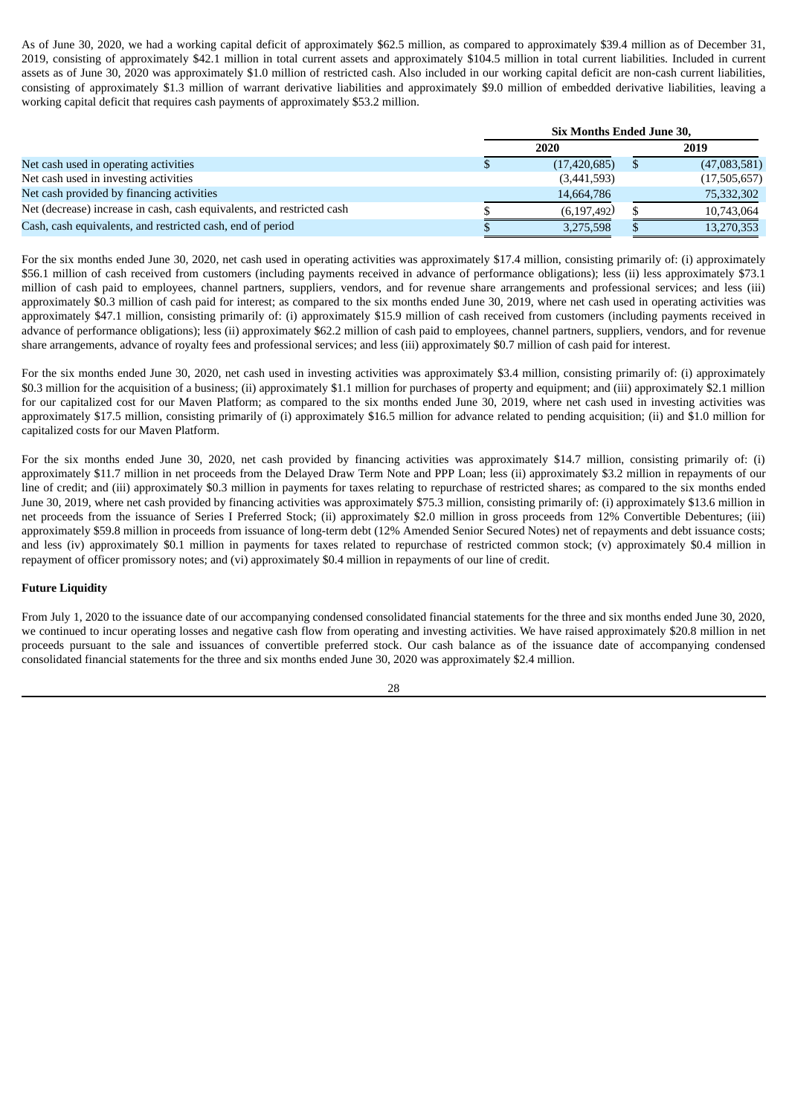As of June 30, 2020, we had a working capital deficit of approximately \$62.5 million, as compared to approximately \$39.4 million as of December 31, 2019, consisting of approximately \$42.1 million in total current assets and approximately \$104.5 million in total current liabilities. Included in current assets as of June 30, 2020 was approximately \$1.0 million of restricted cash. Also included in our working capital deficit are non-cash current liabilities, consisting of approximately \$1.3 million of warrant derivative liabilities and approximately \$9.0 million of embedded derivative liabilities, leaving a working capital deficit that requires cash payments of approximately \$53.2 million.

|                                                                        | Six Months Ended June 30, |  |              |  |  |  |
|------------------------------------------------------------------------|---------------------------|--|--------------|--|--|--|
|                                                                        | 2020                      |  | 2019         |  |  |  |
| Net cash used in operating activities                                  | (17, 420, 685)            |  | (47,083,581) |  |  |  |
| Net cash used in investing activities                                  | (3,441,593)               |  | (17,505,657) |  |  |  |
| Net cash provided by financing activities                              | 14,664,786                |  | 75,332,302   |  |  |  |
| Net (decrease) increase in cash, cash equivalents, and restricted cash | (6, 197, 492)             |  | 10,743,064   |  |  |  |
| Cash, cash equivalents, and restricted cash, end of period             | 3,275,598                 |  | 13,270,353   |  |  |  |

For the six months ended June 30, 2020, net cash used in operating activities was approximately \$17.4 million, consisting primarily of: (i) approximately \$56.1 million of cash received from customers (including payments received in advance of performance obligations); less (ii) less approximately \$73.1 million of cash paid to employees, channel partners, suppliers, vendors, and for revenue share arrangements and professional services; and less (iii) approximately \$0.3 million of cash paid for interest; as compared to the six months ended June 30, 2019, where net cash used in operating activities was approximately \$47.1 million, consisting primarily of: (i) approximately \$15.9 million of cash received from customers (including payments received in advance of performance obligations); less (ii) approximately \$62.2 million of cash paid to employees, channel partners, suppliers, vendors, and for revenue share arrangements, advance of royalty fees and professional services; and less (iii) approximately \$0.7 million of cash paid for interest.

For the six months ended June 30, 2020, net cash used in investing activities was approximately \$3.4 million, consisting primarily of: (i) approximately \$0.3 million for the acquisition of a business; (ii) approximately \$1.1 million for purchases of property and equipment; and (iii) approximately \$2.1 million for our capitalized cost for our Maven Platform; as compared to the six months ended June 30, 2019, where net cash used in investing activities was approximately \$17.5 million, consisting primarily of (i) approximately \$16.5 million for advance related to pending acquisition; (ii) and \$1.0 million for capitalized costs for our Maven Platform.

For the six months ended June 30, 2020, net cash provided by financing activities was approximately \$14.7 million, consisting primarily of: (i) approximately \$11.7 million in net proceeds from the Delayed Draw Term Note and PPP Loan; less (ii) approximately \$3.2 million in repayments of our line of credit; and (iii) approximately \$0.3 million in payments for taxes relating to repurchase of restricted shares; as compared to the six months ended June 30, 2019, where net cash provided by financing activities was approximately \$75.3 million, consisting primarily of: (i) approximately \$13.6 million in net proceeds from the issuance of Series I Preferred Stock; (ii) approximately \$2.0 million in gross proceeds from 12% Convertible Debentures; (iii) approximately \$59.8 million in proceeds from issuance of long-term debt (12% Amended Senior Secured Notes) net of repayments and debt issuance costs; and less (iv) approximately \$0.1 million in payments for taxes related to repurchase of restricted common stock; (v) approximately \$0.4 million in repayment of officer promissory notes; and (vi) approximately \$0.4 million in repayments of our line of credit.

## **Future Liquidity**

From July 1, 2020 to the issuance date of our accompanying condensed consolidated financial statements for the three and six months ended June 30, 2020, we continued to incur operating losses and negative cash flow from operating and investing activities. We have raised approximately \$20.8 million in net proceeds pursuant to the sale and issuances of convertible preferred stock. Our cash balance as of the issuance date of accompanying condensed consolidated financial statements for the three and six months ended June 30, 2020 was approximately \$2.4 million.

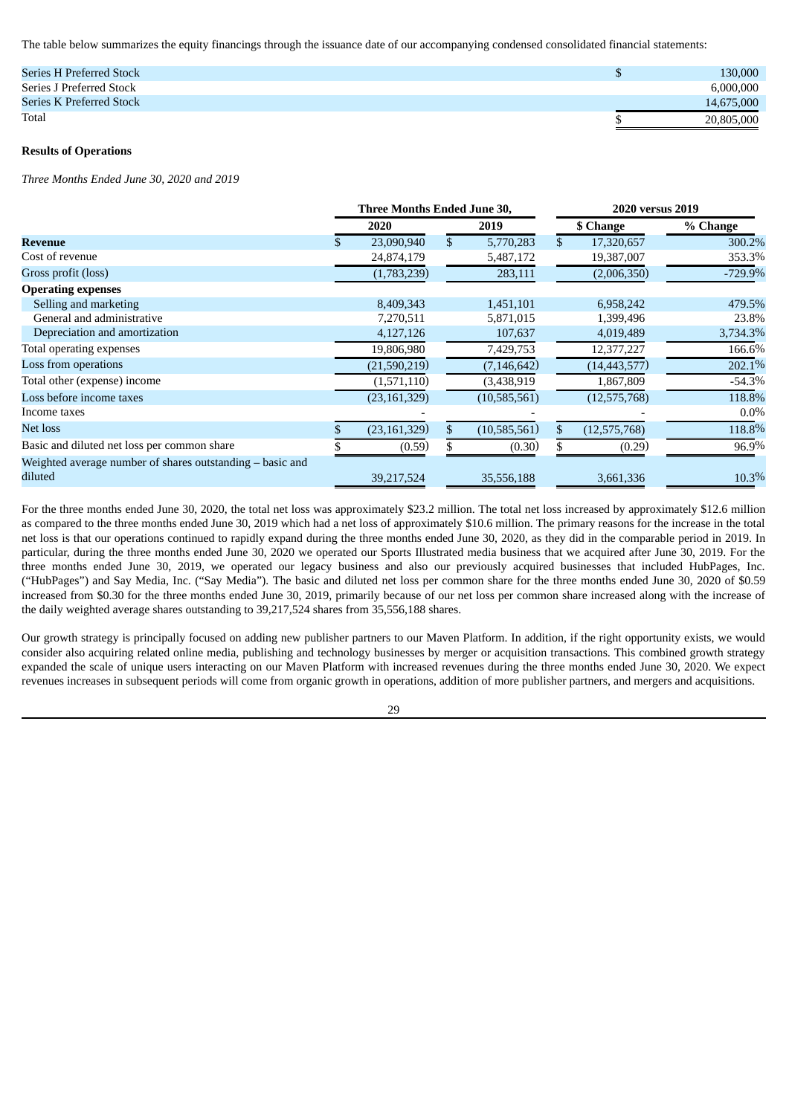The table below summarizes the equity financings through the issuance date of our accompanying condensed consolidated financial statements:

| Series H Preferred Stock | 130,000    |
|--------------------------|------------|
| Series J Preferred Stock | 6,000,000  |
| Series K Preferred Stock | 14,675,000 |
| Total                    | 20,805,000 |

# **Results of Operations**

*Three Months Ended June 30, 2020 and 2019*

|                                                                      | <b>Three Months Ended June 30,</b> |                |    | 2020 versus 2019 |           |  |  |
|----------------------------------------------------------------------|------------------------------------|----------------|----|------------------|-----------|--|--|
|                                                                      | 2020                               | 2019           |    | \$ Change        | % Change  |  |  |
| <b>Revenue</b>                                                       | 23,090,940                         | 5,770,283      | S. | 17,320,657       | 300.2%    |  |  |
| Cost of revenue                                                      | 24,874,179                         | 5,487,172      |    | 19,387,007       | 353.3%    |  |  |
| Gross profit (loss)                                                  | (1,783,239)                        | 283,111        |    | (2,006,350)      | $-729.9%$ |  |  |
| <b>Operating expenses</b>                                            |                                    |                |    |                  |           |  |  |
| Selling and marketing                                                | 8,409,343                          | 1,451,101      |    | 6,958,242        | 479.5%    |  |  |
| General and administrative                                           | 7,270,511                          | 5,871,015      |    | 1,399,496        | 23.8%     |  |  |
| Depreciation and amortization                                        | 4,127,126                          | 107,637        |    | 4,019,489        | 3,734.3%  |  |  |
| Total operating expenses                                             | 19,806,980                         | 7,429,753      |    | 12,377,227       | 166.6%    |  |  |
| Loss from operations                                                 | (21,590,219)                       | (7, 146, 642)  |    | (14, 443, 577)   | 202.1%    |  |  |
| Total other (expense) income                                         | (1,571,110)                        | (3,438,919)    |    | 1,867,809        | $-54.3%$  |  |  |
| Loss before income taxes                                             | (23, 161, 329)                     | (10, 585, 561) |    | (12, 575, 768)   | 118.8%    |  |  |
| Income taxes                                                         |                                    |                |    |                  | $0.0\%$   |  |  |
| Net loss                                                             | (23, 161, 329)                     | (10, 585, 561) |    | (12, 575, 768)   | 118.8%    |  |  |
| Basic and diluted net loss per common share                          | (0.59)                             | (0.30)         |    | (0.29)           | $96.9\%$  |  |  |
| Weighted average number of shares outstanding - basic and<br>diluted | 39,217,524                         | 35,556,188     |    | 3,661,336        | 10.3%     |  |  |
|                                                                      |                                    |                |    |                  |           |  |  |

For the three months ended June 30, 2020, the total net loss was approximately \$23.2 million. The total net loss increased by approximately \$12.6 million as compared to the three months ended June 30, 2019 which had a net loss of approximately \$10.6 million. The primary reasons for the increase in the total net loss is that our operations continued to rapidly expand during the three months ended June 30, 2020, as they did in the comparable period in 2019. In particular, during the three months ended June 30, 2020 we operated our Sports Illustrated media business that we acquired after June 30, 2019. For the three months ended June 30, 2019, we operated our legacy business and also our previously acquired businesses that included HubPages, Inc. ("HubPages") and Say Media, Inc. ("Say Media"). The basic and diluted net loss per common share for the three months ended June 30, 2020 of \$0.59 increased from \$0.30 for the three months ended June 30, 2019, primarily because of our net loss per common share increased along with the increase of the daily weighted average shares outstanding to 39,217,524 shares from 35,556,188 shares.

Our growth strategy is principally focused on adding new publisher partners to our Maven Platform. In addition, if the right opportunity exists, we would consider also acquiring related online media, publishing and technology businesses by merger or acquisition transactions. This combined growth strategy expanded the scale of unique users interacting on our Maven Platform with increased revenues during the three months ended June 30, 2020. We expect revenues increases in subsequent periods will come from organic growth in operations, addition of more publisher partners, and mergers and acquisitions.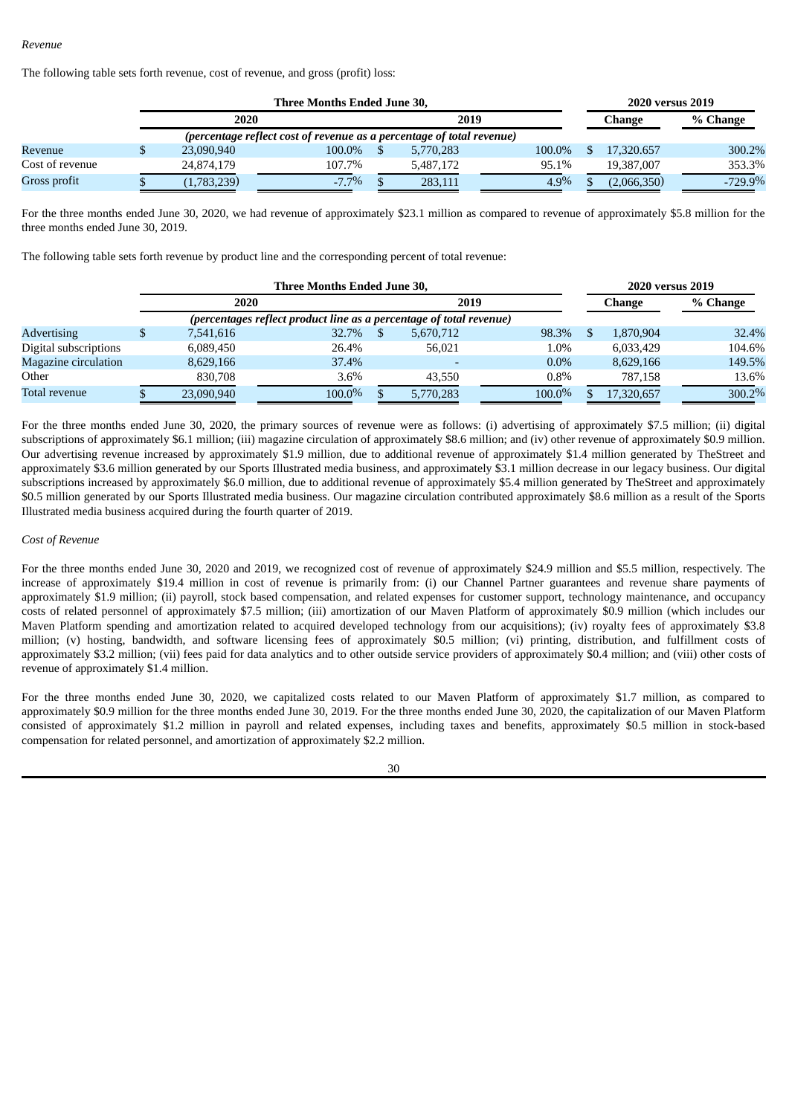#### *Revenue*

The following table sets forth revenue, cost of revenue, and gross (profit) loss:

|                                                                       |  |             | <b>2020 versus 2019</b> |  |           |         |  |             |           |  |
|-----------------------------------------------------------------------|--|-------------|-------------------------|--|-----------|---------|--|-------------|-----------|--|
|                                                                       |  | 2020        |                         |  | 2019      |         |  | Change      | % Change  |  |
| (percentage reflect cost of revenue as a percentage of total revenue) |  |             |                         |  |           |         |  |             |           |  |
| Revenue                                                               |  | 23,090,940  | 100.0%                  |  | 5,770,283 | 100.0%  |  | 17.320.657  | 300.2%    |  |
| Cost of revenue                                                       |  | 24,874,179  | 107.7%                  |  | 5,487,172 | 95.1%   |  | 19,387,007  | 353.3%    |  |
| Gross profit                                                          |  | (1,783,239) | $-7.7\%$                |  | 283,111   | $4.9\%$ |  | (2,066,350) | $-729.9%$ |  |

For the three months ended June 30, 2020, we had revenue of approximately \$23.1 million as compared to revenue of approximately \$5.8 million for the three months ended June 30, 2019.

The following table sets forth revenue by product line and the corresponding percent of total revenue:

|                                                                     |  |              |           | <b>2020 versus 2019</b> |           |         |  |                    |           |  |  |
|---------------------------------------------------------------------|--|--------------|-----------|-------------------------|-----------|---------|--|--------------------|-----------|--|--|
|                                                                     |  | 2020<br>2019 |           |                         |           |         |  | % Change<br>Change |           |  |  |
| (percentages reflect product line as a percentage of total revenue) |  |              |           |                         |           |         |  |                    |           |  |  |
| <b>Advertising</b>                                                  |  | 7,541,616    | 32.7%     |                         | 5,670,712 | 98.3%   |  | 1.870.904          | 32.4%     |  |  |
| Digital subscriptions                                               |  | 6,089,450    | 26.4%     |                         | 56,021    | 1.0%    |  | 6,033,429          | 104.6%    |  |  |
| Magazine circulation                                                |  | 8,629,166    | 37.4%     |                         |           | $0.0\%$ |  | 8.629.166          | 149.5%    |  |  |
| Other                                                               |  | 830,708      | 3.6%      |                         | 43,550    | $0.8\%$ |  | 787.158            | 13.6%     |  |  |
| Total revenue                                                       |  | 23,090,940   | $100.0\%$ |                         | 5,770,283 | 100.0%  |  | 17,320,657         | $300.2\%$ |  |  |

For the three months ended June 30, 2020, the primary sources of revenue were as follows: (i) advertising of approximately \$7.5 million; (ii) digital subscriptions of approximately \$6.1 million; (iii) magazine circulation of approximately \$8.6 million; and (iv) other revenue of approximately \$0.9 million. Our advertising revenue increased by approximately \$1.9 million, due to additional revenue of approximately \$1.4 million generated by TheStreet and approximately \$3.6 million generated by our Sports Illustrated media business, and approximately \$3.1 million decrease in our legacy business. Our digital subscriptions increased by approximately \$6.0 million, due to additional revenue of approximately \$5.4 million generated by TheStreet and approximately \$0.5 million generated by our Sports Illustrated media business. Our magazine circulation contributed approximately \$8.6 million as a result of the Sports Illustrated media business acquired during the fourth quarter of 2019.

## *Cost of Revenue*

For the three months ended June 30, 2020 and 2019, we recognized cost of revenue of approximately \$24.9 million and \$5.5 million, respectively. The increase of approximately \$19.4 million in cost of revenue is primarily from: (i) our Channel Partner guarantees and revenue share payments of approximately \$1.9 million; (ii) payroll, stock based compensation, and related expenses for customer support, technology maintenance, and occupancy costs of related personnel of approximately \$7.5 million; (iii) amortization of our Maven Platform of approximately \$0.9 million (which includes our Maven Platform spending and amortization related to acquired developed technology from our acquisitions); (iv) royalty fees of approximately \$3.8 million; (v) hosting, bandwidth, and software licensing fees of approximately \$0.5 million; (vi) printing, distribution, and fulfillment costs of approximately \$3.2 million; (vii) fees paid for data analytics and to other outside service providers of approximately \$0.4 million; and (viii) other costs of revenue of approximately \$1.4 million.

For the three months ended June 30, 2020, we capitalized costs related to our Maven Platform of approximately \$1.7 million, as compared to approximately \$0.9 million for the three months ended June 30, 2019. For the three months ended June 30, 2020, the capitalization of our Maven Platform consisted of approximately \$1.2 million in payroll and related expenses, including taxes and benefits, approximately \$0.5 million in stock-based compensation for related personnel, and amortization of approximately \$2.2 million.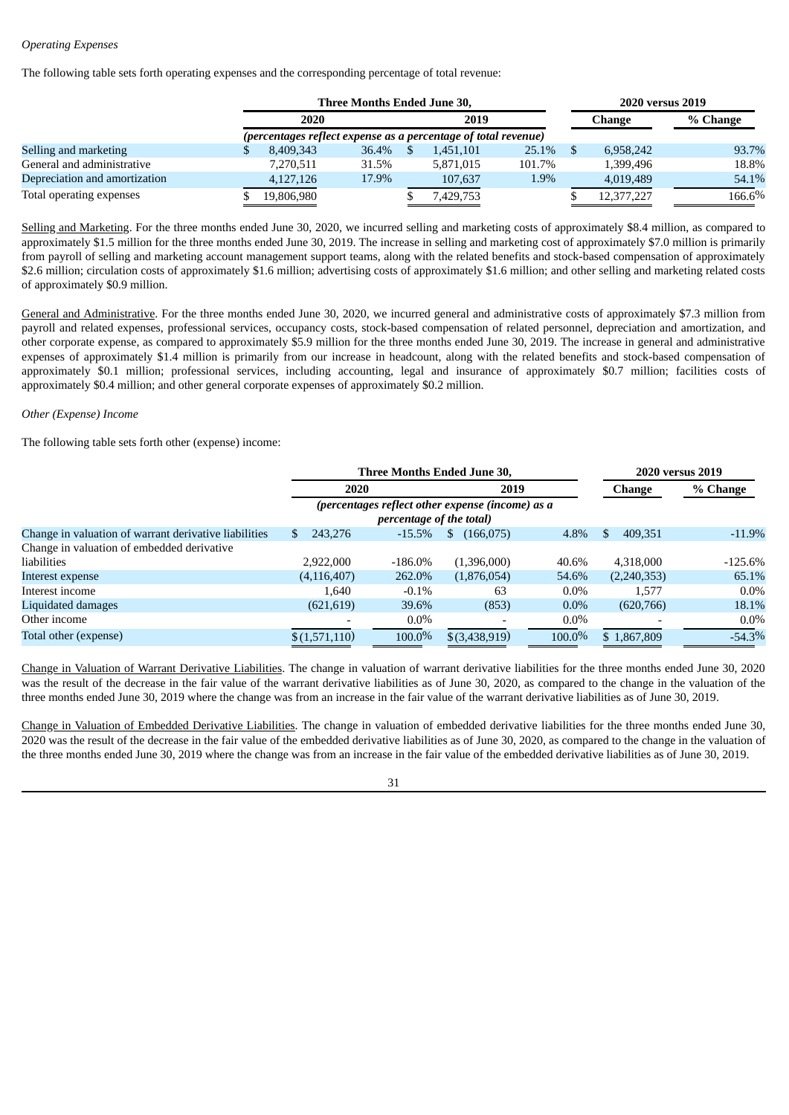## *Operating Expenses*

The following table sets forth operating expenses and the corresponding percentage of total revenue:

|                                                                |  |            | Three Months Ended June 30, |  | <b>2020 versus 2019</b> |        |  |               |          |  |  |  |
|----------------------------------------------------------------|--|------------|-----------------------------|--|-------------------------|--------|--|---------------|----------|--|--|--|
|                                                                |  | 2020       |                             |  | 2019                    |        |  | <b>Change</b> | % Change |  |  |  |
| (percentages reflect expense as a percentage of total revenue) |  |            |                             |  |                         |        |  |               |          |  |  |  |
| Selling and marketing                                          |  | 8,409,343  | 36.4%                       |  | 1,451,101               | 25.1%  |  | 6,958,242     | 93.7%    |  |  |  |
| General and administrative                                     |  | 7,270,511  | 31.5%                       |  | 5,871,015               | 101.7% |  | 1,399,496     | 18.8%    |  |  |  |
| Depreciation and amortization                                  |  | 4,127,126  | 17.9%                       |  | 107,637                 | 1.9%   |  | 4,019,489     | 54.1%    |  |  |  |
| Total operating expenses                                       |  | 19,806,980 |                             |  | 7,429,753               |        |  | 12,377,227    | 166.6%   |  |  |  |

Selling and Marketing. For the three months ended June 30, 2020, we incurred selling and marketing costs of approximately \$8.4 million, as compared to approximately \$1.5 million for the three months ended June 30, 2019. The increase in selling and marketing cost of approximately \$7.0 million is primarily from payroll of selling and marketing account management support teams, along with the related benefits and stock-based compensation of approximately \$2.6 million; circulation costs of approximately \$1.6 million; advertising costs of approximately \$1.6 million; and other selling and marketing related costs of approximately \$0.9 million.

General and Administrative. For the three months ended June 30, 2020, we incurred general and administrative costs of approximately \$7.3 million from payroll and related expenses, professional services, occupancy costs, stock-based compensation of related personnel, depreciation and amortization, and other corporate expense, as compared to approximately \$5.9 million for the three months ended June 30, 2019. The increase in general and administrative expenses of approximately \$1.4 million is primarily from our increase in headcount, along with the related benefits and stock-based compensation of approximately \$0.1 million; professional services, including accounting, legal and insurance of approximately \$0.7 million; facilities costs of approximately \$0.4 million; and other general corporate expenses of approximately \$0.2 million.

## *Other (Expense) Income*

The following table sets forth other (expense) income:

|                                                       |               | Three Months Ended June 30,                                                  | 2020 versus 2019         |         |                |            |
|-------------------------------------------------------|---------------|------------------------------------------------------------------------------|--------------------------|---------|----------------|------------|
|                                                       | 2020          |                                                                              | 2019                     |         | Change         | % Change   |
|                                                       |               | (percentages reflect other expense (income) as a<br>percentage of the total) |                          |         |                |            |
| Change in valuation of warrant derivative liabilities | 243,276       | $-15.5%$                                                                     | (166, 075)               | 4.8%    | 409,351<br>\$. | $-11.9%$   |
| Change in valuation of embedded derivative            |               |                                                                              |                          |         |                |            |
| liabilities                                           | 2.922.000     | $-186.0\%$                                                                   | (1,396,000)              | 40.6%   | 4.318.000      | $-125.6\%$ |
| Interest expense                                      | (4, 116, 407) | 262.0%                                                                       | (1,876,054)              | 54.6%   | (2,240,353)    | 65.1%      |
| Interest income                                       | 1.640         | $-0.1%$                                                                      | 63                       | $0.0\%$ | 1.577          | $0.0\%$    |
| Liquidated damages                                    | (621, 619)    | 39.6%                                                                        | (853)                    | $0.0\%$ | (620, 766)     | 18.1%      |
| Other income                                          |               | $0.0\%$                                                                      | $\overline{\phantom{0}}$ | $0.0\%$ |                | $0.0\%$    |
| Total other (expense)                                 | \$(1,571,110) | 100.0%                                                                       | \$(3,438,919)            | 100.0%  | \$1,867,809    | $-54.3%$   |

Change in Valuation of Warrant Derivative Liabilities. The change in valuation of warrant derivative liabilities for the three months ended June 30, 2020 was the result of the decrease in the fair value of the warrant derivative liabilities as of June 30, 2020, as compared to the change in the valuation of the three months ended June 30, 2019 where the change was from an increase in the fair value of the warrant derivative liabilities as of June 30, 2019.

Change in Valuation of Embedded Derivative Liabilities. The change in valuation of embedded derivative liabilities for the three months ended June 30, 2020 was the result of the decrease in the fair value of the embedded derivative liabilities as of June 30, 2020, as compared to the change in the valuation of the three months ended June 30, 2019 where the change was from an increase in the fair value of the embedded derivative liabilities as of June 30, 2019.

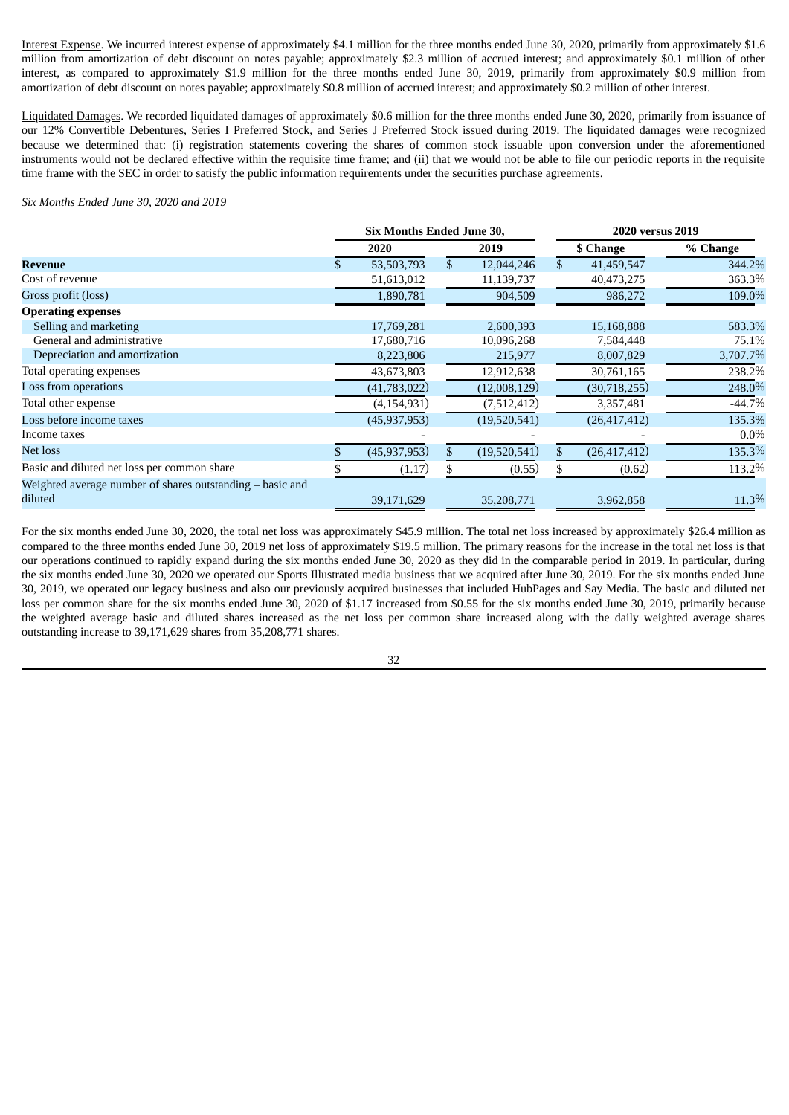Interest Expense. We incurred interest expense of approximately \$4.1 million for the three months ended June 30, 2020, primarily from approximately \$1.6 million from amortization of debt discount on notes payable; approximately \$2.3 million of accrued interest; and approximately \$0.1 million of other interest, as compared to approximately \$1.9 million for the three months ended June 30, 2019, primarily from approximately \$0.9 million from amortization of debt discount on notes payable; approximately \$0.8 million of accrued interest; and approximately \$0.2 million of other interest.

Liquidated Damages. We recorded liquidated damages of approximately \$0.6 million for the three months ended June 30, 2020, primarily from issuance of our 12% Convertible Debentures, Series I Preferred Stock, and Series J Preferred Stock issued during 2019. The liquidated damages were recognized because we determined that: (i) registration statements covering the shares of common stock issuable upon conversion under the aforementioned instruments would not be declared effective within the requisite time frame; and (ii) that we would not be able to file our periodic reports in the requisite time frame with the SEC in order to satisfy the public information requirements under the securities purchase agreements.

#### *Six Months Ended June 30, 2020 and 2019*

|                                                                      | Six Months Ended June 30, |              | 2020 versus 2019 |          |  |  |
|----------------------------------------------------------------------|---------------------------|--------------|------------------|----------|--|--|
|                                                                      | 2020                      | 2019         | \$ Change        | % Change |  |  |
| <b>Revenue</b>                                                       | 53,503,793                | 12,044,246   | 41,459,547       | 344.2%   |  |  |
| Cost of revenue                                                      | 51,613,012                | 11,139,737   | 40,473,275       | 363.3%   |  |  |
| Gross profit (loss)                                                  | 1,890,781                 | 904,509      | 986,272          | 109.0%   |  |  |
| <b>Operating expenses</b>                                            |                           |              |                  |          |  |  |
| Selling and marketing                                                | 17,769,281                | 2,600,393    | 15,168,888       | 583.3%   |  |  |
| General and administrative                                           | 17,680,716                | 10,096,268   | 7,584,448        | 75.1%    |  |  |
| Depreciation and amortization                                        | 8,223,806                 | 215,977      | 8,007,829        | 3,707.7% |  |  |
| Total operating expenses                                             | 43,673,803                | 12,912,638   | 30,761,165       | 238.2%   |  |  |
| Loss from operations                                                 | (41, 783, 022)            | (12,008,129) | (30, 718, 255)   | 248.0%   |  |  |
| Total other expense                                                  | (4, 154, 931)             | (7,512,412)  | 3,357,481        | $-44.7%$ |  |  |
| Loss before income taxes                                             | (45, 937, 953)            | (19,520,541) | (26, 417, 412)   | 135.3%   |  |  |
| Income taxes                                                         |                           |              |                  | $0.0\%$  |  |  |
| Net loss                                                             | (45, 937, 953)            | (19,520,541) | (26, 417, 412)   | 135.3%   |  |  |
| Basic and diluted net loss per common share                          | (1.17)                    | (0.55)       | (0.62)           | 113.2%   |  |  |
| Weighted average number of shares outstanding - basic and<br>diluted | 39,171,629                | 35,208,771   | 3,962,858        | 11.3%    |  |  |

For the six months ended June 30, 2020, the total net loss was approximately \$45.9 million. The total net loss increased by approximately \$26.4 million as compared to the three months ended June 30, 2019 net loss of approximately \$19.5 million. The primary reasons for the increase in the total net loss is that our operations continued to rapidly expand during the six months ended June 30, 2020 as they did in the comparable period in 2019. In particular, during the six months ended June 30, 2020 we operated our Sports Illustrated media business that we acquired after June 30, 2019. For the six months ended June 30, 2019, we operated our legacy business and also our previously acquired businesses that included HubPages and Say Media. The basic and diluted net loss per common share for the six months ended June 30, 2020 of \$1.17 increased from \$0.55 for the six months ended June 30, 2019, primarily because the weighted average basic and diluted shares increased as the net loss per common share increased along with the daily weighted average shares outstanding increase to 39,171,629 shares from 35,208,771 shares.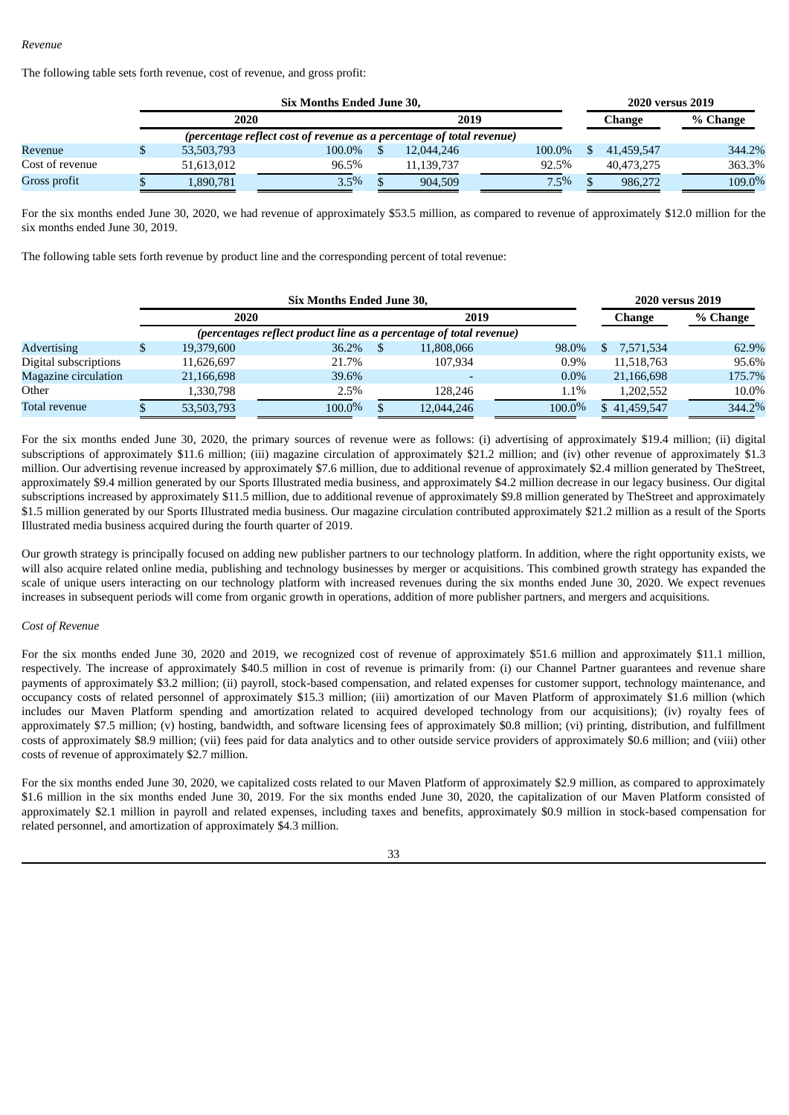#### *Revenue*

The following table sets forth revenue, cost of revenue, and gross profit:

|                 | Six Months Ended June 30, |        |  |                                                                       |        |  |            | 2020 versus 2019 |  |  |
|-----------------|---------------------------|--------|--|-----------------------------------------------------------------------|--------|--|------------|------------------|--|--|
|                 | 2020                      |        |  | 2019                                                                  |        |  | Change     | % Change         |  |  |
|                 |                           |        |  | (percentage reflect cost of revenue as a percentage of total revenue) |        |  |            |                  |  |  |
| Revenue         | 53,503,793                | 100.0% |  | 12,044,246                                                            | 100.0% |  | 41,459,547 | 344.2%           |  |  |
| Cost of revenue | 51,613,012                | 96.5%  |  | 11.139.737                                                            | 92.5%  |  | 40.473.275 | 363.3%           |  |  |
| Gross profit    | 1,890,781                 | 3.5%   |  | 904.509                                                               | 7.5%   |  | 986,272    | 109.0%           |  |  |

For the six months ended June 30, 2020, we had revenue of approximately \$53.5 million, as compared to revenue of approximately \$12.0 million for the six months ended June 30, 2019.

The following table sets forth revenue by product line and the corresponding percent of total revenue:

|                             | Six Months Ended June 30, |            |                                                                     |  |            |         | <b>2020 versus 2019</b> |          |  |
|-----------------------------|---------------------------|------------|---------------------------------------------------------------------|--|------------|---------|-------------------------|----------|--|
|                             | 2020                      |            |                                                                     |  | 2019       |         | Change                  | % Change |  |
|                             |                           |            | (percentages reflect product line as a percentage of total revenue) |  |            |         |                         |          |  |
| <b>Advertising</b>          |                           | 19,379,600 | 36.2%                                                               |  | 11,808,066 | 98.0%   | 7,571,534               | 62.9%    |  |
| Digital subscriptions       |                           | 11,626,697 | 21.7%                                                               |  | 107.934    | $0.9\%$ | 11,518,763              | 95.6%    |  |
| <b>Magazine circulation</b> |                           | 21,166,698 | 39.6%                                                               |  |            | $0.0\%$ | 21,166,698              | 175.7%   |  |
| Other                       |                           | 1,330,798  | 2.5%                                                                |  | 128.246    | 1.1%    | 1.202.552               | 10.0%    |  |
| Total revenue               |                           | 53,503,793 | 100.0%                                                              |  | 12,044,246 | 100.0%  | \$41,459,547            | 344.2%   |  |

For the six months ended June 30, 2020, the primary sources of revenue were as follows: (i) advertising of approximately \$19.4 million; (ii) digital subscriptions of approximately \$11.6 million; (iii) magazine circulation of approximately \$21.2 million; and (iv) other revenue of approximately \$1.3 million. Our advertising revenue increased by approximately \$7.6 million, due to additional revenue of approximately \$2.4 million generated by TheStreet, approximately \$9.4 million generated by our Sports Illustrated media business, and approximately \$4.2 million decrease in our legacy business. Our digital subscriptions increased by approximately \$11.5 million, due to additional revenue of approximately \$9.8 million generated by TheStreet and approximately \$1.5 million generated by our Sports Illustrated media business. Our magazine circulation contributed approximately \$21.2 million as a result of the Sports Illustrated media business acquired during the fourth quarter of 2019.

Our growth strategy is principally focused on adding new publisher partners to our technology platform. In addition, where the right opportunity exists, we will also acquire related online media, publishing and technology businesses by merger or acquisitions. This combined growth strategy has expanded the scale of unique users interacting on our technology platform with increased revenues during the six months ended June 30, 2020. We expect revenues increases in subsequent periods will come from organic growth in operations, addition of more publisher partners, and mergers and acquisitions.

## *Cost of Revenue*

For the six months ended June 30, 2020 and 2019, we recognized cost of revenue of approximately \$51.6 million and approximately \$11.1 million, respectively. The increase of approximately \$40.5 million in cost of revenue is primarily from: (i) our Channel Partner guarantees and revenue share payments of approximately \$3.2 million; (ii) payroll, stock-based compensation, and related expenses for customer support, technology maintenance, and occupancy costs of related personnel of approximately \$15.3 million; (iii) amortization of our Maven Platform of approximately \$1.6 million (which includes our Maven Platform spending and amortization related to acquired developed technology from our acquisitions); (iv) royalty fees of approximately \$7.5 million; (v) hosting, bandwidth, and software licensing fees of approximately \$0.8 million; (vi) printing, distribution, and fulfillment costs of approximately \$8.9 million; (vii) fees paid for data analytics and to other outside service providers of approximately \$0.6 million; and (viii) other costs of revenue of approximately \$2.7 million.

For the six months ended June 30, 2020, we capitalized costs related to our Maven Platform of approximately \$2.9 million, as compared to approximately \$1.6 million in the six months ended June 30, 2019. For the six months ended June 30, 2020, the capitalization of our Maven Platform consisted of approximately \$2.1 million in payroll and related expenses, including taxes and benefits, approximately \$0.9 million in stock-based compensation for related personnel, and amortization of approximately \$4.3 million.

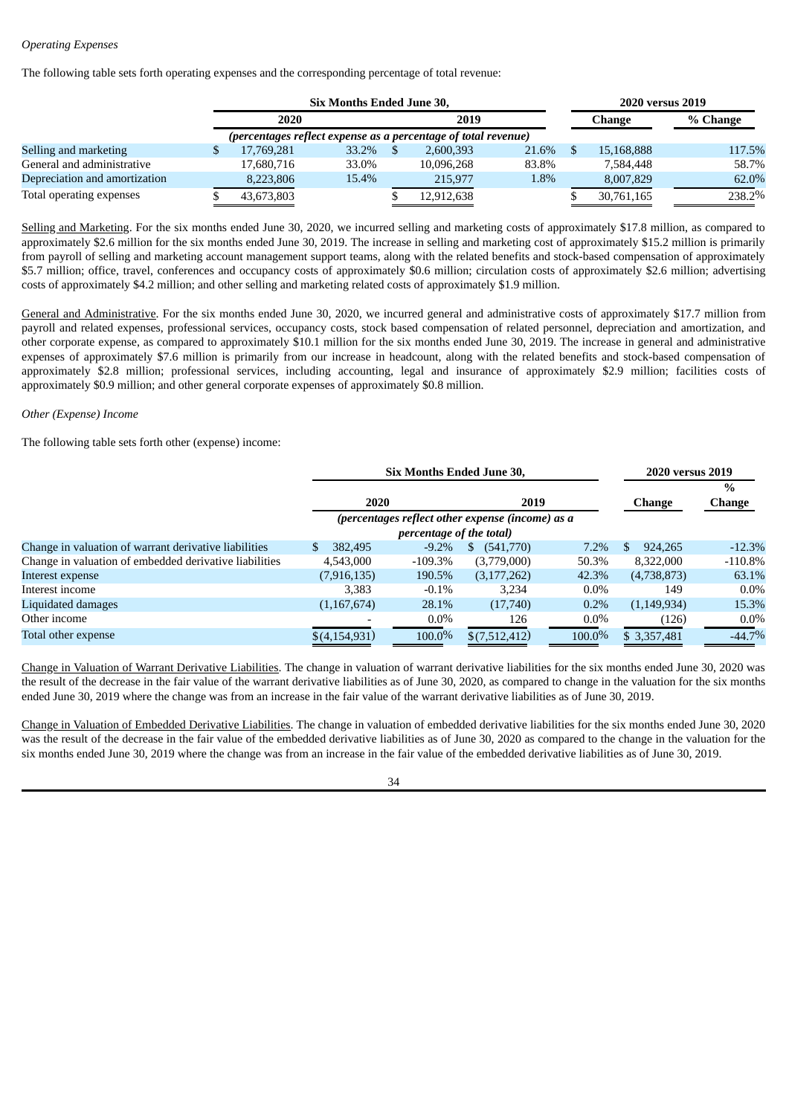## *Operating Expenses*

The following table sets forth operating expenses and the corresponding percentage of total revenue:

|                               | Six Months Ended June 30,                                      |       |  |            |       |  | 2020 versus 2019 |          |  |
|-------------------------------|----------------------------------------------------------------|-------|--|------------|-------|--|------------------|----------|--|
|                               | 2020                                                           |       |  | 2019       |       |  | Change           | % Change |  |
|                               | (percentages reflect expense as a percentage of total revenue) |       |  |            |       |  |                  |          |  |
| Selling and marketing         | 17,769,281                                                     | 33.2% |  | 2,600,393  | 21.6% |  | 15,168,888       | 117.5%   |  |
| General and administrative    | 17,680,716                                                     | 33.0% |  | 10,096,268 | 83.8% |  | 7,584,448        | 58.7%    |  |
| Depreciation and amortization | 8,223,806                                                      | 15.4% |  | 215,977    | 1.8%  |  | 8,007,829        | 62.0%    |  |
| Total operating expenses      | 43,673,803                                                     |       |  | 12,912,638 |       |  | 30,761,165       | 238.2%   |  |

Selling and Marketing. For the six months ended June 30, 2020, we incurred selling and marketing costs of approximately \$17.8 million, as compared to approximately \$2.6 million for the six months ended June 30, 2019. The increase in selling and marketing cost of approximately \$15.2 million is primarily from payroll of selling and marketing account management support teams, along with the related benefits and stock-based compensation of approximately \$5.7 million; office, travel, conferences and occupancy costs of approximately \$0.6 million; circulation costs of approximately \$2.6 million; advertising costs of approximately \$4.2 million; and other selling and marketing related costs of approximately \$1.9 million.

General and Administrative. For the six months ended June 30, 2020, we incurred general and administrative costs of approximately \$17.7 million from payroll and related expenses, professional services, occupancy costs, stock based compensation of related personnel, depreciation and amortization, and other corporate expense, as compared to approximately \$10.1 million for the six months ended June 30, 2019. The increase in general and administrative expenses of approximately \$7.6 million is primarily from our increase in headcount, along with the related benefits and stock-based compensation of approximately \$2.8 million; professional services, including accounting, legal and insurance of approximately \$2.9 million; facilities costs of approximately \$0.9 million; and other general corporate expenses of approximately \$0.8 million.

#### *Other (Expense) Income*

The following table sets forth other (expense) income:

|                                                        | Six Months Ended June 30,                        | 2020 versus 2019         |               |         |                         |           |  |  |
|--------------------------------------------------------|--------------------------------------------------|--------------------------|---------------|---------|-------------------------|-----------|--|--|
|                                                        | 2020<br>2019                                     |                          |               | Change  | $\frac{0}{0}$<br>Change |           |  |  |
|                                                        | (percentages reflect other expense (income) as a |                          |               |         |                         |           |  |  |
|                                                        |                                                  | percentage of the total) |               |         |                         |           |  |  |
| Change in valuation of warrant derivative liabilities  | 382,495<br>\$.                                   | $-9.2\%$                 | (541,770)     | 7.2%    | 924.265                 | $-12.3%$  |  |  |
| Change in valuation of embedded derivative liabilities | 4,543,000                                        | $-109.3%$                | (3,779,000)   | 50.3%   | 8,322,000               | $-110.8%$ |  |  |
| Interest expense                                       | (7,916,135)                                      | 190.5%                   | (3,177,262)   | 42.3%   | (4,738,873)             | 63.1%     |  |  |
| Interest income                                        | 3.383                                            | $-0.1\%$                 | 3.234         | $0.0\%$ | 149                     | $0.0\%$   |  |  |
| Liquidated damages                                     | (1,167,674)                                      | 28.1%                    | (17,740)      | $0.2\%$ | (1,149,934)             | 15.3%     |  |  |
| Other income                                           |                                                  | $0.0\%$                  | 126           | $0.0\%$ | (126)                   | $0.0\%$   |  |  |
| Total other expense                                    | \$(4,154,931)                                    | $100.0\%$                | \$(7,512,412) | 100.0%  | \$3,357,481             | $-44.7%$  |  |  |

Change in Valuation of Warrant Derivative Liabilities. The change in valuation of warrant derivative liabilities for the six months ended June 30, 2020 was the result of the decrease in the fair value of the warrant derivative liabilities as of June 30, 2020, as compared to change in the valuation for the six months ended June 30, 2019 where the change was from an increase in the fair value of the warrant derivative liabilities as of June 30, 2019.

Change in Valuation of Embedded Derivative Liabilities. The change in valuation of embedded derivative liabilities for the six months ended June 30, 2020 was the result of the decrease in the fair value of the embedded derivative liabilities as of June 30, 2020 as compared to the change in the valuation for the six months ended June 30, 2019 where the change was from an increase in the fair value of the embedded derivative liabilities as of June 30, 2019.

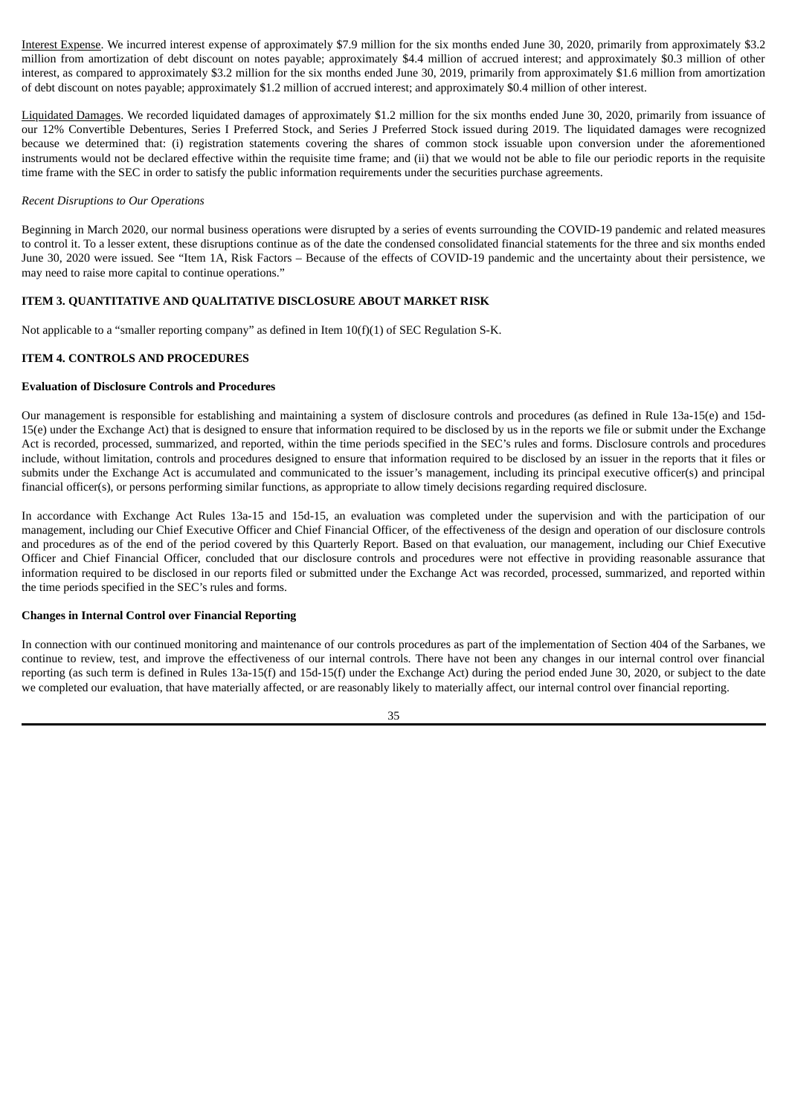Interest Expense. We incurred interest expense of approximately \$7.9 million for the six months ended June 30, 2020, primarily from approximately \$3.2 million from amortization of debt discount on notes payable; approximately \$4.4 million of accrued interest; and approximately \$0.3 million of other interest, as compared to approximately \$3.2 million for the six months ended June 30, 2019, primarily from approximately \$1.6 million from amortization of debt discount on notes payable; approximately \$1.2 million of accrued interest; and approximately \$0.4 million of other interest.

Liquidated Damages. We recorded liquidated damages of approximately \$1.2 million for the six months ended June 30, 2020, primarily from issuance of our 12% Convertible Debentures, Series I Preferred Stock, and Series J Preferred Stock issued during 2019. The liquidated damages were recognized because we determined that: (i) registration statements covering the shares of common stock issuable upon conversion under the aforementioned instruments would not be declared effective within the requisite time frame; and (ii) that we would not be able to file our periodic reports in the requisite time frame with the SEC in order to satisfy the public information requirements under the securities purchase agreements.

#### *Recent Disruptions to Our Operations*

Beginning in March 2020, our normal business operations were disrupted by a series of events surrounding the COVID-19 pandemic and related measures to control it. To a lesser extent, these disruptions continue as of the date the condensed consolidated financial statements for the three and six months ended June 30, 2020 were issued. See "Item 1A, Risk Factors – Because of the effects of COVID-19 pandemic and the uncertainty about their persistence, we may need to raise more capital to continue operations."

#### <span id="page-36-0"></span>**ITEM 3. QUANTITATIVE AND QUALITATIVE DISCLOSURE ABOUT MARKET RISK**

Not applicable to a "smaller reporting company" as defined in Item  $10(f)(1)$  of SEC Regulation S-K.

## <span id="page-36-1"></span>**ITEM 4. CONTROLS AND PROCEDURES**

#### **Evaluation of Disclosure Controls and Procedures**

Our management is responsible for establishing and maintaining a system of disclosure controls and procedures (as defined in Rule 13a-15(e) and 15d-15(e) under the Exchange Act) that is designed to ensure that information required to be disclosed by us in the reports we file or submit under the Exchange Act is recorded, processed, summarized, and reported, within the time periods specified in the SEC's rules and forms. Disclosure controls and procedures include, without limitation, controls and procedures designed to ensure that information required to be disclosed by an issuer in the reports that it files or submits under the Exchange Act is accumulated and communicated to the issuer's management, including its principal executive officer(s) and principal financial officer(s), or persons performing similar functions, as appropriate to allow timely decisions regarding required disclosure.

In accordance with Exchange Act Rules 13a-15 and 15d-15, an evaluation was completed under the supervision and with the participation of our management, including our Chief Executive Officer and Chief Financial Officer, of the effectiveness of the design and operation of our disclosure controls and procedures as of the end of the period covered by this Quarterly Report. Based on that evaluation, our management, including our Chief Executive Officer and Chief Financial Officer, concluded that our disclosure controls and procedures were not effective in providing reasonable assurance that information required to be disclosed in our reports filed or submitted under the Exchange Act was recorded, processed, summarized, and reported within the time periods specified in the SEC's rules and forms.

#### **Changes in Internal Control over Financial Reporting**

In connection with our continued monitoring and maintenance of our controls procedures as part of the implementation of Section 404 of the Sarbanes, we continue to review, test, and improve the effectiveness of our internal controls. There have not been any changes in our internal control over financial reporting (as such term is defined in Rules 13a-15(f) and 15d-15(f) under the Exchange Act) during the period ended June 30, 2020, or subject to the date we completed our evaluation, that have materially affected, or are reasonably likely to materially affect, our internal control over financial reporting.

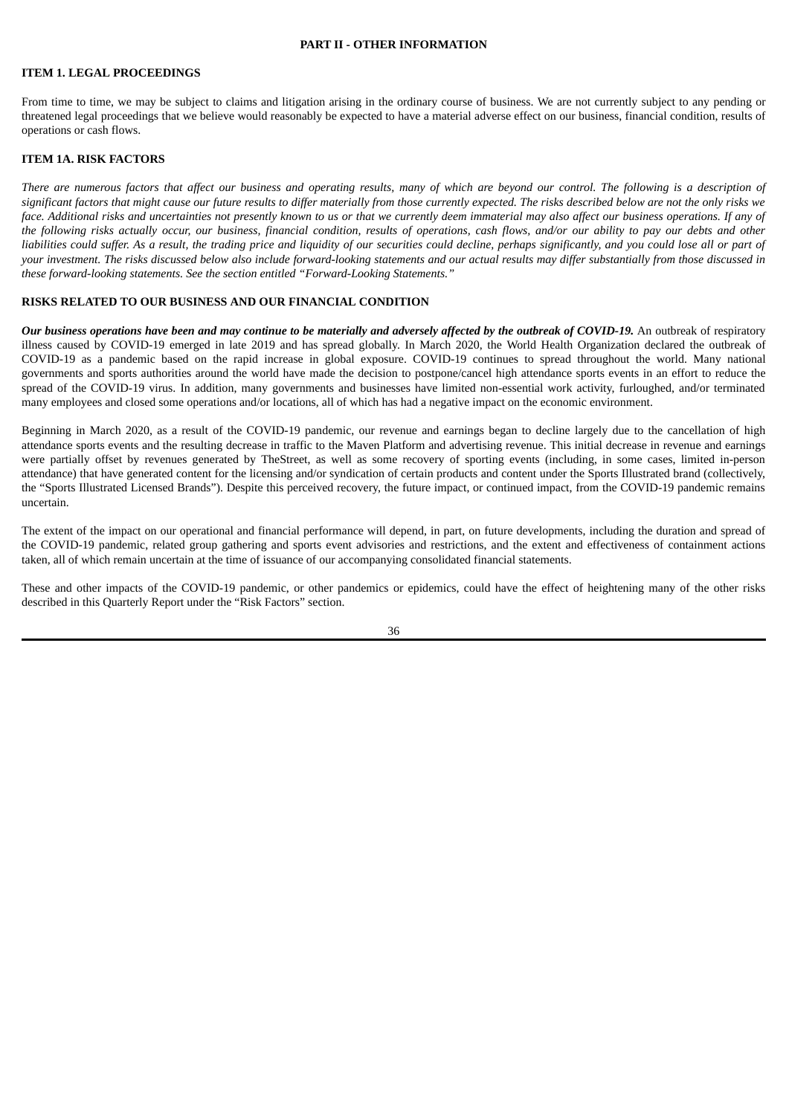#### **PART II - OTHER INFORMATION**

#### <span id="page-37-1"></span><span id="page-37-0"></span>**ITEM 1. LEGAL PROCEEDINGS**

From time to time, we may be subject to claims and litigation arising in the ordinary course of business. We are not currently subject to any pending or threatened legal proceedings that we believe would reasonably be expected to have a material adverse effect on our business, financial condition, results of operations or cash flows.

### <span id="page-37-2"></span>**ITEM 1A. RISK FACTORS**

There are numerous factors that affect our business and operating results, many of which are beyond our control. The following is a description of significant factors that might cause our future results to differ materially from those currently expected. The risks described below are not the only risks we face. Additional risks and uncertainties not presently known to us or that we currently deem immaterial may also affect our business operations. If any of the following risks actually occur, our business, financial condition, results of operations, cash flows, and/or our ability to pay our debts and other liabilities could suffer. As a result, the trading price and liquidity of our securities could decline, perhaps significantly, and you could lose all or part of your investment. The risks discussed below also include forward-looking statements and our actual results may differ substantially from those discussed in *these forward-looking statements. See the section entitled "Forward-Looking Statements."*

## **RISKS RELATED TO OUR BUSINESS AND OUR FINANCIAL CONDITION**

Our business operations have been and may continue to be materially and adversely affected by the outbreak of COVID-19. An outbreak of respiratory illness caused by COVID-19 emerged in late 2019 and has spread globally. In March 2020, the World Health Organization declared the outbreak of COVID-19 as a pandemic based on the rapid increase in global exposure. COVID-19 continues to spread throughout the world. Many national governments and sports authorities around the world have made the decision to postpone/cancel high attendance sports events in an effort to reduce the spread of the COVID-19 virus. In addition, many governments and businesses have limited non-essential work activity, furloughed, and/or terminated many employees and closed some operations and/or locations, all of which has had a negative impact on the economic environment.

Beginning in March 2020, as a result of the COVID-19 pandemic, our revenue and earnings began to decline largely due to the cancellation of high attendance sports events and the resulting decrease in traffic to the Maven Platform and advertising revenue. This initial decrease in revenue and earnings were partially offset by revenues generated by TheStreet, as well as some recovery of sporting events (including, in some cases, limited in-person attendance) that have generated content for the licensing and/or syndication of certain products and content under the Sports Illustrated brand (collectively, the "Sports Illustrated Licensed Brands"). Despite this perceived recovery, the future impact, or continued impact, from the COVID-19 pandemic remains uncertain.

The extent of the impact on our operational and financial performance will depend, in part, on future developments, including the duration and spread of the COVID-19 pandemic, related group gathering and sports event advisories and restrictions, and the extent and effectiveness of containment actions taken, all of which remain uncertain at the time of issuance of our accompanying consolidated financial statements.

These and other impacts of the COVID-19 pandemic, or other pandemics or epidemics, could have the effect of heightening many of the other risks described in this Quarterly Report under the "Risk Factors" section.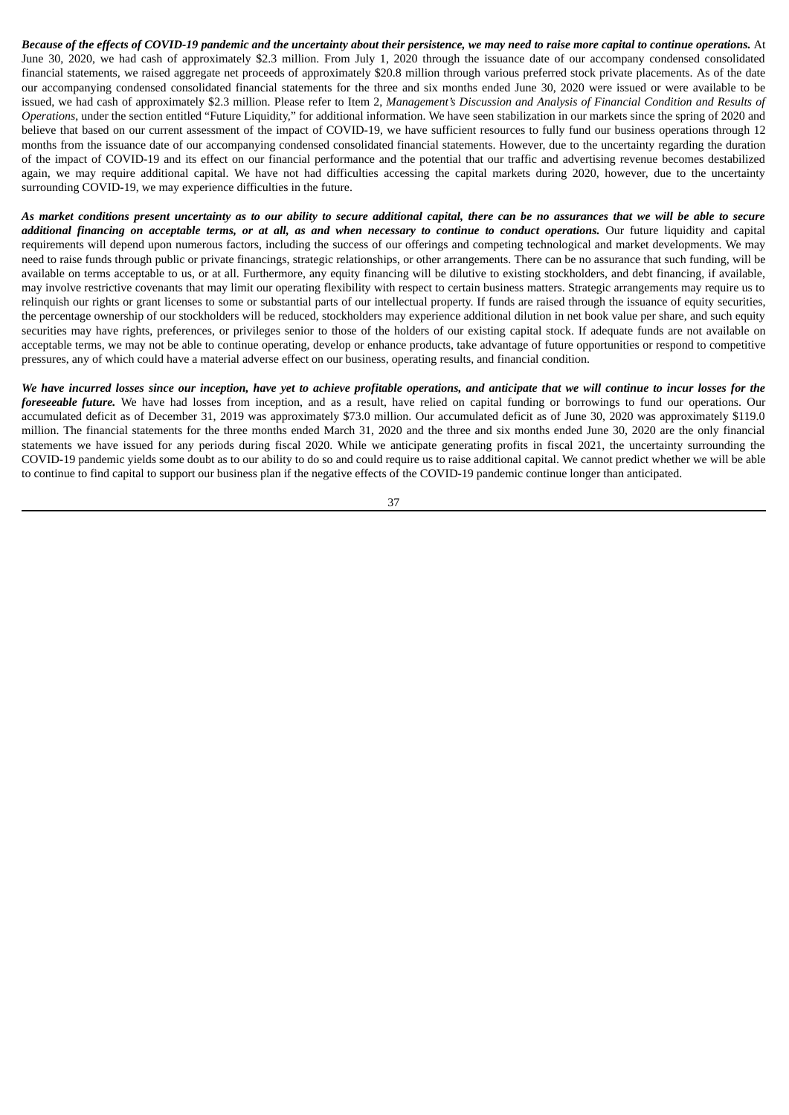Because of the effects of COVID-19 pandemic and the uncertainty about their persistence, we may need to raise more capital to continue operations. At June 30, 2020, we had cash of approximately \$2.3 million. From July 1, 2020 through the issuance date of our accompany condensed consolidated financial statements, we raised aggregate net proceeds of approximately \$20.8 million through various preferred stock private placements. As of the date our accompanying condensed consolidated financial statements for the three and six months ended June 30, 2020 were issued or were available to be issued, we had cash of approximately \$2.3 million. Please refer to Item 2, *Management's Discussion and Analysis of Financial Condition and Results of Operations*, under the section entitled "Future Liquidity," for additional information. We have seen stabilization in our markets since the spring of 2020 and believe that based on our current assessment of the impact of COVID-19, we have sufficient resources to fully fund our business operations through 12 months from the issuance date of our accompanying condensed consolidated financial statements. However, due to the uncertainty regarding the duration of the impact of COVID-19 and its effect on our financial performance and the potential that our traffic and advertising revenue becomes destabilized again, we may require additional capital. We have not had difficulties accessing the capital markets during 2020, however, due to the uncertainty surrounding COVID-19, we may experience difficulties in the future.

As market conditions present uncertainty as to our ability to secure additional capital, there can be no assurances that we will be able to secure additional financing on acceptable terms, or at all, as and when necessary to continue to conduct operations. Our future liquidity and capital requirements will depend upon numerous factors, including the success of our offerings and competing technological and market developments. We may need to raise funds through public or private financings, strategic relationships, or other arrangements. There can be no assurance that such funding, will be available on terms acceptable to us, or at all. Furthermore, any equity financing will be dilutive to existing stockholders, and debt financing, if available, may involve restrictive covenants that may limit our operating flexibility with respect to certain business matters. Strategic arrangements may require us to relinquish our rights or grant licenses to some or substantial parts of our intellectual property. If funds are raised through the issuance of equity securities, the percentage ownership of our stockholders will be reduced, stockholders may experience additional dilution in net book value per share, and such equity securities may have rights, preferences, or privileges senior to those of the holders of our existing capital stock. If adequate funds are not available on acceptable terms, we may not be able to continue operating, develop or enhance products, take advantage of future opportunities or respond to competitive pressures, any of which could have a material adverse effect on our business, operating results, and financial condition.

We have incurred losses since our inception, have yet to achieve profitable operations, and anticipate that we will continue to incur losses for the *foreseeable future.* We have had losses from inception, and as a result, have relied on capital funding or borrowings to fund our operations. Our accumulated deficit as of December 31, 2019 was approximately \$73.0 million. Our accumulated deficit as of June 30, 2020 was approximately \$119.0 million. The financial statements for the three months ended March 31, 2020 and the three and six months ended June 30, 2020 are the only financial statements we have issued for any periods during fiscal 2020. While we anticipate generating profits in fiscal 2021, the uncertainty surrounding the COVID-19 pandemic yields some doubt as to our ability to do so and could require us to raise additional capital. We cannot predict whether we will be able to continue to find capital to support our business plan if the negative effects of the COVID-19 pandemic continue longer than anticipated.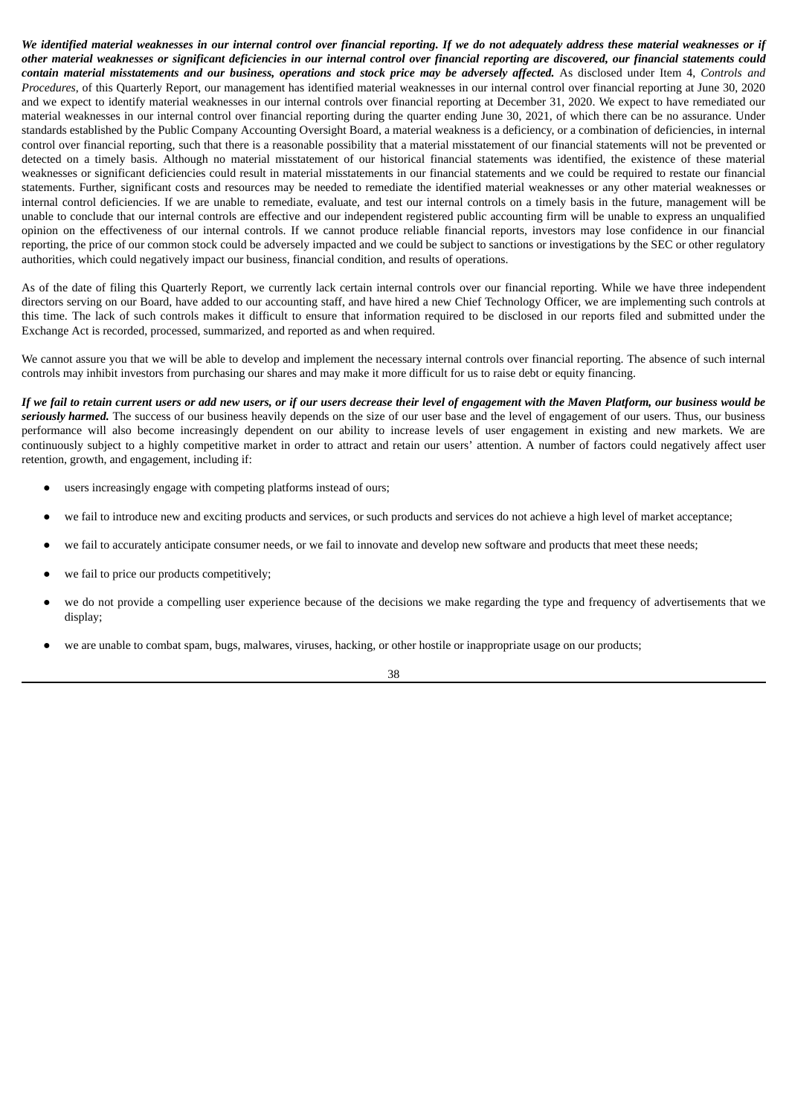We identified material weaknesses in our internal control over financial reporting. If we do not adequately address these material weaknesses or if other material weaknesses or significant deficiencies in our internal control over financial reporting are discovered, our financial statements could contain material misstatements and our business, operations and stock price may be adversely affected. As disclosed under Item 4, Controls and *Procedures*, of this Quarterly Report, our management has identified material weaknesses in our internal control over financial reporting at June 30, 2020 and we expect to identify material weaknesses in our internal controls over financial reporting at December 31, 2020. We expect to have remediated our material weaknesses in our internal control over financial reporting during the quarter ending June 30, 2021, of which there can be no assurance. Under standards established by the Public Company Accounting Oversight Board, a material weakness is a deficiency, or a combination of deficiencies, in internal control over financial reporting, such that there is a reasonable possibility that a material misstatement of our financial statements will not be prevented or detected on a timely basis. Although no material misstatement of our historical financial statements was identified, the existence of these material weaknesses or significant deficiencies could result in material misstatements in our financial statements and we could be required to restate our financial statements. Further, significant costs and resources may be needed to remediate the identified material weaknesses or any other material weaknesses or internal control deficiencies. If we are unable to remediate, evaluate, and test our internal controls on a timely basis in the future, management will be unable to conclude that our internal controls are effective and our independent registered public accounting firm will be unable to express an unqualified opinion on the effectiveness of our internal controls. If we cannot produce reliable financial reports, investors may lose confidence in our financial reporting, the price of our common stock could be adversely impacted and we could be subject to sanctions or investigations by the SEC or other regulatory authorities, which could negatively impact our business, financial condition, and results of operations.

As of the date of filing this Quarterly Report, we currently lack certain internal controls over our financial reporting. While we have three independent directors serving on our Board, have added to our accounting staff, and have hired a new Chief Technology Officer, we are implementing such controls at this time. The lack of such controls makes it difficult to ensure that information required to be disclosed in our reports filed and submitted under the Exchange Act is recorded, processed, summarized, and reported as and when required.

We cannot assure you that we will be able to develop and implement the necessary internal controls over financial reporting. The absence of such internal controls may inhibit investors from purchasing our shares and may make it more difficult for us to raise debt or equity financing.

If we fail to retain current users or add new users, or if our users decrease their level of engagement with the Maven Platform, our business would be *seriously harmed.* The success of our business heavily depends on the size of our user base and the level of engagement of our users. Thus, our business performance will also become increasingly dependent on our ability to increase levels of user engagement in existing and new markets. We are continuously subject to a highly competitive market in order to attract and retain our users' attention. A number of factors could negatively affect user retention, growth, and engagement, including if:

- users increasingly engage with competing platforms instead of ours;
- we fail to introduce new and exciting products and services, or such products and services do not achieve a high level of market acceptance;
- we fail to accurately anticipate consumer needs, or we fail to innovate and develop new software and products that meet these needs;
- we fail to price our products competitively;
- we do not provide a compelling user experience because of the decisions we make regarding the type and frequency of advertisements that we display;
- we are unable to combat spam, bugs, malwares, viruses, hacking, or other hostile or inappropriate usage on our products;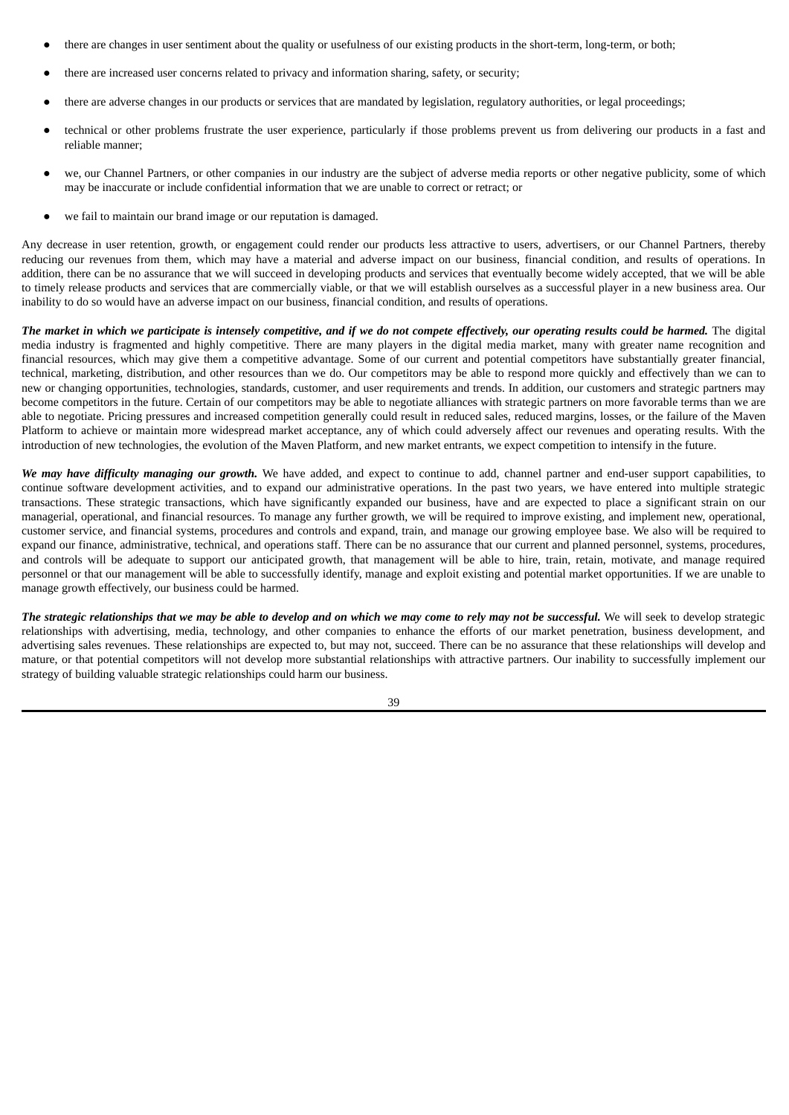- there are changes in user sentiment about the quality or usefulness of our existing products in the short-term, long-term, or both;
- there are increased user concerns related to privacy and information sharing, safety, or security;
- there are adverse changes in our products or services that are mandated by legislation, regulatory authorities, or legal proceedings;
- technical or other problems frustrate the user experience, particularly if those problems prevent us from delivering our products in a fast and reliable manner;
- we, our Channel Partners, or other companies in our industry are the subject of adverse media reports or other negative publicity, some of which may be inaccurate or include confidential information that we are unable to correct or retract; or
- we fail to maintain our brand image or our reputation is damaged.

Any decrease in user retention, growth, or engagement could render our products less attractive to users, advertisers, or our Channel Partners, thereby reducing our revenues from them, which may have a material and adverse impact on our business, financial condition, and results of operations. In addition, there can be no assurance that we will succeed in developing products and services that eventually become widely accepted, that we will be able to timely release products and services that are commercially viable, or that we will establish ourselves as a successful player in a new business area. Our inability to do so would have an adverse impact on our business, financial condition, and results of operations.

The market in which we participate is intensely competitive, and if we do not compete effectively, our operating results could be harmed. The digital media industry is fragmented and highly competitive. There are many players in the digital media market, many with greater name recognition and financial resources, which may give them a competitive advantage. Some of our current and potential competitors have substantially greater financial, technical, marketing, distribution, and other resources than we do. Our competitors may be able to respond more quickly and effectively than we can to new or changing opportunities, technologies, standards, customer, and user requirements and trends. In addition, our customers and strategic partners may become competitors in the future. Certain of our competitors may be able to negotiate alliances with strategic partners on more favorable terms than we are able to negotiate. Pricing pressures and increased competition generally could result in reduced sales, reduced margins, losses, or the failure of the Maven Platform to achieve or maintain more widespread market acceptance, any of which could adversely affect our revenues and operating results. With the introduction of new technologies, the evolution of the Maven Platform, and new market entrants, we expect competition to intensify in the future.

*We may have difficulty managing our growth.* We have added, and expect to continue to add, channel partner and end-user support capabilities, to continue software development activities, and to expand our administrative operations. In the past two years, we have entered into multiple strategic transactions. These strategic transactions, which have significantly expanded our business, have and are expected to place a significant strain on our managerial, operational, and financial resources. To manage any further growth, we will be required to improve existing, and implement new, operational, customer service, and financial systems, procedures and controls and expand, train, and manage our growing employee base. We also will be required to expand our finance, administrative, technical, and operations staff. There can be no assurance that our current and planned personnel, systems, procedures, and controls will be adequate to support our anticipated growth, that management will be able to hire, train, retain, motivate, and manage required personnel or that our management will be able to successfully identify, manage and exploit existing and potential market opportunities. If we are unable to manage growth effectively, our business could be harmed.

The strategic relationships that we may be able to develop and on which we may come to rely may not be successful. We will seek to develop strategic relationships with advertising, media, technology, and other companies to enhance the efforts of our market penetration, business development, and advertising sales revenues. These relationships are expected to, but may not, succeed. There can be no assurance that these relationships will develop and mature, or that potential competitors will not develop more substantial relationships with attractive partners. Our inability to successfully implement our strategy of building valuable strategic relationships could harm our business.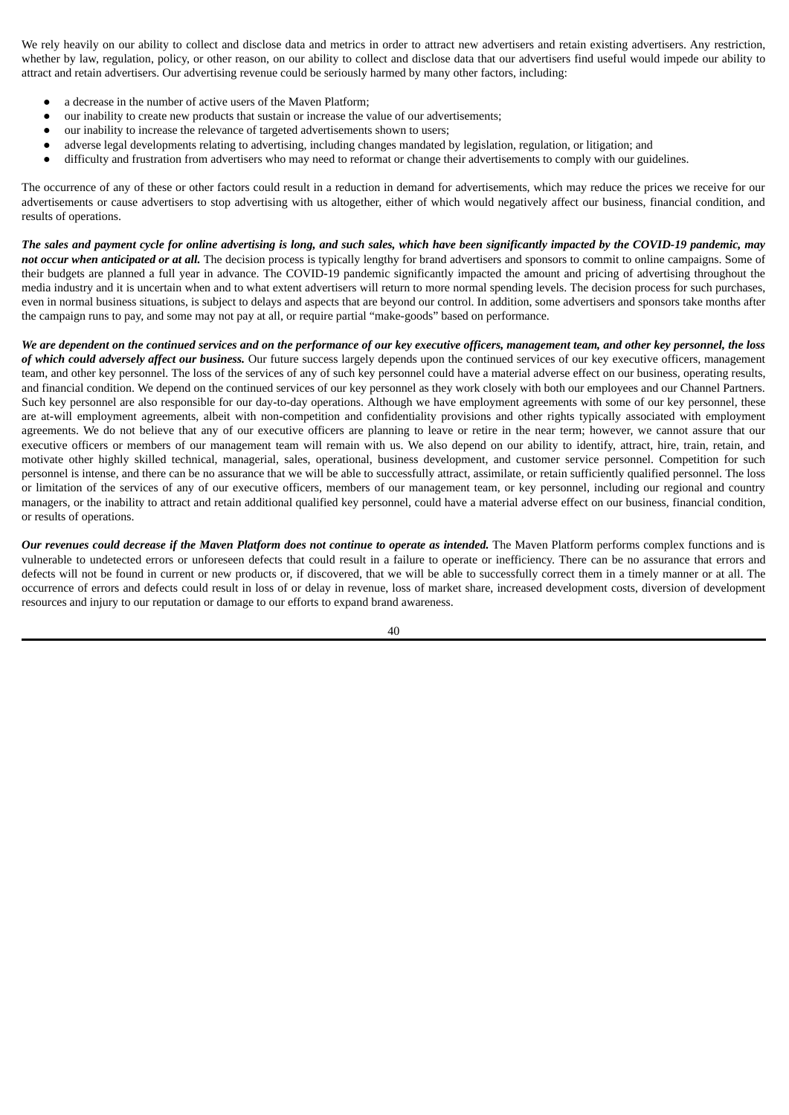We rely heavily on our ability to collect and disclose data and metrics in order to attract new advertisers and retain existing advertisers. Any restriction, whether by law, regulation, policy, or other reason, on our ability to collect and disclose data that our advertisers find useful would impede our ability to attract and retain advertisers. Our advertising revenue could be seriously harmed by many other factors, including:

- a decrease in the number of active users of the Maven Platform;
- our inability to create new products that sustain or increase the value of our advertisements;
- our inability to increase the relevance of targeted advertisements shown to users;
- adverse legal developments relating to advertising, including changes mandated by legislation, regulation, or litigation; and
- difficulty and frustration from advertisers who may need to reformat or change their advertisements to comply with our guidelines.

The occurrence of any of these or other factors could result in a reduction in demand for advertisements, which may reduce the prices we receive for our advertisements or cause advertisers to stop advertising with us altogether, either of which would negatively affect our business, financial condition, and results of operations.

The sales and payment cycle for online advertising is long, and such sales, which have been significantly impacted by the COVID-19 pandemic, may *not occur when anticipated or at all.* The decision process is typically lengthy for brand advertisers and sponsors to commit to online campaigns. Some of their budgets are planned a full year in advance. The COVID-19 pandemic significantly impacted the amount and pricing of advertising throughout the media industry and it is uncertain when and to what extent advertisers will return to more normal spending levels. The decision process for such purchases, even in normal business situations, is subject to delays and aspects that are beyond our control. In addition, some advertisers and sponsors take months after the campaign runs to pay, and some may not pay at all, or require partial "make-goods" based on performance.

We are dependent on the continued services and on the performance of our key executive officers, management team, and other key personnel, the loss *of which could adversely affect our business.* Our future success largely depends upon the continued services of our key executive officers, management team, and other key personnel. The loss of the services of any of such key personnel could have a material adverse effect on our business, operating results, and financial condition. We depend on the continued services of our key personnel as they work closely with both our employees and our Channel Partners. Such key personnel are also responsible for our day-to-day operations. Although we have employment agreements with some of our key personnel, these are at-will employment agreements, albeit with non-competition and confidentiality provisions and other rights typically associated with employment agreements. We do not believe that any of our executive officers are planning to leave or retire in the near term; however, we cannot assure that our executive officers or members of our management team will remain with us. We also depend on our ability to identify, attract, hire, train, retain, and motivate other highly skilled technical, managerial, sales, operational, business development, and customer service personnel. Competition for such personnel is intense, and there can be no assurance that we will be able to successfully attract, assimilate, or retain sufficiently qualified personnel. The loss or limitation of the services of any of our executive officers, members of our management team, or key personnel, including our regional and country managers, or the inability to attract and retain additional qualified key personnel, could have a material adverse effect on our business, financial condition, or results of operations.

Our revenues could decrease if the Maven Platform does not continue to operate as intended. The Maven Platform performs complex functions and is vulnerable to undetected errors or unforeseen defects that could result in a failure to operate or inefficiency. There can be no assurance that errors and defects will not be found in current or new products or, if discovered, that we will be able to successfully correct them in a timely manner or at all. The occurrence of errors and defects could result in loss of or delay in revenue, loss of market share, increased development costs, diversion of development resources and injury to our reputation or damage to our efforts to expand brand awareness.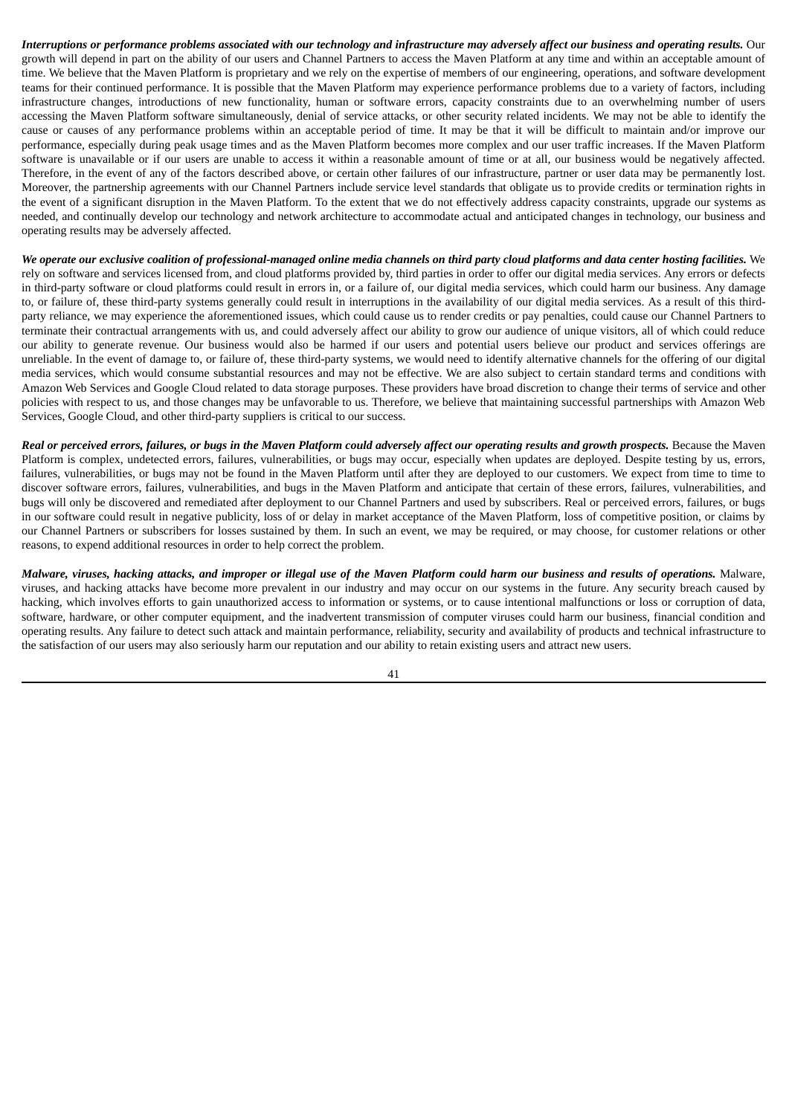Interruptions or performance problems associated with our technology and infrastructure may adversely affect our business and operating results. Our growth will depend in part on the ability of our users and Channel Partners to access the Maven Platform at any time and within an acceptable amount of time. We believe that the Maven Platform is proprietary and we rely on the expertise of members of our engineering, operations, and software development teams for their continued performance. It is possible that the Maven Platform may experience performance problems due to a variety of factors, including infrastructure changes, introductions of new functionality, human or software errors, capacity constraints due to an overwhelming number of users accessing the Maven Platform software simultaneously, denial of service attacks, or other security related incidents. We may not be able to identify the cause or causes of any performance problems within an acceptable period of time. It may be that it will be difficult to maintain and/or improve our performance, especially during peak usage times and as the Maven Platform becomes more complex and our user traffic increases. If the Maven Platform software is unavailable or if our users are unable to access it within a reasonable amount of time or at all, our business would be negatively affected. Therefore, in the event of any of the factors described above, or certain other failures of our infrastructure, partner or user data may be permanently lost. Moreover, the partnership agreements with our Channel Partners include service level standards that obligate us to provide credits or termination rights in the event of a significant disruption in the Maven Platform. To the extent that we do not effectively address capacity constraints, upgrade our systems as needed, and continually develop our technology and network architecture to accommodate actual and anticipated changes in technology, our business and operating results may be adversely affected.

We operate our exclusive coalition of professional-managed online media channels on third party cloud platforms and data center hosting facilities. We rely on software and services licensed from, and cloud platforms provided by, third parties in order to offer our digital media services. Any errors or defects in third-party software or cloud platforms could result in errors in, or a failure of, our digital media services, which could harm our business. Any damage to, or failure of, these third-party systems generally could result in interruptions in the availability of our digital media services. As a result of this thirdparty reliance, we may experience the aforementioned issues, which could cause us to render credits or pay penalties, could cause our Channel Partners to terminate their contractual arrangements with us, and could adversely affect our ability to grow our audience of unique visitors, all of which could reduce our ability to generate revenue. Our business would also be harmed if our users and potential users believe our product and services offerings are unreliable. In the event of damage to, or failure of, these third-party systems, we would need to identify alternative channels for the offering of our digital media services, which would consume substantial resources and may not be effective. We are also subject to certain standard terms and conditions with Amazon Web Services and Google Cloud related to data storage purposes. These providers have broad discretion to change their terms of service and other policies with respect to us, and those changes may be unfavorable to us. Therefore, we believe that maintaining successful partnerships with Amazon Web Services, Google Cloud, and other third-party suppliers is critical to our success.

Real or perceived errors, failures, or bugs in the Maven Platform could adversely affect our operating results and growth prospects. Because the Maven Platform is complex, undetected errors, failures, vulnerabilities, or bugs may occur, especially when updates are deployed. Despite testing by us, errors, failures, vulnerabilities, or bugs may not be found in the Maven Platform until after they are deployed to our customers. We expect from time to time to discover software errors, failures, vulnerabilities, and bugs in the Maven Platform and anticipate that certain of these errors, failures, vulnerabilities, and bugs will only be discovered and remediated after deployment to our Channel Partners and used by subscribers. Real or perceived errors, failures, or bugs in our software could result in negative publicity, loss of or delay in market acceptance of the Maven Platform, loss of competitive position, or claims by our Channel Partners or subscribers for losses sustained by them. In such an event, we may be required, or may choose, for customer relations or other reasons, to expend additional resources in order to help correct the problem.

Malware, viruses, hacking attacks, and improper or illegal use of the Maven Platform could harm our business and results of operations. Malware, viruses, and hacking attacks have become more prevalent in our industry and may occur on our systems in the future. Any security breach caused by hacking, which involves efforts to gain unauthorized access to information or systems, or to cause intentional malfunctions or loss or corruption of data, software, hardware, or other computer equipment, and the inadvertent transmission of computer viruses could harm our business, financial condition and operating results. Any failure to detect such attack and maintain performance, reliability, security and availability of products and technical infrastructure to the satisfaction of our users may also seriously harm our reputation and our ability to retain existing users and attract new users.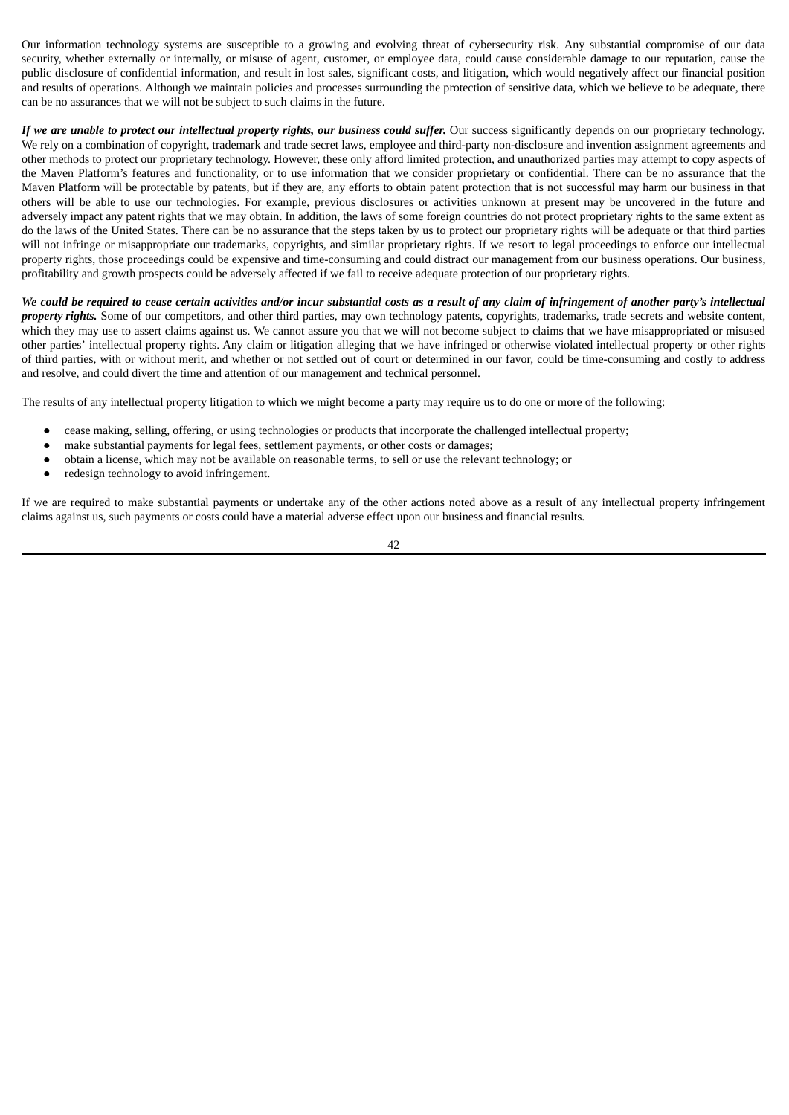Our information technology systems are susceptible to a growing and evolving threat of cybersecurity risk. Any substantial compromise of our data security, whether externally or internally, or misuse of agent, customer, or employee data, could cause considerable damage to our reputation, cause the public disclosure of confidential information, and result in lost sales, significant costs, and litigation, which would negatively affect our financial position and results of operations. Although we maintain policies and processes surrounding the protection of sensitive data, which we believe to be adequate, there can be no assurances that we will not be subject to such claims in the future.

If we are unable to protect our intellectual property rights, our business could suffer. Our success significantly depends on our proprietary technology. We rely on a combination of copyright, trademark and trade secret laws, employee and third-party non-disclosure and invention assignment agreements and other methods to protect our proprietary technology. However, these only afford limited protection, and unauthorized parties may attempt to copy aspects of the Maven Platform's features and functionality, or to use information that we consider proprietary or confidential. There can be no assurance that the Maven Platform will be protectable by patents, but if they are, any efforts to obtain patent protection that is not successful may harm our business in that others will be able to use our technologies. For example, previous disclosures or activities unknown at present may be uncovered in the future and adversely impact any patent rights that we may obtain. In addition, the laws of some foreign countries do not protect proprietary rights to the same extent as do the laws of the United States. There can be no assurance that the steps taken by us to protect our proprietary rights will be adequate or that third parties will not infringe or misappropriate our trademarks, copyrights, and similar proprietary rights. If we resort to legal proceedings to enforce our intellectual property rights, those proceedings could be expensive and time-consuming and could distract our management from our business operations. Our business, profitability and growth prospects could be adversely affected if we fail to receive adequate protection of our proprietary rights.

We could be required to cease certain activities and/or incur substantial costs as a result of any claim of infringement of another party's intellectual *property rights*. Some of our competitors, and other third parties, may own technology patents, copyrights, trademarks, trade secrets and website content, which they may use to assert claims against us. We cannot assure you that we will not become subject to claims that we have misappropriated or misused other parties' intellectual property rights. Any claim or litigation alleging that we have infringed or otherwise violated intellectual property or other rights of third parties, with or without merit, and whether or not settled out of court or determined in our favor, could be time-consuming and costly to address and resolve, and could divert the time and attention of our management and technical personnel.

The results of any intellectual property litigation to which we might become a party may require us to do one or more of the following:

- cease making, selling, offering, or using technologies or products that incorporate the challenged intellectual property;
- make substantial payments for legal fees, settlement payments, or other costs or damages;
- obtain a license, which may not be available on reasonable terms, to sell or use the relevant technology; or
- redesign technology to avoid infringement.

If we are required to make substantial payments or undertake any of the other actions noted above as a result of any intellectual property infringement claims against us, such payments or costs could have a material adverse effect upon our business and financial results.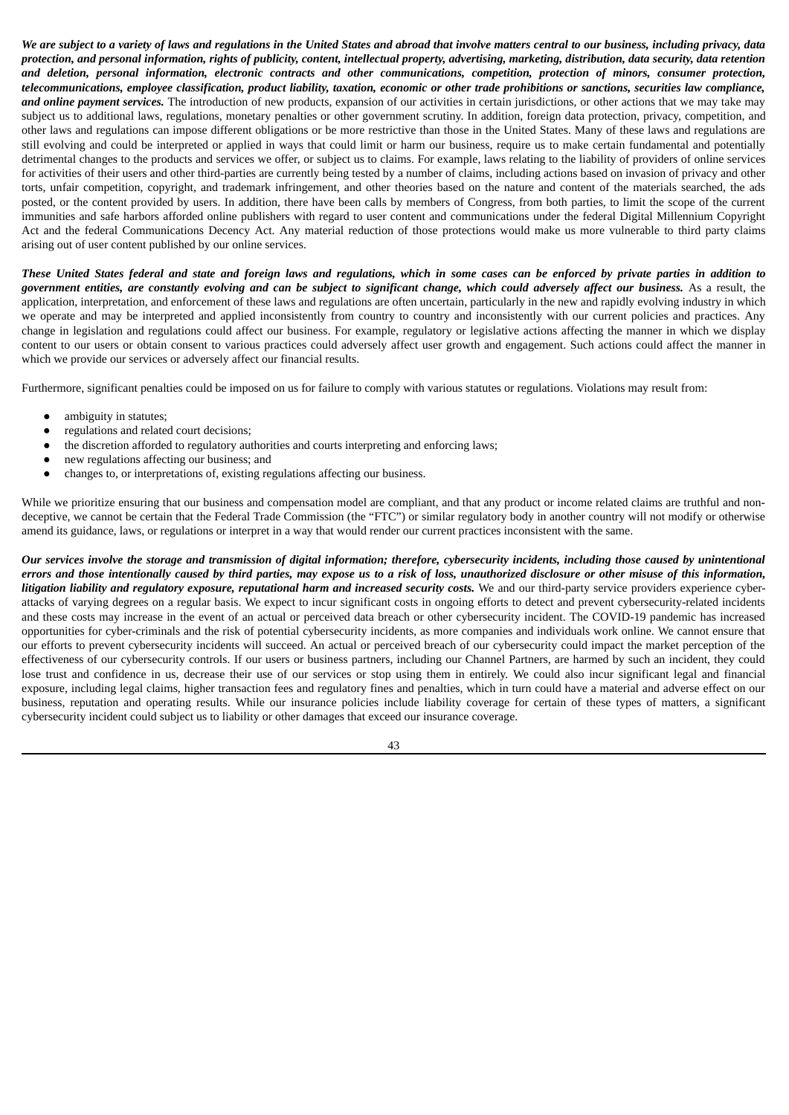We are subject to a variety of laws and regulations in the United States and abroad that involve matters central to our business, including privacy, data protection, and personal information, rights of publicity, content, intellectual property, advertising, marketing, distribution, data security, data retention and deletion, personal information, electronic contracts and other communications, competition, protection of minors, consumer protection, telecommunications, employee classification, product liability, taxation, economic or other trade prohibitions or sanctions, securities law compliance, *and online payment services.* The introduction of new products, expansion of our activities in certain jurisdictions, or other actions that we may take may subject us to additional laws, regulations, monetary penalties or other government scrutiny. In addition, foreign data protection, privacy, competition, and other laws and regulations can impose different obligations or be more restrictive than those in the United States. Many of these laws and regulations are still evolving and could be interpreted or applied in ways that could limit or harm our business, require us to make certain fundamental and potentially detrimental changes to the products and services we offer, or subject us to claims. For example, laws relating to the liability of providers of online services for activities of their users and other third-parties are currently being tested by a number of claims, including actions based on invasion of privacy and other torts, unfair competition, copyright, and trademark infringement, and other theories based on the nature and content of the materials searched, the ads posted, or the content provided by users. In addition, there have been calls by members of Congress, from both parties, to limit the scope of the current immunities and safe harbors afforded online publishers with regard to user content and communications under the federal Digital Millennium Copyright Act and the federal Communications Decency Act. Any material reduction of those protections would make us more vulnerable to third party claims arising out of user content published by our online services.

These United States federal and state and foreign laws and regulations, which in some cases can be enforced by private parties in addition to government entities, are constantly evolving and can be subject to significant change, which could adversely affect our business. As a result, the application, interpretation, and enforcement of these laws and regulations are often uncertain, particularly in the new and rapidly evolving industry in which we operate and may be interpreted and applied inconsistently from country to country and inconsistently with our current policies and practices. Any change in legislation and regulations could affect our business. For example, regulatory or legislative actions affecting the manner in which we display content to our users or obtain consent to various practices could adversely affect user growth and engagement. Such actions could affect the manner in which we provide our services or adversely affect our financial results.

Furthermore, significant penalties could be imposed on us for failure to comply with various statutes or regulations. Violations may result from:

- ambiguity in statutes:
- regulations and related court decisions;
- the discretion afforded to regulatory authorities and courts interpreting and enforcing laws;
- new regulations affecting our business; and
- changes to, or interpretations of, existing regulations affecting our business.

While we prioritize ensuring that our business and compensation model are compliant, and that any product or income related claims are truthful and nondeceptive, we cannot be certain that the Federal Trade Commission (the "FTC") or similar regulatory body in another country will not modify or otherwise amend its guidance, laws, or regulations or interpret in a way that would render our current practices inconsistent with the same.

Our services involve the storage and transmission of digital information; therefore, cybersecurity incidents, including those caused by unintentional errors and those intentionally caused by third parties, may expose us to a risk of loss, unauthorized disclosure or other misuse of this information, litigation liability and regulatory exposure, reputational harm and increased security costs. We and our third-party service providers experience cyberattacks of varying degrees on a regular basis. We expect to incur significant costs in ongoing efforts to detect and prevent cybersecurity-related incidents and these costs may increase in the event of an actual or perceived data breach or other cybersecurity incident. The COVID-19 pandemic has increased opportunities for cyber-criminals and the risk of potential cybersecurity incidents, as more companies and individuals work online. We cannot ensure that our efforts to prevent cybersecurity incidents will succeed. An actual or perceived breach of our cybersecurity could impact the market perception of the effectiveness of our cybersecurity controls. If our users or business partners, including our Channel Partners, are harmed by such an incident, they could lose trust and confidence in us, decrease their use of our services or stop using them in entirely. We could also incur significant legal and financial exposure, including legal claims, higher transaction fees and regulatory fines and penalties, which in turn could have a material and adverse effect on our business, reputation and operating results. While our insurance policies include liability coverage for certain of these types of matters, a significant cybersecurity incident could subject us to liability or other damages that exceed our insurance coverage.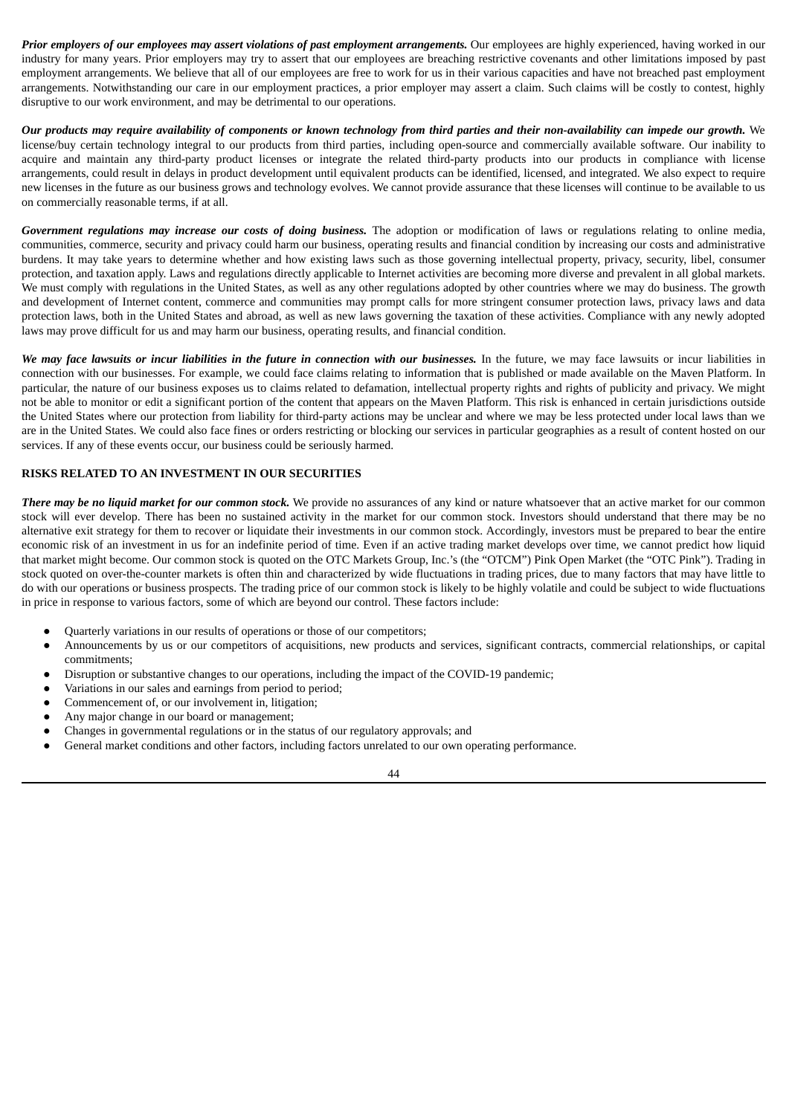Prior employers of our employees may assert violations of past employment arrangements. Our employees are highly experienced, having worked in our industry for many years. Prior employers may try to assert that our employees are breaching restrictive covenants and other limitations imposed by past employment arrangements. We believe that all of our employees are free to work for us in their various capacities and have not breached past employment arrangements. Notwithstanding our care in our employment practices, a prior employer may assert a claim. Such claims will be costly to contest, highly disruptive to our work environment, and may be detrimental to our operations.

Our products may reauire availability of components or known technoloay from third parties and their non-availability can impede our arowth. We license/buy certain technology integral to our products from third parties, including open-source and commercially available software. Our inability to acquire and maintain any third-party product licenses or integrate the related third-party products into our products in compliance with license arrangements, could result in delays in product development until equivalent products can be identified, licensed, and integrated. We also expect to require new licenses in the future as our business grows and technology evolves. We cannot provide assurance that these licenses will continue to be available to us on commercially reasonable terms, if at all.

*Government regulations may increase our costs of doing business.* The adoption or modification of laws or regulations relating to online media, communities, commerce, security and privacy could harm our business, operating results and financial condition by increasing our costs and administrative burdens. It may take years to determine whether and how existing laws such as those governing intellectual property, privacy, security, libel, consumer protection, and taxation apply. Laws and regulations directly applicable to Internet activities are becoming more diverse and prevalent in all global markets. We must comply with regulations in the United States, as well as any other regulations adopted by other countries where we may do business. The growth and development of Internet content, commerce and communities may prompt calls for more stringent consumer protection laws, privacy laws and data protection laws, both in the United States and abroad, as well as new laws governing the taxation of these activities. Compliance with any newly adopted laws may prove difficult for us and may harm our business, operating results, and financial condition.

We may face lawsuits or incur liabilities in the future in connection with our businesses. In the future, we may face lawsuits or incur liabilities in connection with our businesses. For example, we could face claims relating to information that is published or made available on the Maven Platform. In particular, the nature of our business exposes us to claims related to defamation, intellectual property rights and rights of publicity and privacy. We might not be able to monitor or edit a significant portion of the content that appears on the Maven Platform. This risk is enhanced in certain jurisdictions outside the United States where our protection from liability for third-party actions may be unclear and where we may be less protected under local laws than we are in the United States. We could also face fines or orders restricting or blocking our services in particular geographies as a result of content hosted on our services. If any of these events occur, our business could be seriously harmed.

# **RISKS RELATED TO AN INVESTMENT IN OUR SECURITIES**

*There may be no liquid market for our common stock.* We provide no assurances of any kind or nature whatsoever that an active market for our common stock will ever develop. There has been no sustained activity in the market for our common stock. Investors should understand that there may be no alternative exit strategy for them to recover or liquidate their investments in our common stock. Accordingly, investors must be prepared to bear the entire economic risk of an investment in us for an indefinite period of time. Even if an active trading market develops over time, we cannot predict how liquid that market might become. Our common stock is quoted on the OTC Markets Group, Inc.'s (the "OTCM") Pink Open Market (the "OTC Pink"). Trading in stock quoted on over-the-counter markets is often thin and characterized by wide fluctuations in trading prices, due to many factors that may have little to do with our operations or business prospects. The trading price of our common stock is likely to be highly volatile and could be subject to wide fluctuations in price in response to various factors, some of which are beyond our control. These factors include:

- Quarterly variations in our results of operations or those of our competitors;
- Announcements by us or our competitors of acquisitions, new products and services, significant contracts, commercial relationships, or capital commitments;
- Disruption or substantive changes to our operations, including the impact of the COVID-19 pandemic;
- Variations in our sales and earnings from period to period;
- Commencement of, or our involvement in, litigation;
- Any major change in our board or management;
- Changes in governmental regulations or in the status of our regulatory approvals; and
- General market conditions and other factors, including factors unrelated to our own operating performance.

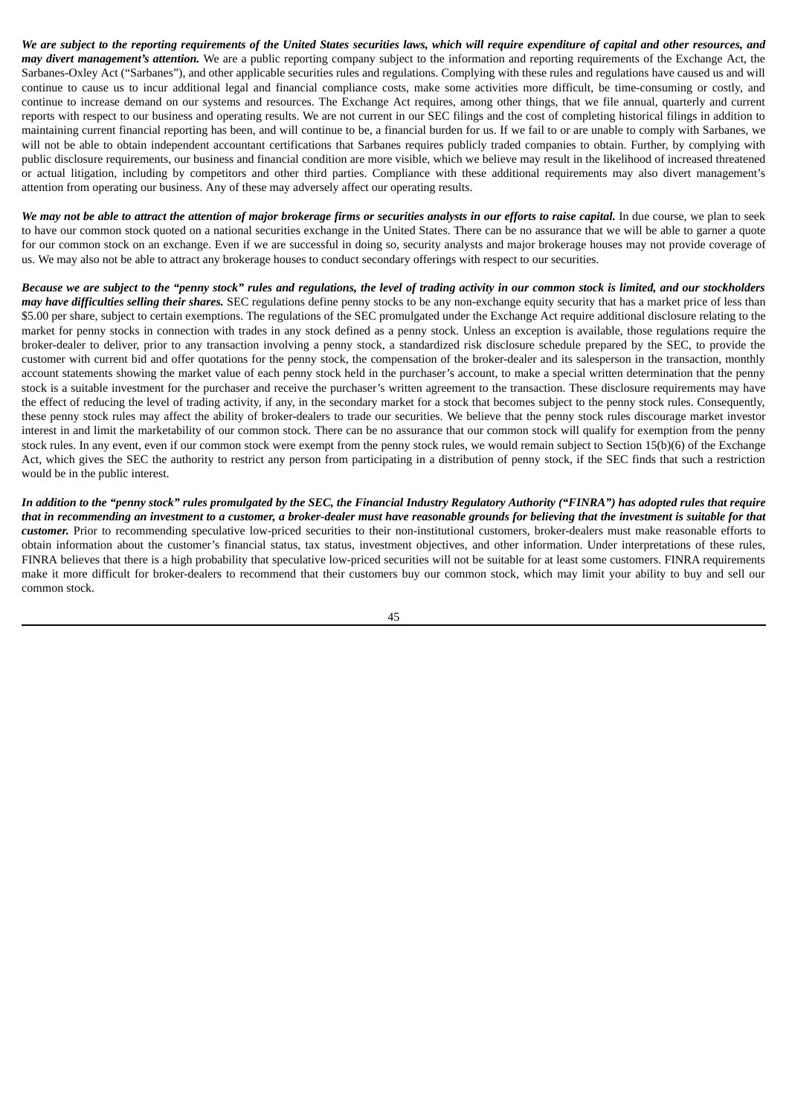We are subject to the reporting requirements of the United States securities laws, which will require expenditure of capital and other resources, and *may divert management's attention.* We are a public reporting company subject to the information and reporting requirements of the Exchange Act, the Sarbanes-Oxley Act ("Sarbanes"), and other applicable securities rules and regulations. Complying with these rules and regulations have caused us and will continue to cause us to incur additional legal and financial compliance costs, make some activities more difficult, be time-consuming or costly, and continue to increase demand on our systems and resources. The Exchange Act requires, among other things, that we file annual, quarterly and current reports with respect to our business and operating results. We are not current in our SEC filings and the cost of completing historical filings in addition to maintaining current financial reporting has been, and will continue to be, a financial burden for us. If we fail to or are unable to comply with Sarbanes, we will not be able to obtain independent accountant certifications that Sarbanes requires publicly traded companies to obtain. Further, by complying with public disclosure requirements, our business and financial condition are more visible, which we believe may result in the likelihood of increased threatened or actual litigation, including by competitors and other third parties. Compliance with these additional requirements may also divert management's attention from operating our business. Any of these may adversely affect our operating results.

We may not be able to attract the attention of major brokerage firms or securities analysts in our efforts to raise capital. In due course, we plan to seek to have our common stock quoted on a national securities exchange in the United States. There can be no assurance that we will be able to garner a quote for our common stock on an exchange. Even if we are successful in doing so, security analysts and major brokerage houses may not provide coverage of us. We may also not be able to attract any brokerage houses to conduct secondary offerings with respect to our securities.

Because we are subject to the "penny stock" rules and regulations, the level of trading activity in our common stock is limited, and our stockholders *may have difficulties selling their shares.* SEC regulations define penny stocks to be any non-exchange equity security that has a market price of less than \$5.00 per share, subject to certain exemptions. The regulations of the SEC promulgated under the Exchange Act require additional disclosure relating to the market for penny stocks in connection with trades in any stock defined as a penny stock. Unless an exception is available, those regulations require the broker-dealer to deliver, prior to any transaction involving a penny stock, a standardized risk disclosure schedule prepared by the SEC, to provide the customer with current bid and offer quotations for the penny stock, the compensation of the broker-dealer and its salesperson in the transaction, monthly account statements showing the market value of each penny stock held in the purchaser's account, to make a special written determination that the penny stock is a suitable investment for the purchaser and receive the purchaser's written agreement to the transaction. These disclosure requirements may have the effect of reducing the level of trading activity, if any, in the secondary market for a stock that becomes subject to the penny stock rules. Consequently, these penny stock rules may affect the ability of broker-dealers to trade our securities. We believe that the penny stock rules discourage market investor interest in and limit the marketability of our common stock. There can be no assurance that our common stock will qualify for exemption from the penny stock rules. In any event, even if our common stock were exempt from the penny stock rules, we would remain subject to Section 15(b)(6) of the Exchange Act, which gives the SEC the authority to restrict any person from participating in a distribution of penny stock, if the SEC finds that such a restriction would be in the public interest.

In addition to the "penny stock" rules promulgated by the SEC, the Financial Industry Regulatory Authority ("FINRA") has adopted rules that require that in recommending an investment to a customer, a broker-dealer must have reasonable arounds for believing that the investment is suitable for that *customer.* Prior to recommending speculative low-priced securities to their non-institutional customers, broker-dealers must make reasonable efforts to obtain information about the customer's financial status, tax status, investment objectives, and other information. Under interpretations of these rules, FINRA believes that there is a high probability that speculative low-priced securities will not be suitable for at least some customers. FINRA requirements make it more difficult for broker-dealers to recommend that their customers buy our common stock, which may limit your ability to buy and sell our common stock.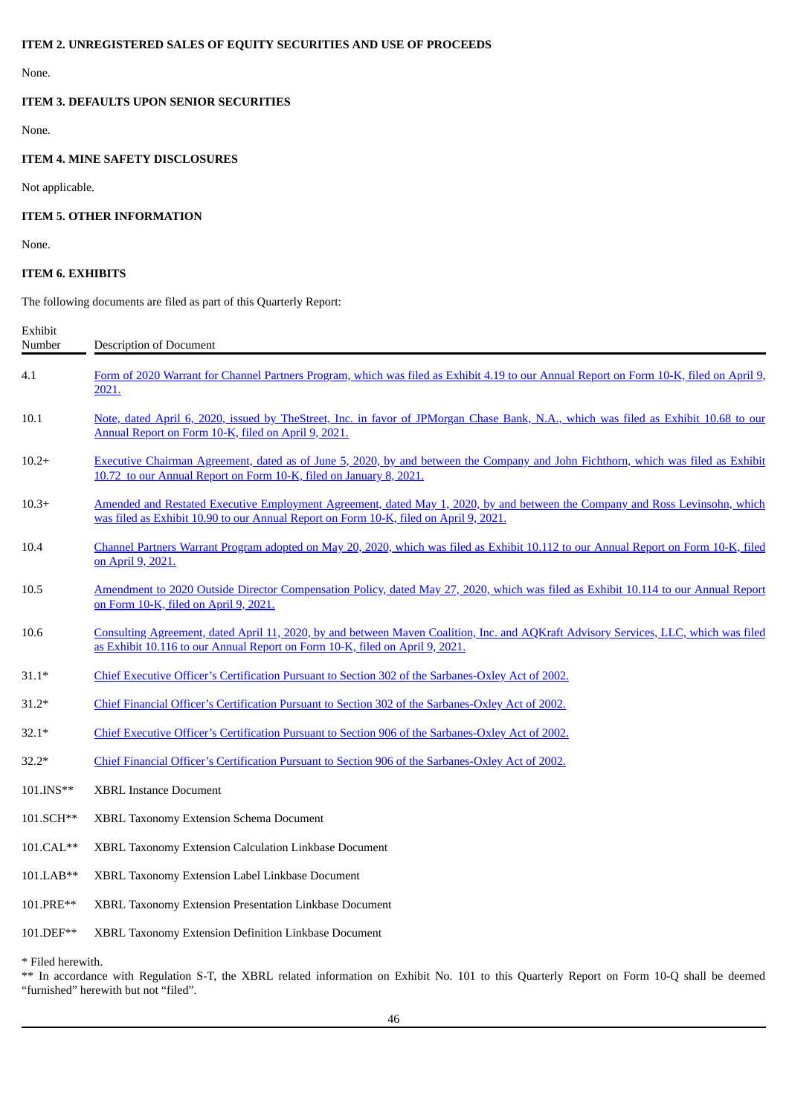# <span id="page-47-0"></span>**ITEM 2. UNREGISTERED SALES OF EQUITY SECURITIES AND USE OF PROCEEDS**

None.

# <span id="page-47-1"></span>**ITEM 3. DEFAULTS UPON SENIOR SECURITIES**

None.

# <span id="page-47-2"></span>**ITEM 4. MINE SAFETY DISCLOSURES**

Not applicable.

## <span id="page-47-3"></span>**ITEM 5. OTHER INFORMATION**

None.

# <span id="page-47-4"></span>**ITEM 6. EXHIBITS**

The following documents are filed as part of this Quarterly Report:

| Exhibit<br>Number | Description of Document                                                                                                                                                                                               |
|-------------------|-----------------------------------------------------------------------------------------------------------------------------------------------------------------------------------------------------------------------|
| 4.1               | Form of 2020 Warrant for Channel Partners Program, which was filed as Exhibit 4.19 to our Annual Report on Form 10-K, filed on April 9,<br>2021.                                                                      |
| 10.1              | Note, dated April 6, 2020, issued by TheStreet, Inc. in favor of JPMorgan Chase Bank, N.A., which was filed as Exhibit 10.68 to our<br>Annual Report on Form 10-K, filed on April 9, 2021.                            |
| $10.2+$           | Executive Chairman Agreement, dated as of June 5, 2020, by and between the Company and John Fichthorn, which was filed as Exhibit<br>10.72 to our Annual Report on Form 10-K, filed on January 8, 2021.               |
| $10.3+$           | Amended and Restated Executive Employment Agreement, dated May 1, 2020, by and between the Company and Ross Levinsohn, which<br>was filed as Exhibit 10.90 to our Annual Report on Form 10-K, filed on April 9, 2021. |
| 10.4              | Channel Partners Warrant Program adopted on May 20, 2020, which was filed as Exhibit 10.112 to our Annual Report on Form 10-K, filed<br>on April 9, 2021.                                                             |
| 10.5              | Amendment to 2020 Outside Director Compensation Policy, dated May 27, 2020, which was filed as Exhibit 10.114 to our Annual Report<br>on Form 10-K, filed on April 9, 2021.                                           |
| 10.6              | Consulting Agreement, dated April 11, 2020, by and between Maven Coalition, Inc. and AQKraft Advisory Services, LLC, which was filed<br>as Exhibit 10.116 to our Annual Report on Form 10-K, filed on April 9, 2021.  |
| $31.1*$           | Chief Executive Officer's Certification Pursuant to Section 302 of the Sarbanes-Oxley Act of 2002.                                                                                                                    |
| $31.2*$           | Chief Financial Officer's Certification Pursuant to Section 302 of the Sarbanes-Oxley Act of 2002.                                                                                                                    |
| $32.1*$           | Chief Executive Officer's Certification Pursuant to Section 906 of the Sarbanes-Oxley Act of 2002.                                                                                                                    |
| $32.2*$           | Chief Financial Officer's Certification Pursuant to Section 906 of the Sarbanes-Oxley Act of 2002.                                                                                                                    |
| 101.INS**         | <b>XBRL Instance Document</b>                                                                                                                                                                                         |
| 101.SCH**         | <b>XBRL Taxonomy Extension Schema Document</b>                                                                                                                                                                        |
| 101.CAL**         | <b>XBRL Taxonomy Extension Calculation Linkbase Document</b>                                                                                                                                                          |
| 101.LAB**         | XBRL Taxonomy Extension Label Linkbase Document                                                                                                                                                                       |
| 101.PRE**         | XBRL Taxonomy Extension Presentation Linkbase Document                                                                                                                                                                |
| 101.DEF**         | <b>XBRL Taxonomy Extension Definition Linkbase Document</b>                                                                                                                                                           |
| * Filed herewith. |                                                                                                                                                                                                                       |

\*\* In accordance with Regulation S-T, the XBRL related information on Exhibit No. 101 to this Quarterly Report on Form 10-Q shall be deemed "furnished" herewith but not "filed".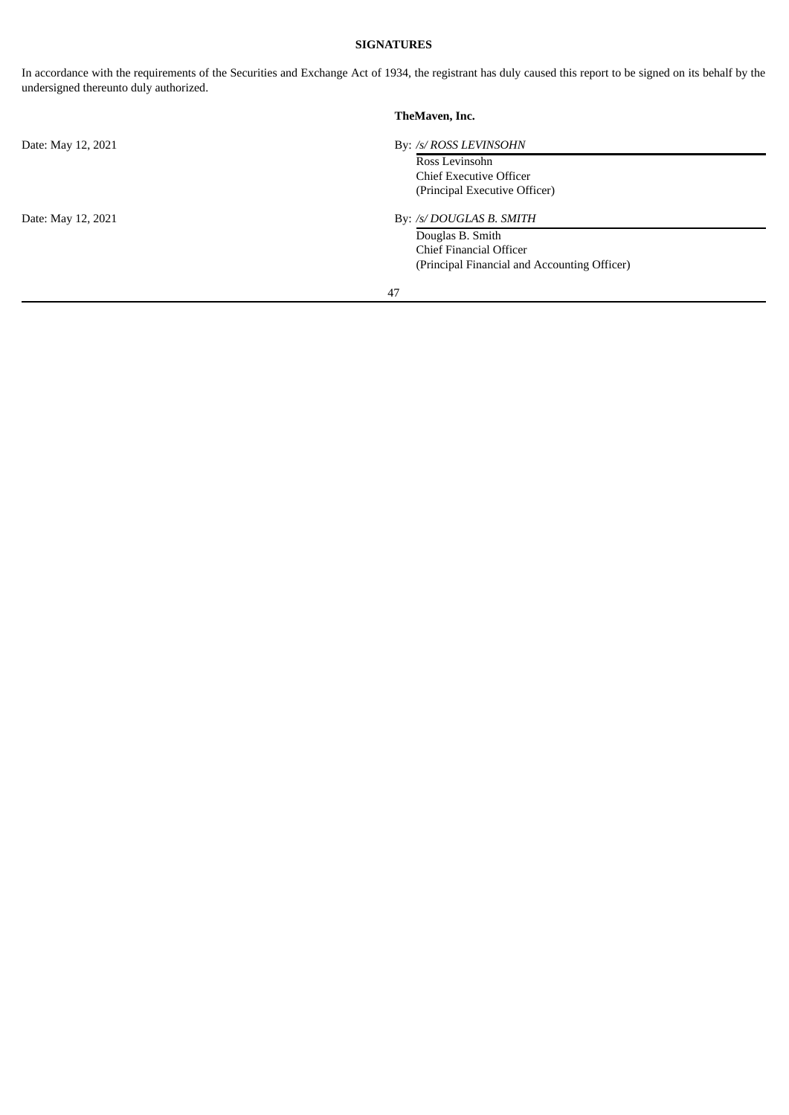# **SIGNATURES**

<span id="page-48-0"></span>In accordance with the requirements of the Securities and Exchange Act of 1934, the registrant has duly caused this report to be signed on its behalf by the undersigned thereunto duly authorized.

|                    | TheMaven, Inc.                               |
|--------------------|----------------------------------------------|
| Date: May 12, 2021 | By: /s/ ROSS LEVINSOHN                       |
|                    | Ross Levinsohn                               |
|                    | <b>Chief Executive Officer</b>               |
|                    | (Principal Executive Officer)                |
| Date: May 12, 2021 | By: /s/ DOUGLAS B. SMITH                     |
|                    | Douglas B. Smith                             |
|                    | Chief Financial Officer                      |
|                    | (Principal Financial and Accounting Officer) |
|                    | 47                                           |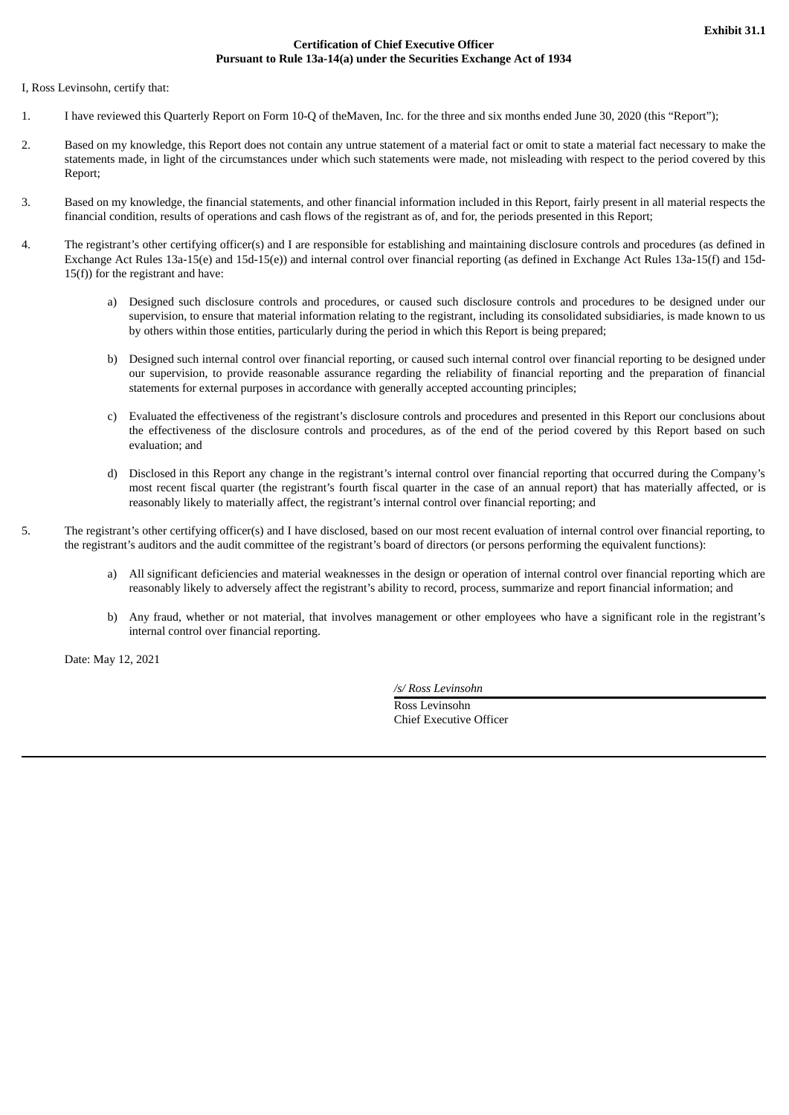# **Certification of Chief Executive Officer Pursuant to Rule 13a-14(a) under the Securities Exchange Act of 1934**

<span id="page-49-0"></span>I, Ross Levinsohn, certify that:

- 1. I have reviewed this Quarterly Report on Form 10-Q of theMaven, Inc. for the three and six months ended June 30, 2020 (this "Report");
- 2. Based on my knowledge, this Report does not contain any untrue statement of a material fact or omit to state a material fact necessary to make the statements made, in light of the circumstances under which such statements were made, not misleading with respect to the period covered by this Report;
- 3. Based on my knowledge, the financial statements, and other financial information included in this Report, fairly present in all material respects the financial condition, results of operations and cash flows of the registrant as of, and for, the periods presented in this Report;
- 4. The registrant's other certifying officer(s) and I are responsible for establishing and maintaining disclosure controls and procedures (as defined in Exchange Act Rules 13a-15(e) and 15d-15(e)) and internal control over financial reporting (as defined in Exchange Act Rules 13a-15(f) and 15d-15(f)) for the registrant and have:
	- a) Designed such disclosure controls and procedures, or caused such disclosure controls and procedures to be designed under our supervision, to ensure that material information relating to the registrant, including its consolidated subsidiaries, is made known to us by others within those entities, particularly during the period in which this Report is being prepared;
	- b) Designed such internal control over financial reporting, or caused such internal control over financial reporting to be designed under our supervision, to provide reasonable assurance regarding the reliability of financial reporting and the preparation of financial statements for external purposes in accordance with generally accepted accounting principles;
	- c) Evaluated the effectiveness of the registrant's disclosure controls and procedures and presented in this Report our conclusions about the effectiveness of the disclosure controls and procedures, as of the end of the period covered by this Report based on such evaluation; and
	- d) Disclosed in this Report any change in the registrant's internal control over financial reporting that occurred during the Company's most recent fiscal quarter (the registrant's fourth fiscal quarter in the case of an annual report) that has materially affected, or is reasonably likely to materially affect, the registrant's internal control over financial reporting; and
- 5. The registrant's other certifying officer(s) and I have disclosed, based on our most recent evaluation of internal control over financial reporting, to the registrant's auditors and the audit committee of the registrant's board of directors (or persons performing the equivalent functions):
	- a) All significant deficiencies and material weaknesses in the design or operation of internal control over financial reporting which are reasonably likely to adversely affect the registrant's ability to record, process, summarize and report financial information; and
	- b) Any fraud, whether or not material, that involves management or other employees who have a significant role in the registrant's internal control over financial reporting.

Date: May 12, 2021

*/s/ Ross Levinsohn*

Ross Levinsohn Chief Executive Officer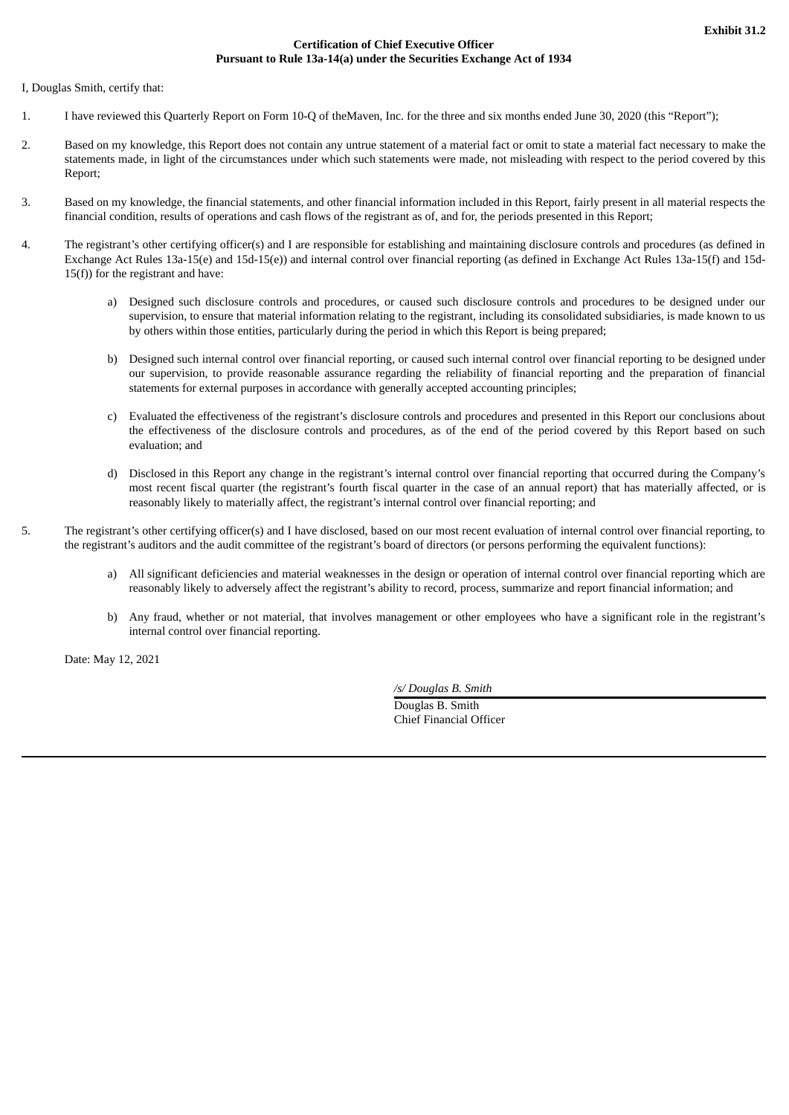# **Certification of Chief Executive Officer Pursuant to Rule 13a-14(a) under the Securities Exchange Act of 1934**

<span id="page-50-0"></span>I, Douglas Smith, certify that:

- 1. I have reviewed this Quarterly Report on Form 10-Q of theMaven, Inc. for the three and six months ended June 30, 2020 (this "Report");
- 2. Based on my knowledge, this Report does not contain any untrue statement of a material fact or omit to state a material fact necessary to make the statements made, in light of the circumstances under which such statements were made, not misleading with respect to the period covered by this Report;
- 3. Based on my knowledge, the financial statements, and other financial information included in this Report, fairly present in all material respects the financial condition, results of operations and cash flows of the registrant as of, and for, the periods presented in this Report;
- 4. The registrant's other certifying officer(s) and I are responsible for establishing and maintaining disclosure controls and procedures (as defined in Exchange Act Rules 13a-15(e) and 15d-15(e)) and internal control over financial reporting (as defined in Exchange Act Rules 13a-15(f) and 15d-15(f)) for the registrant and have:
	- a) Designed such disclosure controls and procedures, or caused such disclosure controls and procedures to be designed under our supervision, to ensure that material information relating to the registrant, including its consolidated subsidiaries, is made known to us by others within those entities, particularly during the period in which this Report is being prepared;
	- b) Designed such internal control over financial reporting, or caused such internal control over financial reporting to be designed under our supervision, to provide reasonable assurance regarding the reliability of financial reporting and the preparation of financial statements for external purposes in accordance with generally accepted accounting principles;
	- c) Evaluated the effectiveness of the registrant's disclosure controls and procedures and presented in this Report our conclusions about the effectiveness of the disclosure controls and procedures, as of the end of the period covered by this Report based on such evaluation; and
	- d) Disclosed in this Report any change in the registrant's internal control over financial reporting that occurred during the Company's most recent fiscal quarter (the registrant's fourth fiscal quarter in the case of an annual report) that has materially affected, or is reasonably likely to materially affect, the registrant's internal control over financial reporting; and
- 5. The registrant's other certifying officer(s) and I have disclosed, based on our most recent evaluation of internal control over financial reporting, to the registrant's auditors and the audit committee of the registrant's board of directors (or persons performing the equivalent functions):
	- a) All significant deficiencies and material weaknesses in the design or operation of internal control over financial reporting which are reasonably likely to adversely affect the registrant's ability to record, process, summarize and report financial information; and
	- b) Any fraud, whether or not material, that involves management or other employees who have a significant role in the registrant's internal control over financial reporting.

Date: May 12, 2021

*/s/ Douglas B. Smith*

Douglas B. Smith Chief Financial Officer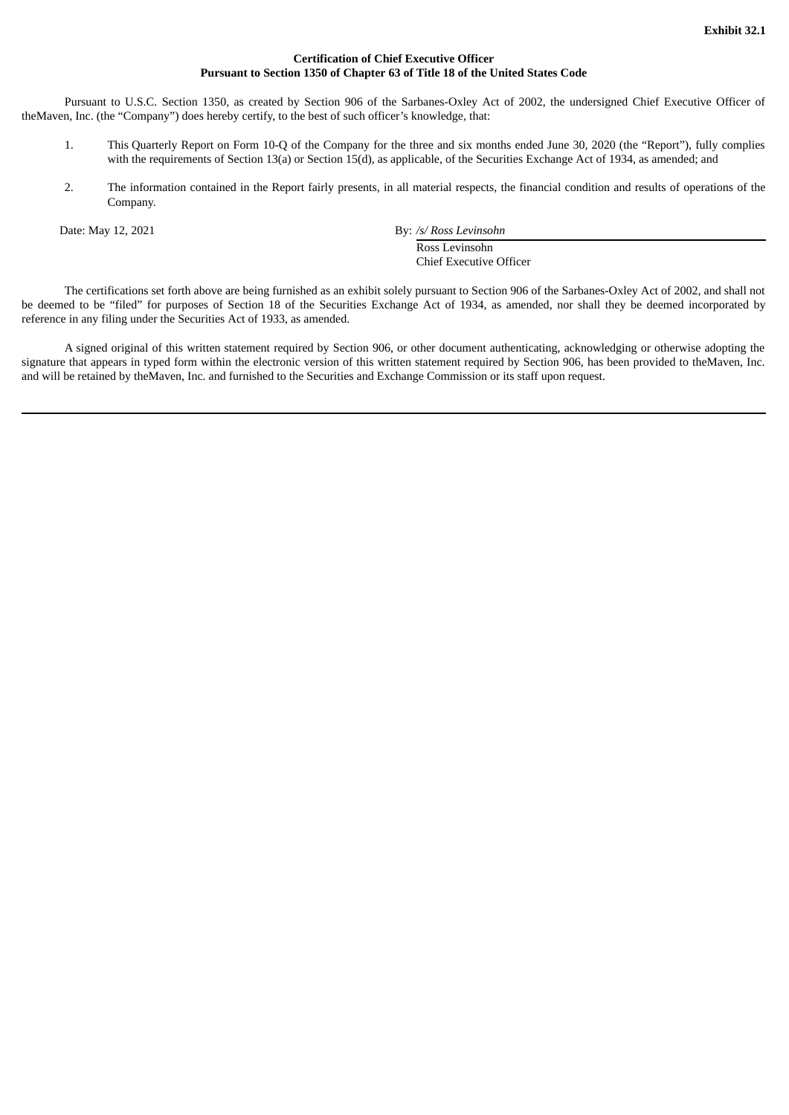# **Certification of Chief Executive Officer Pursuant to Section 1350 of Chapter 63 of Title 18 of the United States Code**

<span id="page-51-0"></span>Pursuant to U.S.C. Section 1350, as created by Section 906 of the Sarbanes-Oxley Act of 2002, the undersigned Chief Executive Officer of theMaven, Inc. (the "Company") does hereby certify, to the best of such officer's knowledge, that:

- 1. This Quarterly Report on Form 10-Q of the Company for the three and six months ended June 30, 2020 (the "Report"), fully complies with the requirements of Section 13(a) or Section 15(d), as applicable, of the Securities Exchange Act of 1934, as amended; and
- 2. The information contained in the Report fairly presents, in all material respects, the financial condition and results of operations of the Company.

Date: May 12, 2021 By: */s/ Ross Levinsohn*

Ross Levinsohn Chief Executive Officer

The certifications set forth above are being furnished as an exhibit solely pursuant to Section 906 of the Sarbanes-Oxley Act of 2002, and shall not be deemed to be "filed" for purposes of Section 18 of the Securities Exchange Act of 1934, as amended, nor shall they be deemed incorporated by reference in any filing under the Securities Act of 1933, as amended.

A signed original of this written statement required by Section 906, or other document authenticating, acknowledging or otherwise adopting the signature that appears in typed form within the electronic version of this written statement required by Section 906, has been provided to theMaven, Inc. and will be retained by theMaven, Inc. and furnished to the Securities and Exchange Commission or its staff upon request.